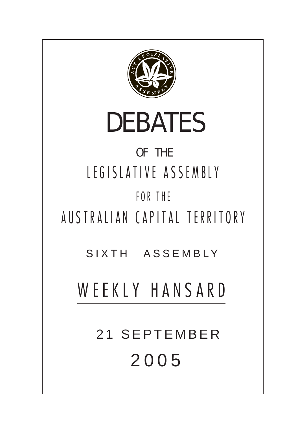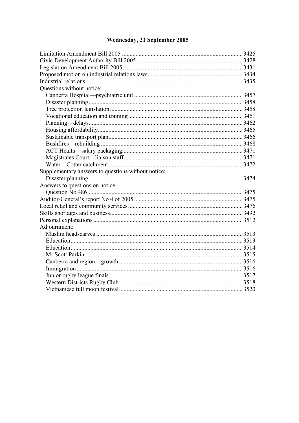# Wednesday, 21 September 2005

| Questions without notice:                          |  |
|----------------------------------------------------|--|
|                                                    |  |
|                                                    |  |
|                                                    |  |
|                                                    |  |
|                                                    |  |
|                                                    |  |
|                                                    |  |
|                                                    |  |
|                                                    |  |
|                                                    |  |
|                                                    |  |
| Supplementary answers to questions without notice: |  |
|                                                    |  |
| Answers to questions on notice:                    |  |
|                                                    |  |
|                                                    |  |
|                                                    |  |
|                                                    |  |
|                                                    |  |
| Adjournment:                                       |  |
|                                                    |  |
|                                                    |  |
|                                                    |  |
|                                                    |  |
|                                                    |  |
|                                                    |  |
|                                                    |  |
|                                                    |  |
|                                                    |  |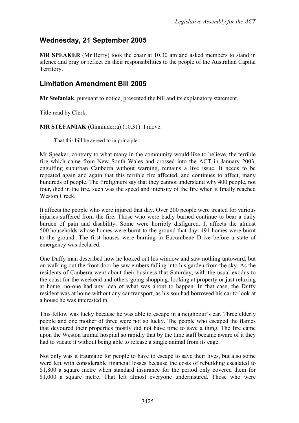# **Wednesday, 21 September 2005**

**MR SPEAKER** (Mr Berry) took the chair at 10.30 am and asked members to stand in silence and pray or reflect on their responsibilities to the people of the Australian Capital Territory.

# <span id="page-2-0"></span>**Limitation Amendment Bill 2005**

**Mr Stefaniak**, pursuant to notice, presented the bill and its explanatory statement.

Title read by Clerk.

**MR STEFANIAK** (Ginninderra) (10.31): I move:

That this bill be agreed to in principle.

Mr Speaker, contrary to what many in the community would like to believe, the terrible fire which came from New South Wales and crossed into the ACT in January 2003, engulfing suburban Canberra without warning, remains a live issue. It needs to be repeated again and again that this terrible fire affected, and continues to affect, many hundreds of people. The firefighters say that they cannot understand why 400 people, not four, died in the fire, such was the speed and intensity of the fire when it finally reached Weston Creek

It affects the people who were injured that day. Over 200 people were treated for various injuries suffered from the fire. Those who were badly burned continue to bear a daily burden of pain and disability. Some were horribly disfigured. It affects the almost 500 households whose homes were burnt to the ground that day: 491 homes were burnt to the ground. The first houses were burning in Eucumbene Drive before a state of emergency was declared.

One Duffy man described how he looked out his window and saw nothing untoward, but on walking out the front door he saw embers falling into his garden from the sky. As the residents of Canberra went about their business that Saturday, with the usual exodus to the coast for the weekend and others going shopping, looking at property or just relaxing at home, no-one had any idea of what was about to happen. In that case, the Duffy resident was at home without any car transport, as his son had borrowed his car to look at a house he was interested in.

This fellow was lucky because he was able to escape in a neighbour's car. Three elderly people and one mother of three were not so lucky. The people who escaped the flames that devoured their properties mostly did not have time to save a thing. The fire came upon the Weston animal hospital so rapidly that by the time staff became aware of it they had to vacate it without being able to release a single animal from its cage.

Not only was it traumatic for people to have to escape to save their lives, but also some were left with considerable financial losses because the costs of rebuilding escalated to \$1,800 a square metre when standard insurance for the period only covered them for \$1,000 a square metre. That left almost everyone underinsured. Those who were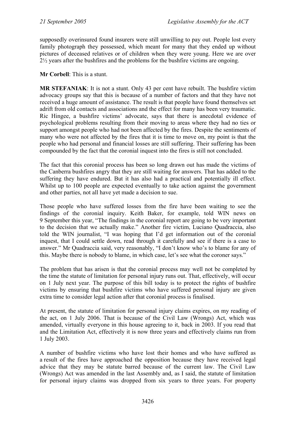supposedly overinsured found insurers were still unwilling to pay out. People lost every family photograph they possessed, which meant for many that they ended up without pictures of deceased relatives or of children when they were young. Here we are over 2½ years after the bushfires and the problems for the bushfire victims are ongoing.

**Mr Corbell**: This is a stunt.

**MR STEFANIAK**: It is not a stunt. Only 43 per cent have rebuilt. The bushfire victim advocacy groups say that this is because of a number of factors and that they have not received a huge amount of assistance. The result is that people have found themselves set adrift from old contacts and associations and the effect for many has been very traumatic. Ric Hingee, a bushfire victims' advocate, says that there is anecdotal evidence of psychological problems resulting from their moving to areas where they had no ties or support amongst people who had not been affected by the fires. Despite the sentiments of many who were not affected by the fires that it is time to move on, my point is that the people who had personal and financial losses are still suffering. Their suffering has been compounded by the fact that the coronial inquest into the fires is still not concluded.

The fact that this coronial process has been so long drawn out has made the victims of the Canberra bushfires angry that they are still waiting for answers. That has added to the suffering they have endured. But it has also had a practical and potentially ill effect. Whilst up to 100 people are expected eventually to take action against the government and other parties, not all have yet made a decision to sue.

Those people who have suffered losses from the fire have been waiting to see the findings of the coronial inquiry. Keith Baker, for example, told WIN news on 9 September this year, "The findings in the coronial report are going to be very important to the decision that we actually make." Another fire victim, Luciano Quadraccia, also told the WIN journalist, "I was hoping that I'd get information out of the coronial inquest, that I could settle down, read through it carefully and see if there is a case to answer." Mr Quadraccia said, very reasonably, "I don't know who's to blame for any of this. Maybe there is nobody to blame, in which case, let's see what the coroner says."

The problem that has arisen is that the coronial process may well not be completed by the time the statute of limitation for personal injury runs out. That, effectively, will occur on 1 July next year. The purpose of this bill today is to protect the rights of bushfire victims by ensuring that bushfire victims who have suffered personal injury are given extra time to consider legal action after that coronial process is finalised.

At present, the statute of limitation for personal injury claims expires, on my reading of the act, on 1 July 2006. That is because of the Civil Law (Wrongs) Act, which was amended, virtually everyone in this house agreeing to it, back in 2003. If you read that and the Limitation Act, effectively it is now three years and effectively claims run from 1 July 2003.

A number of bushfire victims who have lost their homes and who have suffered as a result of the fires have approached the opposition because they have received legal advice that they may be statute barred because of the current law. The Civil Law (Wrongs) Act was amended in the last Assembly and, as I said, the statute of limitation for personal injury claims was dropped from six years to three years. For property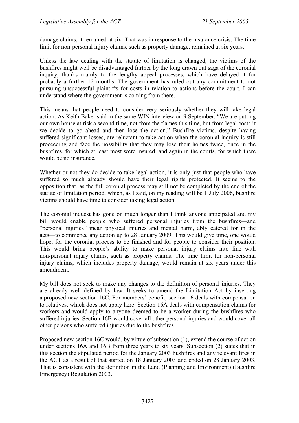damage claims, it remained at six. That was in response to the insurance crisis. The time limit for non-personal injury claims, such as property damage, remained at six years.

Unless the law dealing with the statute of limitation is changed, the victims of the bushfires might well be disadvantaged further by the long drawn out saga of the coronial inquiry, thanks mainly to the lengthy appeal processes, which have delayed it for probably a further 12 months. The government has ruled out any commitment to not pursuing unsuccessful plaintiffs for costs in relation to actions before the court. I can understand where the government is coming from there.

This means that people need to consider very seriously whether they will take legal action. As Keith Baker said in the same WIN interview on 9 September, "We are putting our own house at risk a second time, not from the flames this time, but from legal costs if we decide to go ahead and then lose the action." Bushfire victims, despite having suffered significant losses, are reluctant to take action when the coronial inquiry is still proceeding and face the possibility that they may lose their homes twice, once in the bushfires, for which at least most were insured, and again in the courts, for which there would be no insurance.

Whether or not they do decide to take legal action, it is only just that people who have suffered so much already should have their legal rights protected. It seems to the opposition that, as the full coronial process may still not be completed by the end of the statute of limitation period, which, as I said, on my reading will be 1 July 2006, bushfire victims should have time to consider taking legal action.

The coronial inquest has gone on much longer than I think anyone anticipated and my bill would enable people who suffered personal injuries from the bushfires—and "personal injuries" mean physical injuries and mental harm, ably catered for in the acts—to commence any action up to 28 January 2009. This would give time, one would hope, for the coronial process to be finished and for people to consider their position. This would bring people's ability to make personal injury claims into line with non-personal injury claims, such as property claims. The time limit for non-personal injury claims, which includes property damage, would remain at six years under this amendment.

My bill does not seek to make any changes to the definition of personal injuries. They are already well defined by law. It seeks to amend the Limitation Act by inserting a proposed new section 16C. For members' benefit, section 16 deals with compensation to relatives, which does not apply here. Section 16A deals with compensation claims for workers and would apply to anyone deemed to be a worker during the bushfires who suffered injuries. Section 16B would cover all other personal injuries and would cover all other persons who suffered injuries due to the bushfires.

Proposed new section 16C would, by virtue of subsection (1), extend the course of action under sections 16A and 16B from three years to six years. Subsection (2) states that in this section the stipulated period for the January 2003 bushfires and any relevant fires in the ACT as a result of that started on 18 January 2003 and ended on 28 January 2003. That is consistent with the definition in the Land (Planning and Environment) (Bushfire Emergency) Regulation 2003.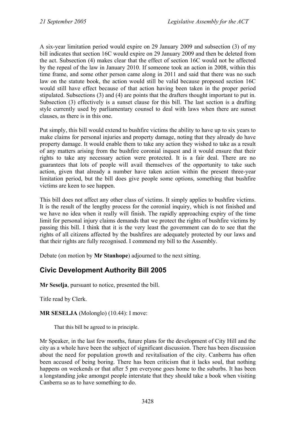A six-year limitation period would expire on 29 January 2009 and subsection (3) of my bill indicates that section 16C would expire on 29 January 2009 and then be deleted from the act. Subsection (4) makes clear that the effect of section 16C would not be affected by the repeal of the law in January 2010. If someone took an action in 2008, within this time frame, and some other person came along in 2011 and said that there was no such law on the statute book, the action would still be valid because proposed section 16C would still have effect because of that action having been taken in the proper period stipulated. Subsections (3) and (4) are points that the drafters thought important to put in. Subsection (3) effectively is a sunset clause for this bill. The last section is a drafting style currently used by parliamentary counsel to deal with laws when there are sunset clauses, as there is in this one.

Put simply, this bill would extend to bushfire victims the ability to have up to six years to make claims for personal injuries and property damage, noting that they already do have property damage. It would enable them to take any action they wished to take as a result of any matters arising from the bushfire coronial inquest and it would ensure that their rights to take any necessary action were protected. It is a fair deal. There are no guarantees that lots of people will avail themselves of the opportunity to take such action, given that already a number have taken action within the present three-year limitation period, but the bill does give people some options, something that bushfire victims are keen to see happen.

This bill does not affect any other class of victims. It simply applies to bushfire victims. It is the result of the lengthy process for the coronial inquiry, which is not finished and we have no idea when it really will finish. The rapidly approaching expiry of the time limit for personal injury claims demands that we protect the rights of bushfire victims by passing this bill. I think that it is the very least the government can do to see that the rights of all citizens affected by the bushfires are adequately protected by our laws and that their rights are fully recognised. I commend my bill to the Assembly.

Debate (on motion by **Mr Stanhope**) adjourned to the next sitting.

# <span id="page-5-0"></span>**Civic Development Authority Bill 2005**

**Mr Seselja**, pursuant to notice, presented the bill.

Title read by Clerk.

**MR SESELJA** (Molonglo) (10.44): I move:

That this bill be agreed to in principle.

Mr Speaker, in the last few months, future plans for the development of City Hill and the city as a whole have been the subject of significant discussion. There has been discussion about the need for population growth and revitalisation of the city. Canberra has often been accused of being boring. There has been criticism that it lacks soul, that nothing happens on weekends or that after 5 pm everyone goes home to the suburbs. It has been a longstanding joke amongst people interstate that they should take a book when visiting Canberra so as to have something to do.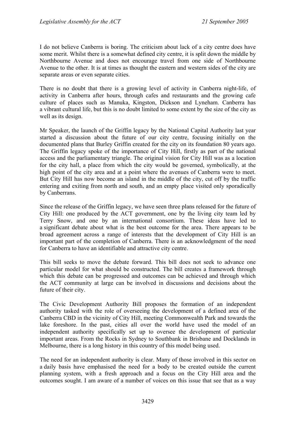I do not believe Canberra is boring. The criticism about lack of a city centre does have some merit. Whilst there is a somewhat defined city centre, it is split down the middle by Northbourne Avenue and does not encourage travel from one side of Northbourne Avenue to the other. It is at times as thought the eastern and western sides of the city are separate areas or even separate cities.

There is no doubt that there is a growing level of activity in Canberra night-life, of activity in Canberra after hours, through cafes and restaurants and the growing cafe culture of places such as Manuka, Kingston, Dickson and Lyneham. Canberra has a vibrant cultural life, but this is no doubt limited to some extent by the size of the city as well as its design.

Mr Speaker, the launch of the Griffin legacy by the National Capital Authority last year started a discussion about the future of our city centre, focusing initially on the documented plans that Burley Griffin created for the city on its foundation 80 years ago. The Griffin legacy spoke of the importance of City Hill, firstly as part of the national access and the parliamentary triangle. The original vision for City Hill was as a location for the city hall, a place from which the city would be governed, symbolically, at the high point of the city area and at a point where the avenues of Canberra were to meet. But City Hill has now become an island in the middle of the city, cut off by the traffic entering and exiting from north and south, and an empty place visited only sporadically by Canberrans.

Since the release of the Griffin legacy, we have seen three plans released for the future of City Hill: one produced by the ACT government, one by the living city team led by Terry Snow, and one by an international consortium. These ideas have led to a significant debate about what is the best outcome for the area. There appears to be broad agreement across a range of interests that the development of City Hill is an important part of the completion of Canberra. There is an acknowledgment of the need for Canberra to have an identifiable and attractive city centre.

This bill seeks to move the debate forward. This bill does not seek to advance one particular model for what should be constructed. The bill creates a framework through which this debate can be progressed and outcomes can be achieved and through which the ACT community at large can be involved in discussions and decisions about the future of their city.

The Civic Development Authority Bill proposes the formation of an independent authority tasked with the role of overseeing the development of a defined area of the Canberra CBD in the vicinity of City Hill, meeting Commonwealth Park and towards the lake foreshore. In the past, cities all over the world have used the model of an independent authority specifically set up to oversee the development of particular important areas. From the Rocks in Sydney to Southbank in Brisbane and Docklands in Melbourne, there is a long history in this country of this model being used.

The need for an independent authority is clear. Many of those involved in this sector on a daily basis have emphasised the need for a body to be created outside the current planning system, with a fresh approach and a focus on the City Hill area and the outcomes sought. I am aware of a number of voices on this issue that see that as a way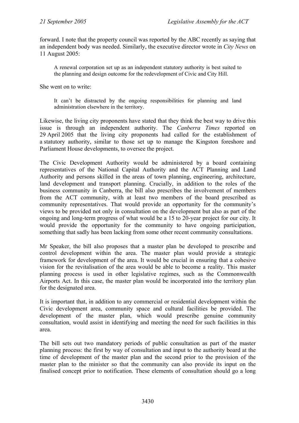forward. I note that the property council was reported by the ABC recently as saying that an independent body was needed. Similarly, the executive director wrote in *City News* on 11 August 2005:

A renewal corporation set up as an independent statutory authority is best suited to the planning and design outcome for the redevelopment of Civic and City Hill.

She went on to write:

It can't be distracted by the ongoing responsibilities for planning and land administration elsewhere in the territory.

Likewise, the living city proponents have stated that they think the best way to drive this issue is through an independent authority. The *Canberra Times* reported on 29 April 2005 that the living city proponents had called for the establishment of a statutory authority, similar to those set up to manage the Kingston foreshore and Parliament House developments, to oversee the project.

The Civic Development Authority would be administered by a board containing representatives of the National Capital Authority and the ACT Planning and Land Authority and persons skilled in the areas of town planning, engineering, architecture, land development and transport planning. Crucially, in addition to the roles of the business community in Canberra, the bill also prescribes the involvement of members from the ACT community, with at least two members of the board prescribed as community representatives. That would provide an opportunity for the community's views to be provided not only in consultation on the development but also as part of the ongoing and long-term progress of what would be a 15 to 20-year project for our city. It would provide the opportunity for the community to have ongoing participation, something that sadly has been lacking from some other recent community consultations.

Mr Speaker, the bill also proposes that a master plan be developed to prescribe and control development within the area. The master plan would provide a strategic framework for development of the area. It would be crucial in ensuring that a cohesive vision for the revitalisation of the area would be able to become a reality. This master planning process is used in other legislative regimes, such as the Commonwealth Airports Act. In this case, the master plan would be incorporated into the territory plan for the designated area.

It is important that, in addition to any commercial or residential development within the Civic development area, community space and cultural facilities be provided. The development of the master plan, which would prescribe genuine community consultation, would assist in identifying and meeting the need for such facilities in this area.

The bill sets out two mandatory periods of public consultation as part of the master planning process: the first by way of consultation and input to the authority board at the time of development of the master plan and the second prior to the provision of the master plan to the minister so that the community can also provide its input on the finalised concept prior to notification. These elements of consultation should go a long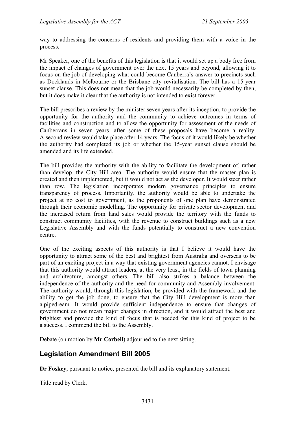way to addressing the concerns of residents and providing them with a voice in the process.

Mr Speaker, one of the benefits of this legislation is that it would set up a body free from the impact of changes of government over the next 15 years and beyond, allowing it to focus on the job of developing what could become Canberra's answer to precincts such as Docklands in Melbourne or the Brisbane city revitalisation. The bill has a 15-year sunset clause. This does not mean that the job would necessarily be completed by then, but it does make it clear that the authority is not intended to exist forever.

The bill prescribes a review by the minister seven years after its inception, to provide the opportunity for the authority and the community to achieve outcomes in terms of facilities and construction and to allow the opportunity for assessment of the needs of Canberrans in seven years, after some of these proposals have become a reality. A second review would take place after 14 years. The focus of it would likely be whether the authority had completed its job or whether the 15-year sunset clause should be amended and its life extended.

The bill provides the authority with the ability to facilitate the development of, rather than develop, the City Hill area. The authority would ensure that the master plan is created and then implemented, but it would not act as the developer. It would steer rather than row. The legislation incorporates modern governance principles to ensure transparency of process. Importantly, the authority would be able to undertake the project at no cost to government, as the proponents of one plan have demonstrated through their economic modelling. The opportunity for private sector development and the increased return from land sales would provide the territory with the funds to construct community facilities, with the revenue to construct buildings such as a new Legislative Assembly and with the funds potentially to construct a new convention centre.

One of the exciting aspects of this authority is that I believe it would have the opportunity to attract some of the best and brightest from Australia and overseas to be part of an exciting project in a way that existing government agencies cannot. I envisage that this authority would attract leaders, at the very least, in the fields of town planning and architecture, amongst others. The bill also strikes a balance between the independence of the authority and the need for community and Assembly involvement. The authority would, through this legislation, be provided with the framework and the ability to get the job done, to ensure that the City Hill development is more than a pipedream. It would provide sufficient independence to ensure that changes of government do not mean major changes in direction, and it would attract the best and brightest and provide the kind of focus that is needed for this kind of project to be a success. I commend the bill to the Assembly.

Debate (on motion by **Mr Corbell**) adjourned to the next sitting.

# <span id="page-8-0"></span>**Legislation Amendment Bill 2005**

**Dr Foskey**, pursuant to notice, presented the bill and its explanatory statement.

Title read by Clerk.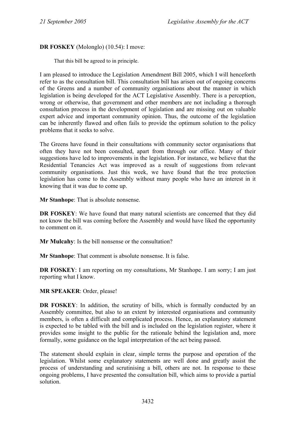## **DR FOSKEY** (Molonglo) (10.54): I move:

That this bill be agreed to in principle.

I am pleased to introduce the Legislation Amendment Bill 2005, which I will henceforth refer to as the consultation bill. This consultation bill has arisen out of ongoing concerns of the Greens and a number of community organisations about the manner in which legislation is being developed for the ACT Legislative Assembly. There is a perception, wrong or otherwise, that government and other members are not including a thorough consultation process in the development of legislation and are missing out on valuable expert advice and important community opinion. Thus, the outcome of the legislation can be inherently flawed and often fails to provide the optimum solution to the policy problems that it seeks to solve.

The Greens have found in their consultations with community sector organisations that often they have not been consulted, apart from through our office. Many of their suggestions have led to improvements in the legislation. For instance, we believe that the Residential Tenancies Act was improved as a result of suggestions from relevant community organisations. Just this week, we have found that the tree protection legislation has come to the Assembly without many people who have an interest in it knowing that it was due to come up.

**Mr Stanhope**: That is absolute nonsense.

**DR FOSKEY**: We have found that many natural scientists are concerned that they did not know the bill was coming before the Assembly and would have liked the opportunity to comment on it.

**Mr Mulcahy**: Is the bill nonsense or the consultation?

**Mr Stanhope**: That comment is absolute nonsense. It is false.

**DR FOSKEY**: I am reporting on my consultations, Mr Stanhope. I am sorry; I am just reporting what I know.

**MR SPEAKER**: Order, please!

**DR FOSKEY:** In addition, the scrutiny of bills, which is formally conducted by an Assembly committee, but also to an extent by interested organisations and community members, is often a difficult and complicated process. Hence, an explanatory statement is expected to be tabled with the bill and is included on the legislation register, where it provides some insight to the public for the rationale behind the legislation and, more formally, some guidance on the legal interpretation of the act being passed.

The statement should explain in clear, simple terms the purpose and operation of the legislation. Whilst some explanatory statements are well done and greatly assist the process of understanding and scrutinising a bill, others are not. In response to these ongoing problems, I have presented the consultation bill, which aims to provide a partial solution.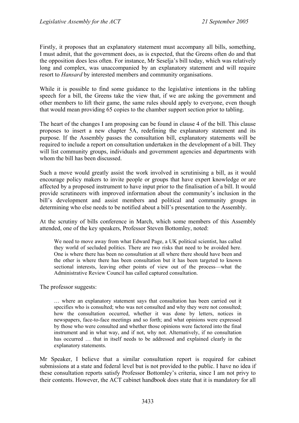Firstly, it proposes that an explanatory statement must accompany all bills, something, I must admit, that the government does, as is expected, that the Greens often do and that the opposition does less often. For instance, Mr Seselja's bill today, which was relatively long and complex, was unaccompanied by an explanatory statement and will require resort to *Hansard* by interested members and community organisations.

While it is possible to find some guidance to the legislative intentions in the tabling speech for a bill, the Greens take the view that, if we are asking the government and other members to lift their game, the same rules should apply to everyone, even though that would mean providing 65 copies to the chamber support section prior to tabling.

The heart of the changes I am proposing can be found in clause 4 of the bill. This clause proposes to insert a new chapter 5A, redefining the explanatory statement and its purpose. If the Assembly passes the consultation bill, explanatory statements will be required to include a report on consultation undertaken in the development of a bill. They will list community groups, individuals and government agencies and departments with whom the bill has been discussed.

Such a move would greatly assist the work involved in scrutinising a bill, as it would encourage policy makers to invite people or groups that have expert knowledge or are affected by a proposed instrument to have input prior to the finalisation of a bill. It would provide scrutineers with improved information about the community's inclusion in the bill's development and assist members and political and community groups in determining who else needs to be notified about a bill's presentation to the Assembly.

At the scrutiny of bills conference in March, which some members of this Assembly attended, one of the key speakers, Professor Steven Bottomley, noted:

We need to move away from what Edward Page, a UK political scientist, has called they world of secluded politics. There are two risks that need to be avoided here. One is where there has been no consultation at all where there should have been and the other is where there has been consultation but it has been targeted to known sectional interests, leaving other points of view out of the process—what the Administrative Review Council has called captured consultation.

The professor suggests:

… where an explanatory statement says that consultation has been carried out it specifies who is consulted; who was not consulted and why they were not consulted; how the consultation occurred, whether it was done by letters, notices in newspapers, face-to-face meetings and so forth; and what opinions were expressed by those who were consulted and whether those opinions were factored into the final instrument and in what way, and if not, why not. Alternatively, if no consultation has occurred … that in itself needs to be addressed and explained clearly in the explanatory statements.

Mr Speaker, I believe that a similar consultation report is required for cabinet submissions at a state and federal level but is not provided to the public. I have no idea if these consultation reports satisfy Professor Bottomley's criteria, since I am not privy to their contents. However, the ACT cabinet handbook does state that it is mandatory for all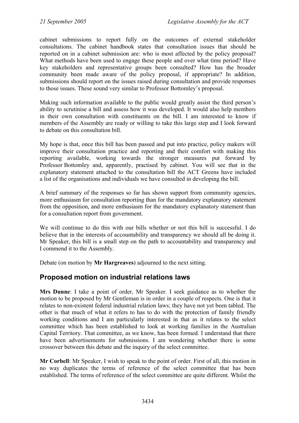cabinet submissions to report fully on the outcomes of external stakeholder consultations. The cabinet handbook states that consultation issues that should be reported on in a cabinet submission are: who is most affected by the policy proposal? What methods have been used to engage these people and over what time period? Have key stakeholders and representative groups been consulted? How has the broader community been made aware of the policy proposal, if appropriate? In addition, submissions should report on the issues raised during consultation and provide responses to those issues. These sound very similar to Professor Bottomley's proposal.

Making such information available to the public would greatly assist the third person's ability to scrutinise a bill and assess how it was developed. It would also help members in their own consultation with constituents on the bill. I am interested to know if members of the Assembly are ready or willing to take this large step and I look forward to debate on this consultation bill.

My hope is that, once this bill has been passed and put into practice, policy makers will improve their consultation practice and reporting and their comfort with making this reporting available, working towards the stronger measures put forward by Professor Bottomley and, apparently, practised by cabinet. You will see that in the explanatory statement attached to the consultation bill the ACT Greens have included a list of the organisations and individuals we have consulted in developing the bill.

A brief summary of the responses so far has shown support from community agencies, more enthusiasm for consultation reporting than for the mandatory explanatory statement from the opposition, and more enthusiasm for the mandatory explanatory statement than for a consultation report from government.

We will continue to do this with our bills whether or not this bill is successful. I do believe that in the interests of accountability and transparency we should all be doing it. Mr Speaker, this bill is a small step on the path to accountability and transparency and I commend it to the Assembly.

Debate (on motion by **Mr Hargreaves**) adjourned to the next sitting.

# <span id="page-11-0"></span>**Proposed motion on industrial relations laws**

**Mrs Dunne**: I take a point of order, Mr Speaker. I seek guidance as to whether the motion to be proposed by Mr Gentleman is in order in a couple of respects. One is that it relates to non-existent federal industrial relation laws; they have not yet been tabled. The other is that much of what it refers to has to do with the protection of family friendly working conditions and I am particularly interested in that as it relates to the select committee which has been established to look at working families in the Australian Capital Territory. That committee, as we know, has been formed. I understand that there have been advertisements for submissions. I am wondering whether there is some crossover between this debate and the inquiry of the select committee.

**Mr Corbell**: Mr Speaker, I wish to speak to the point of order. First of all, this motion in no way duplicates the terms of reference of the select committee that has been established. The terms of reference of the select committee are quite different. Whilst the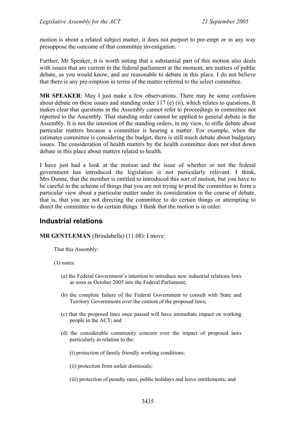motion is about a related subject matter, it does not purport to pre-empt or in any way presuppose the outcome of that committee investigation.

Further, Mr Speaker, it is worth noting that a substantial part of this motion also deals with issues that are current in the federal parliament at the moment, are matters of public debate, as you would know, and are reasonable to debate in this place. I do not believe that there is any pre-emption in terms of the matter referred to the select committee.

**MR SPEAKER**: May I just make a few observations. There may be some confusion about debate on these issues and standing order 117 (e) (ii), which relates to questions. It makes clear that questions in the Assembly cannot refer to proceedings in committee not reported to the Assembly. That standing order cannot be applied to general debate in the Assembly. It is not the intention of the standing orders, in my view, to stifle debate about particular matters because a committee is hearing a matter. For example, when the estimates committee is considering the budget, there is still much debate about budgetary issues. The consideration of health matters by the health committee does not shut down debate in this place about matters related to health.

I have just had a look at the motion and the issue of whether or not the federal government has introduced the legislation is not particularly relevant. I think, Mrs Dunne, that the member is entitled to introduced this sort of motion, but you have to be careful in the scheme of things that you are not trying to prod the committee to form a particular view about a particular matter under its consideration in the course of debate, that is, that you are not directing the committee to do certain things or attempting to direct the committee to do certain things. I think that the motion is in order.

## <span id="page-12-0"></span>**Industrial relations**

**MR GENTLEMAN** (Brindabella) (11.08): I move:

That this Assembly:

(1) notes:

- (a) the Federal Government's intention to introduce new industrial relations laws as soon as October 2005 into the Federal Parliament;
- (b) the complete failure of the Federal Government to consult with State and Territory Governments over the content of the proposed laws;
- (c) that the proposed laws once passed will have immediate impact on working people in the ACT; and
- (d) the considerable community concern over the impact of proposed laws particularly in relation to the:
	- (i) protection of family friendly working conditions;
	- (ii) protection from unfair dismissals;
	- (iii) protection of penalty rates, public holidays and leave entitlements; and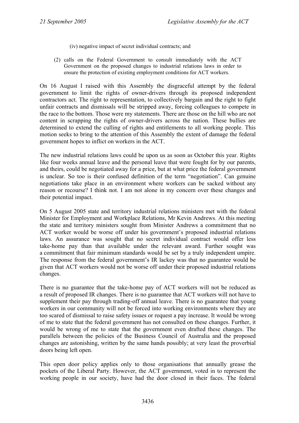- (iv) negative impact of secret individual contracts; and
- (2) calls on the Federal Government to consult immediately with the ACT Government on the proposed changes to industrial relations laws in order to ensure the protection of existing employment conditions for ACT workers.

On 16 August I raised with this Assembly the disgraceful attempt by the federal government to limit the rights of owner-drivers through its proposed independent contractors act. The right to representation, to collectively bargain and the right to fight unfair contracts and dismissals will be stripped away, forcing colleagues to compete in the race to the bottom. Those were my statements. There are those on the hill who are not content in scrapping the rights of owner-drivers across the nation. These bullies are determined to extend the culling of rights and entitlements to all working people. This motion seeks to bring to the attention of this Assembly the extent of damage the federal government hopes to inflict on workers in the ACT.

The new industrial relations laws could be upon us as soon as October this year. Rights like four weeks annual leave and the personal leave that were fought for by our parents, and theirs, could be negotiated away for a price, but at what price the federal government is unclear. So too is their confused definition of the term "negotiation". Can genuine negotiations take place in an environment where workers can be sacked without any reason or recourse? I think not. I am not alone in my concern over these changes and their potential impact.

On 5 August 2005 state and territory industrial relations ministers met with the federal Minister for Employment and Workplace Relations, Mr Kevin Andrews. At this meeting the state and territory ministers sought from Minister Andrews a commitment that no ACT worker would be worse off under his government's proposed industrial relations laws. An assurance was sought that no secret individual contract would offer less take-home pay than that available under the relevant award. Further sought was a commitment that fair minimum standards would be set by a truly independent umpire. The response from the federal government's IR lackey was that no guarantee would be given that ACT workers would not be worse off under their proposed industrial relations changes.

There is no guarantee that the take-home pay of ACT workers will not be reduced as a result of proposed IR changes. There is no guarantee that ACT workers will not have to supplement their pay through trading-off annual leave. There is no guarantee that young workers in our community will not be forced into working environments where they are too scared of dismissal to raise safety issues or request a pay increase. It would be wrong of me to state that the federal government has not consulted on these changes. Further, it would be wrong of me to state that the government even drafted these changes. The parallels between the policies of the Business Council of Australia and the proposed changes are astonishing, written by the same hands possibly; at very least the proverbial doors being left open.

This open door policy applies only to those organisations that annually grease the pockets of the Liberal Party. However, the ACT government, voted in to represent the working people in our society, have had the door closed in their faces. The federal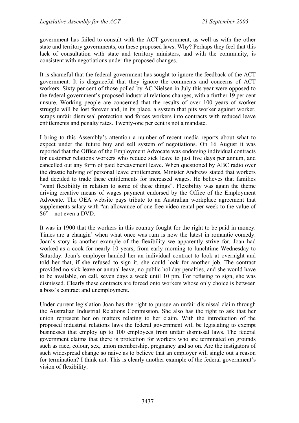government has failed to consult with the ACT government, as well as with the other state and territory governments, on these proposed laws. Why? Perhaps they feel that this lack of consultation with state and territory ministers, and with the community, is consistent with negotiations under the proposed changes.

It is shameful that the federal government has sought to ignore the feedback of the ACT government. It is disgraceful that they ignore the comments and concerns of ACT workers. Sixty per cent of those polled by AC Nielsen in July this year were opposed to the federal government's proposed industrial relations changes, with a further 19 per cent unsure. Working people are concerned that the results of over 100 years of worker struggle will be lost forever and, in its place, a system that pits worker against worker, scraps unfair dismissal protection and forces workers into contracts with reduced leave entitlements and penalty rates. Twenty-one per cent is not a mandate.

I bring to this Assembly's attention a number of recent media reports about what to expect under the future buy and sell system of negotiations. On 16 August it was reported that the Office of the Employment Advocate was endorsing individual contracts for customer relations workers who reduce sick leave to just five days per annum, and cancelled out any form of paid bereavement leave. When questioned by ABC radio over the drastic halving of personal leave entitlements, Minister Andrews stated that workers had decided to trade these entitlements for increased wages. He believes that families "want flexibility in relation to some of these things". Flexibility was again the theme driving creative means of wages payment endorsed by the Office of the Employment Advocate. The OEA website pays tribute to an Australian workplace agreement that supplements salary with "an allowance of one free video rental per week to the value of \$6"—not even a DVD.

It was in 1900 that the workers in this country fought for the right to be paid in money. Times are a changin' when what once was rum is now the latest in romantic comedy. Joan's story is another example of the flexibility we apparently strive for. Joan had worked as a cook for nearly 10 years, from early morning to lunchtime Wednesday to Saturday. Joan's employer handed her an individual contract to look at overnight and told her that, if she refused to sign it, she could look for another job. The contract provided no sick leave or annual leave, no public holiday penalties, and she would have to be available, on call, seven days a week until 10 pm. For refusing to sign, she was dismissed. Clearly these contracts are forced onto workers whose only choice is between a boss's contract and unemployment.

Under current legislation Joan has the right to pursue an unfair dismissal claim through the Australian Industrial Relations Commission. She also has the right to ask that her union represent her on matters relating to her claim. With the introduction of the proposed industrial relations laws the federal government will be legislating to exempt businesses that employ up to 100 employees from unfair dismissal laws. The federal government claims that there is protection for workers who are terminated on grounds such as race, colour, sex, union membership, pregnancy and so on. Are the instigators of such widespread change so naive as to believe that an employer will single out a reason for termination? I think not. This is clearly another example of the federal government's vision of flexibility.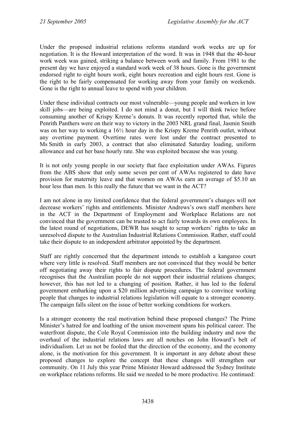Under the proposed industrial relations reforms standard work weeks are up for negotiation. It is the Howard interpretation of the word. It was in 1948 that the 40-hour work week was gained, striking a balance between work and family. From 1981 to the present day we have enjoyed a standard work week of 38 hours. Gone is the government endorsed right to eight hours work, eight hours recreation and eight hours rest. Gone is the right to be fairly compensated for working away from your family on weekends. Gone is the right to annual leave to spend with your children.

Under these individual contracts our most vulnerable—young people and workers in low skill jobs—are being exploited. I do not mind a donut, but I will think twice before consuming another of Krispy Kreme's donuts. It was recently reported that, while the Penrith Panthers were on their way to victory in the 2003 NRL grand final, Jasmin Smith was on her way to working a 16½ hour day in the Krispy Kreme Penrith outlet, without any overtime payment. Overtime rates were lost under the contract presented to Ms Smith in early 2003, a contract that also eliminated Saturday loading, uniform allowance and cut her base hourly rate. She was exploited because she was young.

It is not only young people in our society that face exploitation under AWAs. Figures from the ABS show that only some seven per cent of AWAs registered to date have provision for maternity leave and that women on AWAs earn an average of \$5.10 an hour less than men. Is this really the future that we want in the ACT?

I am not alone in my limited confidence that the federal government's changes will not decrease workers' rights and entitlements. Minister Andrews's own staff members here in the ACT in the Department of Employment and Workplace Relations are not convinced that the government can be trusted to act fairly towards its own employees. In the latest round of negotiations, DEWR has sought to scrap workers' rights to take an unresolved dispute to the Australian Industrial Relations Commission. Rather, staff could take their dispute to an independent arbitrator appointed by the department.

Staff are rightly concerned that the department intends to establish a kangaroo court where very little is resolved. Staff members are not convinced that they would be better off negotiating away their rights to fair dispute procedures. The federal government recognises that the Australian people do not support their industrial relations changes; however, this has not led to a changing of position. Rather, it has led to the federal government embarking upon a \$20 million advertising campaign to convince working people that changes to industrial relations legislation will equate to a stronger economy. The campaign falls silent on the issue of better working conditions for workers.

Is a stronger economy the real motivation behind these proposed changes? The Prime Minister's hatred for and loathing of the union movement spans his political career. The waterfront dispute, the Cole Royal Commission into the building industry and now the overhaul of the industrial relations laws are all notches on John Howard's belt of individualism. Let us not be fooled that the direction of the economy, and the economy alone, is the motivation for this government. It is important in any debate about these proposed changes to explore the concept that these changes will strengthen our community. On 11 July this year Prime Minister Howard addressed the Sydney Institute on workplace relations reforms. He said we needed to be more productive. He continued: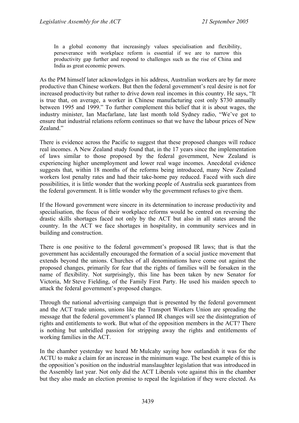In a global economy that increasingly values specialisation and flexibility, perseverance with workplace reform is essential if we are to narrow this productivity gap further and respond to challenges such as the rise of China and India as great economic powers.

As the PM himself later acknowledges in his address, Australian workers are by far more productive than Chinese workers. But then the federal government's real desire is not for increased productivity but rather to drive down real incomes in this country. He says, "It is true that, on average, a worker in Chinese manufacturing cost only \$730 annually between 1995 and 1999." To further complement this belief that it is about wages, the industry minister, Ian Macfarlane, late last month told Sydney radio, "We've got to ensure that industrial relations reform continues so that we have the labour prices of New Zealand<sup>"</sup>

There is evidence across the Pacific to suggest that these proposed changes will reduce real incomes. A New Zealand study found that, in the 17 years since the implementation of laws similar to those proposed by the federal government, New Zealand is experiencing higher unemployment and lower real wage incomes. Anecdotal evidence suggests that, within 18 months of the reforms being introduced, many New Zealand workers lost penalty rates and had their take-home pay reduced. Faced with such dire possibilities, it is little wonder that the working people of Australia seek guarantees from the federal government. It is little wonder why the government refuses to give them.

If the Howard government were sincere in its determination to increase productivity and specialisation, the focus of their workplace reforms would be centred on reversing the drastic skills shortages faced not only by the ACT but also in all states around the country. In the ACT we face shortages in hospitality, in community services and in building and construction.

There is one positive to the federal government's proposed IR laws; that is that the government has accidentally encouraged the formation of a social justice movement that extends beyond the unions. Churches of all denominations have come out against the proposed changes, primarily for fear that the rights of families will be forsaken in the name of flexibility. Not surprisingly, this line has been taken by new Senator for Victoria, Mr Steve Fielding, of the Family First Party. He used his maiden speech to attack the federal government's proposed changes.

Through the national advertising campaign that is presented by the federal government and the ACT trade unions, unions like the Transport Workers Union are spreading the message that the federal government's planned IR changes will see the disintegration of rights and entitlements to work. But what of the opposition members in the ACT? There is nothing but unbridled passion for stripping away the rights and entitlements of working families in the ACT.

In the chamber yesterday we heard Mr Mulcahy saying how outlandish it was for the ACTU to make a claim for an increase in the minimum wage. The best example of this is the opposition's position on the industrial manslaughter legislation that was introduced in the Assembly last year. Not only did the ACT Liberals vote against this in the chamber but they also made an election promise to repeal the legislation if they were elected. As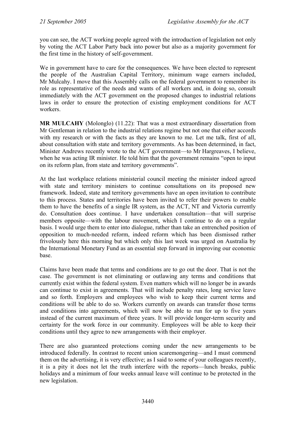you can see, the ACT working people agreed with the introduction of legislation not only by voting the ACT Labor Party back into power but also as a majority government for the first time in the history of self-government.

We in government have to care for the consequences. We have been elected to represent the people of the Australian Capital Territory, minimum wage earners included, Mr Mulcahy. I move that this Assembly calls on the federal government to remember its role as representative of the needs and wants of all workers and, in doing so, consult immediately with the ACT government on the proposed changes to industrial relations laws in order to ensure the protection of existing employment conditions for ACT workers.

**MR MULCAHY** (Molonglo) (11.22): That was a most extraordinary dissertation from Mr Gentleman in relation to the industrial relations regime but not one that either accords with my research or with the facts as they are known to me. Let me talk, first of all, about consultation with state and territory governments. As has been determined, in fact, Minister Andrews recently wrote to the ACT government—to Mr Hargreaves, I believe, when he was acting IR minister. He told him that the government remains "open to input on its reform plan, from state and territory governments".

At the last workplace relations ministerial council meeting the minister indeed agreed with state and territory ministers to continue consultations on its proposed new framework. Indeed, state and territory governments have an open invitation to contribute to this process. States and territories have been invited to refer their powers to enable them to have the benefits of a single IR system, as the ACT, NT and Victoria currently do. Consultation does continue. I have undertaken consultation—that will surprise members opposite—with the labour movement, which I continue to do on a regular basis. I would urge them to enter into dialogue, rather than take an entrenched position of opposition to much-needed reform, indeed reform which has been dismissed rather frivolously here this morning but which only this last week was urged on Australia by the International Monetary Fund as an essential step forward in improving our economic base.

Claims have been made that terms and conditions are to go out the door. That is not the case. The government is not eliminating or outlawing any terms and conditions that currently exist within the federal system. Even matters which will no longer be in awards can continue to exist in agreements. That will include penalty rates, long service leave and so forth. Employers and employees who wish to keep their current terms and conditions will be able to do so. Workers currently on awards can transfer those terms and conditions into agreements, which will now be able to run for up to five years instead of the current maximum of three years. It will provide longer-term security and certainty for the work force in our community. Employees will be able to keep their conditions until they agree to new arrangements with their employer.

There are also guaranteed protections coming under the new arrangements to be introduced federally. In contrast to recent union scaremongering—and I must commend them on the advertising, it is very effective; as I said to some of your colleagues recently, it is a pity it does not let the truth interfere with the reports—lunch breaks, public holidays and a minimum of four weeks annual leave will continue to be protected in the new legislation.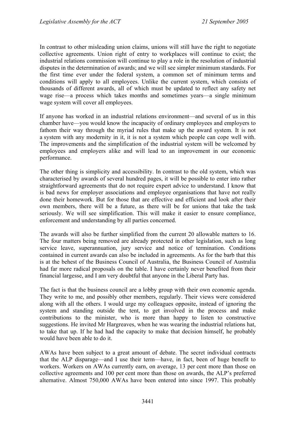In contrast to other misleading union claims, unions will still have the right to negotiate collective agreements. Union right of entry to workplaces will continue to exist; the industrial relations commission will continue to play a role in the resolution of industrial disputes in the determination of awards; and we will see simpler minimum standards. For the first time ever under the federal system, a common set of minimum terms and conditions will apply to all employees. Unlike the current system, which consists of thousands of different awards, all of which must be updated to reflect any safety net wage rise—a process which takes months and sometimes years—a single minimum wage system will cover all employees.

If anyone has worked in an industrial relations environment—and several of us in this chamber have—you would know the incapacity of ordinary employees and employers to fathom their way through the myriad rules that make up the award system. It is not a system with any modernity in it, it is not a system which people can cope well with. The improvements and the simplification of the industrial system will be welcomed by employees and employers alike and will lead to an improvement in our economic performance.

The other thing is simplicity and accessibility. In contrast to the old system, which was characterised by awards of several hundred pages, it will be possible to enter into rather straightforward agreements that do not require expert advice to understand. I know that is bad news for employer associations and employee organisations that have not really done their homework. But for those that are effective and efficient and look after their own members, there will be a future, as there will be for unions that take the task seriously. We will see simplification. This will make it easier to ensure compliance, enforcement and understanding by all parties concerned.

The awards will also be further simplified from the current 20 allowable matters to 16. The four matters being removed are already protected in other legislation, such as long service leave, superannuation, jury service and notice of termination. Conditions contained in current awards can also be included in agreements. As for the barb that this is at the behest of the Business Council of Australia, the Business Council of Australia had far more radical proposals on the table. I have certainly never benefited from their financial largesse, and I am very doubtful that anyone in the Liberal Party has.

The fact is that the business council are a lobby group with their own economic agenda. They write to me, and possibly other members, regularly. Their views were considered along with all the others. I would urge my colleagues opposite, instead of ignoring the system and standing outside the tent, to get involved in the process and make contributions to the minister, who is more than happy to listen to constructive suggestions. He invited Mr Hargreaves, when he was wearing the industrial relations hat, to take that up. If he had had the capacity to make that decision himself, he probably would have been able to do it.

AWAs have been subject to a great amount of debate. The secret individual contracts that the ALP disparage—and I use their term—have, in fact, been of huge benefit to workers. Workers on AWAs currently earn, on average, 13 per cent more than those on collective agreements and 100 per cent more than those on awards, the ALP's preferred alternative. Almost 750,000 AWAs have been entered into since 1997. This probably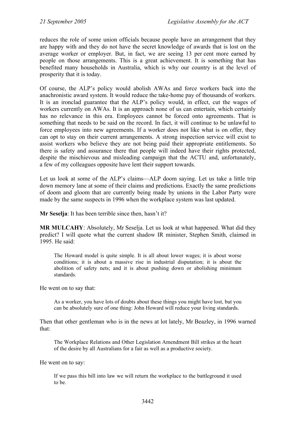reduces the role of some union officials because people have an arrangement that they are happy with and they do not have the secret knowledge of awards that is lost on the average worker or employer. But, in fact, we are seeing 13 per cent more earned by people on those arrangements. This is a great achievement. It is something that has benefited many households in Australia, which is why our country is at the level of prosperity that it is today.

Of course, the ALP's policy would abolish AWAs and force workers back into the anachronistic award system. It would reduce the take-home pay of thousands of workers. It is an ironclad guarantee that the ALP's policy would, in effect, cut the wages of workers currently on AWAs. It is an approach none of us can entertain, which certainly has no relevance in this era. Employees cannot be forced onto agreements. That is something that needs to be said on the record. In fact, it will continue to be unlawful to force employees into new agreements. If a worker does not like what is on offer, they can opt to stay on their current arrangements. A strong inspection service will exist to assist workers who believe they are not being paid their appropriate entitlements. So there is safety and assurance there that people will indeed have their rights protected, despite the mischievous and misleading campaign that the ACTU and, unfortunately, a few of my colleagues opposite have lent their support towards.

Let us look at some of the ALP's claims—ALP doom saying. Let us take a little trip down memory lane at some of their claims and predictions. Exactly the same predictions of doom and gloom that are currently being made by unions in the Labor Party were made by the same suspects in 1996 when the workplace system was last updated.

**Mr Seselja**: It has been terrible since then, hasn't it?

**MR MULCAHY**: Absolutely, Mr Seselja. Let us look at what happened. What did they predict? I will quote what the current shadow IR minister, Stephen Smith, claimed in 1995. He said:

The Howard model is quite simple. It is all about lower wages; it is about worse conditions; it is about a massive rise in industrial disputation; it is about the abolition of safety nets; and it is about pushing down or abolishing minimum standards.

He went on to say that:

As a worker, you have lots of doubts about these things you might have lost, but you can be absolutely sure of one thing: John Howard will reduce your living standards.

Then that other gentleman who is in the news at lot lately, Mr Beazley, in 1996 warned that:

The Workplace Relations and Other Legislation Amendment Bill strikes at the heart of the desire by all Australians for a fair as well as a productive society.

He went on to say:

If we pass this bill into law we will return the workplace to the battleground it used to be.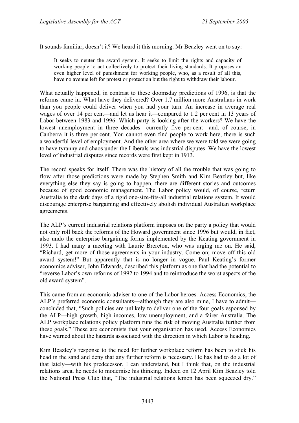It sounds familiar, doesn't it? We heard it this morning. Mr Beazley went on to say:

It seeks to neuter the award system. It seeks to limit the rights and capacity of working people to act collectively to protect their living standards. It proposes an even higher level of punishment for working people, who, as a result of all this, have no avenue left for protest or protection but the right to withdraw their labour.

What actually happened, in contrast to these doomsday predictions of 1996, is that the reforms came in. What have they delivered? Over 1.7 million more Australians in work than you people could deliver when you had your turn. An increase in average real wages of over 14 per cent—and let us hear it—compared to 1.2 per cent in 13 years of Labor between 1983 and 1996. Which party is looking after the workers? We have the lowest unemployment in three decades—currently five per cent—and, of course, in Canberra it is three per cent. You cannot even find people to work here, there is such a wonderful level of employment. And the other area where we were told we were going to have tyranny and chaos under the Liberals was industrial disputes. We have the lowest level of industrial disputes since records were first kept in 1913.

The record speaks for itself. There was the history of all the trouble that was going to flow after those predictions were made by Stephen Smith and Kim Beazley but, like everything else they say is going to happen, there are different stories and outcomes because of good economic management. The Labor policy would, of course, return Australia to the dark days of a rigid one-size-fits-all industrial relations system. It would discourage enterprise bargaining and effectively abolish individual Australian workplace agreements.

The ALP's current industrial relations platform imposes on the party a policy that would not only roll back the reforms of the Howard government since 1996 but would, in fact, also undo the enterprise bargaining forms implemented by the Keating government in 1993. I had many a meeting with Laurie Brereton, who was urging me on. He said, "Richard, get more of those agreements in your industry. Come on; move off this old award system!" But apparently that is no longer in vogue. Paul Keating's former economics adviser, John Edwards, described this platform as one that had the potential to "reverse Labor's own reforms of 1992 to 1994 and to reintroduce the worst aspects of the old award system".

This came from an economic adviser to one of the Labor heroes. Access Economics, the ALP's preferred economic consultants—although they are also mine, I have to admit concluded that, "Such policies are unlikely to deliver one of the four goals espoused by the ALP—high growth, high incomes, low unemployment, and a fairer Australia. The ALP workplace relations policy platform runs the risk of moving Australia further from these goals." These are economists that your organisation has used. Access Economics have warned about the hazards associated with the direction in which Labor is heading.

Kim Beazley's response to the need for further workplace reform has been to stick his head in the sand and deny that any further reform is necessary. He has had to do a lot of that lately—with his predecessor. I can understand, but I think that, on the industrial relations area, he needs to modernise his thinking. Indeed on 12 April Kim Beazley told the National Press Club that, "The industrial relations lemon has been squeezed dry."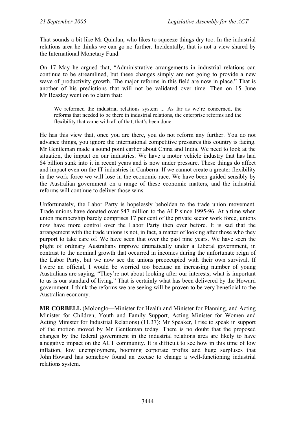That sounds a bit like Mr Quinlan, who likes to squeeze things dry too. In the industrial relations area he thinks we can go no further. Incidentally, that is not a view shared by the International Monetary Fund.

On 17 May he argued that, "Administrative arrangements in industrial relations can continue to be streamlined, but these changes simply are not going to provide a new wave of productivity growth. The major reforms in this field are now in place." That is another of his predictions that will not be validated over time. Then on 15 June Mr Beazley went on to claim that:

We reformed the industrial relations system ... As far as we're concerned, the reforms that needed to be there in industrial relations, the enterprise reforms and the flexibility that came with all of that, that's been done.

He has this view that, once you are there, you do not reform any further. You do not advance things, you ignore the international competitive pressures this country is facing. Mr Gentleman made a sound point earlier about China and India. We need to look at the situation, the impact on our industries. We have a motor vehicle industry that has had \$4 billion sunk into it in recent years and is now under pressure. These things do affect and impact even on the IT industries in Canberra. If we cannot create a greater flexibility in the work force we will lose in the economic race. We have been guided sensibly by the Australian government on a range of these economic matters, and the industrial reforms will continue to deliver those wins.

Unfortunately, the Labor Party is hopelessly beholden to the trade union movement. Trade unions have donated over \$47 million to the ALP since 1995-96. At a time when union membership barely comprises 17 per cent of the private sector work force, unions now have more control over the Labor Party then ever before. It is sad that the arrangement with the trade unions is not, in fact, a matter of looking after those who they purport to take care of. We have seen that over the past nine years. We have seen the plight of ordinary Australians improve dramatically under a Liberal government, in contrast to the nominal growth that occurred in incomes during the unfortunate reign of the Labor Party, but we now see the unions preoccupied with their own survival. If I were an official, I would be worried too because an increasing number of young Australians are saying, "They're not about looking after our interests; what is important to us is our standard of living." That is certainly what has been delivered by the Howard government. I think the reforms we are seeing will be proven to be very beneficial to the Australian economy.

**MR CORBELL** (Molonglo—Minister for Health and Minister for Planning, and Acting Minister for Children, Youth and Family Support, Acting Minister for Women and Acting Minister for Industrial Relations) (11.37): Mr Speaker, I rise to speak in support of the motion moved by Mr Gentleman today. There is no doubt that the proposed changes by the federal government in the industrial relations area are likely to have a negative impact on the ACT community. It is difficult to see how in this time of low inflation, low unemployment, booming corporate profits and huge surpluses that John Howard has somehow found an excuse to change a well-functioning industrial relations system.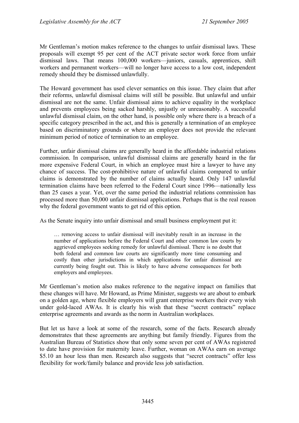Mr Gentleman's motion makes reference to the changes to unfair dismissal laws. These proposals will exempt 95 per cent of the ACT private sector work force from unfair dismissal laws. That means 100,000 workers—juniors, casuals, apprentices, shift workers and permanent workers—will no longer have access to a low cost, independent remedy should they be dismissed unlawfully.

The Howard government has used clever semantics on this issue. They claim that after their reforms, unlawful dismissal claims will still be possible. But unlawful and unfair dismissal are not the same. Unfair dismissal aims to achieve equality in the workplace and prevents employees being sacked harshly, unjustly or unreasonably. A successful unlawful dismissal claim, on the other hand, is possible only where there is a breach of a specific category prescribed in the act, and this is generally a termination of an employee based on discriminatory grounds or where an employer does not provide the relevant minimum period of notice of termination to an employee.

Further, unfair dismissal claims are generally heard in the affordable industrial relations commission. In comparison, unlawful dismissal claims are generally heard in the far more expensive Federal Court, in which an employee must hire a lawyer to have any chance of success. The cost-prohibitive nature of unlawful claims compared to unfair claims is demonstrated by the number of claims actually heard. Only 147 unlawful termination claims have been referred to the Federal Court since 1996—nationally less than 25 cases a year. Yet, over the same period the industrial relations commission has processed more than 50,000 unfair dismissal applications. Perhaps that is the real reason why the federal government wants to get rid of this option.

As the Senate inquiry into unfair dismissal and small business employment put it:

… removing access to unfair dismissal will inevitably result in an increase in the number of applications before the Federal Court and other common law courts by aggrieved employees seeking remedy for unlawful dismissal. There is no doubt that both federal and common law courts are significantly more time consuming and costly than other jurisdictions in which applications for unfair dismissal are currently being fought out. This is likely to have adverse consequences for both employers and employees.

Mr Gentleman's motion also makes reference to the negative impact on families that these changes will have. Mr Howard, as Prime Minister, suggests we are about to embark on a golden age, where flexible employers will grant enterprise workers their every wish under gold-laced AWAs. It is clearly his wish that these "secret contracts" replace enterprise agreements and awards as the norm in Australian workplaces.

But let us have a look at some of the research, some of the facts. Research already demonstrates that these agreements are anything but family friendly. Figures from the Australian Bureau of Statistics show that only some seven per cent of AWAs registered to date have provision for maternity leave. Further, woman on AWAs earn on average \$5.10 an hour less than men. Research also suggests that "secret contracts" offer less flexibility for work/family balance and provide less job satisfaction.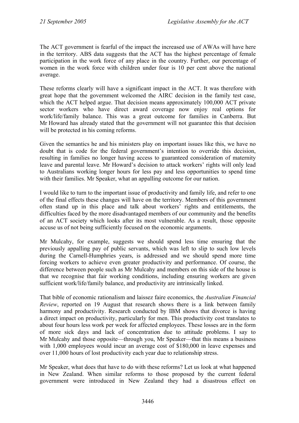The ACT government is fearful of the impact the increased use of AWAs will have here in the territory. ABS data suggests that the ACT has the highest percentage of female participation in the work force of any place in the country. Further, our percentage of women in the work force with children under four is 10 per cent above the national average.

These reforms clearly will have a significant impact in the ACT. It was therefore with great hope that the government welcomed the AIRC decision in the family test case, which the ACT helped argue. That decision means approximately 100,000 ACT private sector workers who have direct award coverage now enjoy real options for work/life/family balance. This was a great outcome for families in Canberra. But Mr Howard has already stated that the government will not guarantee this that decision will be protected in his coming reforms.

Given the semantics he and his ministers play on important issues like this, we have no doubt that is code for the federal government's intention to override this decision, resulting in families no longer having access to guaranteed consideration of maternity leave and parental leave. Mr Howard's decision to attack workers' rights will only lead to Australians working longer hours for less pay and less opportunities to spend time with their families. Mr Speaker, what an appalling outcome for our nation.

I would like to turn to the important issue of productivity and family life, and refer to one of the final effects these changes will have on the territory. Members of this government often stand up in this place and talk about workers' rights and entitlements, the difficulties faced by the more disadvantaged members of our community and the benefits of an ACT society which looks after its most vulnerable. As a result, those opposite accuse us of not being sufficiently focused on the economic arguments.

Mr Mulcahy, for example, suggests we should spend less time ensuring that the previously appalling pay of public servants, which was left to slip to such low levels during the Carnell-Humphries years, is addressed and we should spend more time forcing workers to achieve even greater productivity and performance. Of course, the difference between people such as Mr Mulcahy and members on this side of the house is that we recognise that fair working conditions, including ensuring workers are given sufficient work/life/family balance, and productivity are intrinsically linked.

That bible of economic rationalism and laissez faire economics, the *Australian Financial Review*, reported on 19 August that research shows there is a link between family harmony and productivity. Research conducted by IBM shows that divorce is having a direct impact on productivity, particularly for men. This productivity cost translates to about four hours less work per week for affected employees. These losses are in the form of more sick days and lack of concentration due to attitude problems. I say to Mr Mulcahy and those opposite—through you, Mr Speaker—that this means a business with 1,000 employees would incur an average cost of \$180,000 in leave expenses and over 11,000 hours of lost productivity each year due to relationship stress.

Mr Speaker, what does that have to do with these reforms? Let us look at what happened in New Zealand. When similar reforms to those proposed by the current federal government were introduced in New Zealand they had a disastrous effect on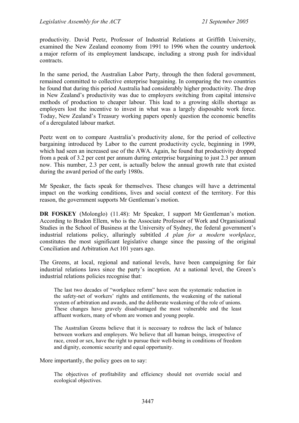productivity. David Peetz, Professor of Industrial Relations at Griffith University, examined the New Zealand economy from 1991 to 1996 when the country undertook a major reform of its employment landscape, including a strong push for individual contracts.

In the same period, the Australian Labor Party, through the then federal government, remained committed to collective enterprise bargaining. In comparing the two countries he found that during this period Australia had considerably higher productivity. The drop in New Zealand's productivity was due to employers switching from capital intensive methods of production to cheaper labour. This lead to a growing skills shortage as employers lost the incentive to invest in what was a largely disposable work force. Today, New Zealand's Treasury working papers openly question the economic benefits of a deregulated labour market.

Peetz went on to compare Australia's productivity alone, for the period of collective bargaining introduced by Labor to the current productivity cycle, beginning in 1999, which had seen an increased use of the AWA. Again, he found that productivity dropped from a peak of 3.2 per cent per annum during enterprise bargaining to just 2.3 per annum now. This number, 2.3 per cent, is actually below the annual growth rate that existed during the award period of the early 1980s.

Mr Speaker, the facts speak for themselves. These changes will have a detrimental impact on the working conditions, lives and social context of the territory. For this reason, the government supports Mr Gentleman's motion.

**DR FOSKEY** (Molonglo) (11.48): Mr Speaker, I support Mr Gentleman's motion. According to Bradon Ellem, who is the Associate Professor of Work and Organisational Studies in the School of Business at the University of Sydney, the federal government's industrial relations policy, alluringly subtitled *A plan for a modern workplace*, constitutes the most significant legislative change since the passing of the original Conciliation and Arbitration Act 101 years ago.

The Greens, at local, regional and national levels, have been campaigning for fair industrial relations laws since the party's inception. At a national level, the Green's industrial relations policies recognise that:

The last two decades of "workplace reform" have seen the systematic reduction in the safety-net of workers' rights and entitlements, the weakening of the national system of arbitration and awards, and the deliberate weakening of the role of unions. These changes have gravely disadvantaged the most vulnerable and the least affluent workers, many of whom are women and young people.

The Australian Greens believe that it is necessary to redress the lack of balance between workers and employers. We believe that all human beings, irrespective of race, creed or sex, have the right to pursue their well-being in conditions of freedom and dignity, economic security and equal opportunity.

More importantly, the policy goes on to say:

The objectives of profitability and efficiency should not override social and ecological objectives.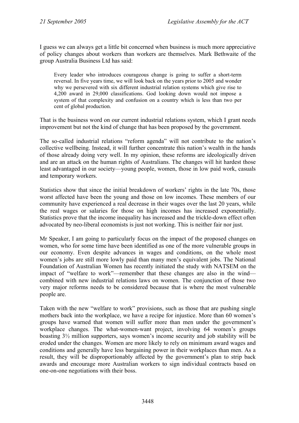I guess we can always get a little bit concerned when business is much more appreciative of policy changes about workers than workers are themselves. Mark Bethwaite of the group Australia Business Ltd has said:

Every leader who introduces courageous change is going to suffer a short-term reversal. In five years time, we will look back on the years prior to 2005 and wonder why we persevered with six different industrial relation systems which give rise to 4,200 award in 29,000 classifications. God looking down would not impose a system of that complexity and confusion on a country which is less than two per cent of global production.

That is the business word on our current industrial relations system, which I grant needs improvement but not the kind of change that has been proposed by the government.

The so-called industrial relations "reform agenda" will not contribute to the nation's collective wellbeing. Instead, it will further concentrate this nation's wealth in the hands of those already doing very well. In my opinion, these reforms are ideologically driven and are an attack on the human rights of Australians. The changes will hit hardest those least advantaged in our society—young people, women, those in low paid work, casuals and temporary workers.

Statistics show that since the initial breakdown of workers' rights in the late 70s, those worst affected have been the young and those on low incomes. These members of our community have experienced a real decrease in their wages over the last 20 years, while the real wages or salaries for those on high incomes has increased exponentially. Statistics prove that the income inequality has increased and the trickle-down effect often advocated by neo-liberal economists is just not working. This is neither fair nor just.

Mr Speaker, I am going to particularly focus on the impact of the proposed changes on women, who for some time have been identified as one of the more vulnerable groups in our economy. Even despite advances in wages and conditions, on the whole most women's jobs are still more lowly paid than many men's equivalent jobs. The National Foundation of Australian Women has recently initiated the study with NATSEM on the impact of "welfare to work"—remember that these changes are also in the wind combined with new industrial relations laws on women. The conjunction of those two very major reforms needs to be considered because that is where the most vulnerable people are.

Taken with the new "welfare to work" provisions, such as those that are pushing single mothers back into the workplace, we have a recipe for injustice. More than 60 women's groups have warned that women will suffer more than men under the government's workplace changes. The what-women-want project, involving 64 women's groups boasting 3½ million supporters, says women's income security and job stability will be eroded under the changes. Women are more likely to rely on minimum award wages and conditions and generally have less bargaining power in their workplaces than men. As a result, they will be disproportionably affected by the government's plan to strip back awards and encourage more Australian workers to sign individual contracts based on one-on-one negotiations with their boss.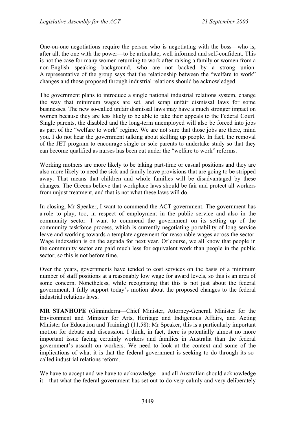One-on-one negotiations require the person who is negotiating with the boss—who is, after all, the one with the power—to be articulate, well informed and self-confident. This is not the case for many women returning to work after raising a family or women from a non-English speaking background, who are not backed by a strong union. A representative of the group says that the relationship between the "welfare to work" changes and those proposed through industrial relations should be acknowledged.

The government plans to introduce a single national industrial relations system, change the way that minimum wages are set, and scrap unfair dismissal laws for some businesses. The new so-called unfair dismissal laws may have a much stronger impact on women because they are less likely to be able to take their appeals to the Federal Court. Single parents, the disabled and the long-term unemployed will also be forced into jobs as part of the "welfare to work" regime. We are not sure that those jobs are there, mind you. I do not hear the government talking about skilling up people. In fact, the removal of the JET program to encourage single or sole parents to undertake study so that they can become qualified as nurses has been cut under the "welfare to work" reforms.

Working mothers are more likely to be taking part-time or casual positions and they are also more likely to need the sick and family leave provisions that are going to be stripped away. That means that children and whole families will be disadvantaged by these changes. The Greens believe that workplace laws should be fair and protect all workers from unjust treatment, and that is not what these laws will do.

In closing, Mr Speaker, I want to commend the ACT government. The government has a role to play, too, in respect of employment in the public service and also in the community sector. I want to commend the government on its setting up of the community taskforce process, which is currently negotiating portability of long service leave and working towards a template agreement for reasonable wages across the sector. Wage indexation is on the agenda for next year. Of course, we all know that people in the community sector are paid much less for equivalent work than people in the public sector; so this is not before time.

Over the years, governments have tended to cost services on the basis of a minimum number of staff positions at a reasonably low wage for award levels, so this is an area of some concern. Nonetheless, while recognising that this is not just about the federal government, I fully support today's motion about the proposed changes to the federal industrial relations laws.

**MR STANHOPE** (Ginninderra—Chief Minister, Attorney-General, Minister for the Environment and Minister for Arts, Heritage and Indigenous Affairs, and Acting Minister for Education and Training) (11.58): Mr Speaker, this is a particularly important motion for debate and discussion. I think, in fact, there is potentially almost no more important issue facing certainly workers and families in Australia than the federal government's assault on workers. We need to look at the context and some of the implications of what it is that the federal government is seeking to do through its socalled industrial relations reform.

We have to accept and we have to acknowledge—and all Australian should acknowledge it—that what the federal government has set out to do very calmly and very deliberately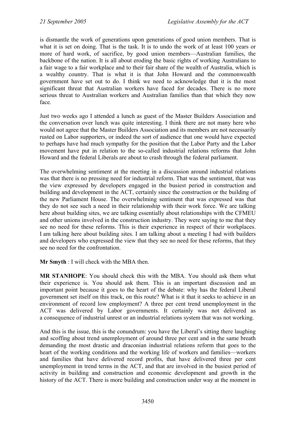is dismantle the work of generations upon generations of good union members. That is what it is set on doing. That is the task. It is to undo the work of at least 100 years or more of hard work, of sacrifice, by good union members—Australian families, the backbone of the nation. It is all about eroding the basic rights of working Australians to a fair wage to a fair workplace and to their fair share of the wealth of Australia, which is a wealthy country. That is what it is that John Howard and the commonwealth government have set out to do. I think we need to acknowledge that it is the most significant threat that Australian workers have faced for decades. There is no more serious threat to Australian workers and Australian families than that which they now face.

Just two weeks ago I attended a lunch as guest of the Master Builders Association and the conversation over lunch was quite interesting. I think there are not many here who would not agree that the Master Builders Association and its members are not necessarily rusted on Labor supporters, or indeed the sort of audience that one would have expected to perhaps have had much sympathy for the position that the Labor Party and the Labor movement have put in relation to the so-called industrial relations reforms that John Howard and the federal Liberals are about to crash through the federal parliament.

The overwhelming sentiment at the meeting in a discussion around industrial relations was that there is no pressing need for industrial reform. That was the sentiment, that was the view expressed by developers engaged in the busiest period in construction and building and development in the ACT, certainly since the construction or the building of the new Parliament House. The overwhelming sentiment that was expressed was that they do not see such a need in their relationship with their work force. We are talking here about building sites, we are talking essentially about relationships with the CFMEU and other unions involved in the construction industry. They were saying to me that they see no need for these reforms. This is their experience in respect of their workplaces. I am talking here about building sites. I am talking about a meeting I had with builders and developers who expressed the view that they see no need for these reforms, that they see no need for the confrontation.

**Mr Smyth** : I will check with the MBA then.

**MR STANHOPE**: You should check this with the MBA. You should ask them what their experience is. You should ask them. This is an important discussion and an important point because it goes to the heart of the debate: why has the federal Liberal government set itself on this track, on this route? What is it that it seeks to achieve in an environment of record low employment? A three per cent trend unemployment in the ACT was delivered by Labor governments. It certainly was not delivered as a consequence of industrial unrest or an industrial relations system that was not working.

And this is the issue, this is the conundrum: you have the Liberal's sitting there laughing and scoffing about trend unemployment of around three per cent and in the same breath demanding the most drastic and draconian industrial relations reform that goes to the heart of the working conditions and the working life of workers and families—workers and families that have delivered record profits, that have delivered three per cent unemployment in trend terms in the ACT, and that are involved in the busiest period of activity in building and construction and economic development and growth in the history of the ACT. There is more building and construction under way at the moment in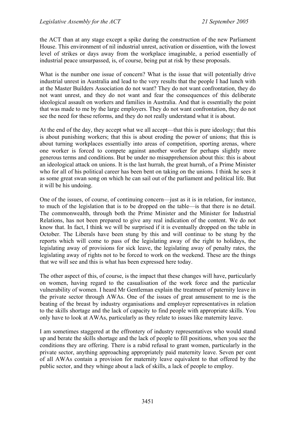the ACT than at any stage except a spike during the construction of the new Parliament House. This environment of nil industrial unrest, activation or dissention, with the lowest level of strikes or days away from the workplace imaginable, a period essentially of industrial peace unsurpassed, is, of course, being put at risk by these proposals.

What is the number one issue of concern? What is the issue that will potentially drive industrial unrest in Australia and lead to the very results that the people I had lunch with at the Master Builders Association do not want? They do not want confrontation, they do not want unrest, and they do not want and fear the consequences of this deliberate ideological assault on workers and families in Australia. And that is essentially the point that was made to me by the large employers. They do not want confrontation, they do not see the need for these reforms, and they do not really understand what it is about.

At the end of the day, they accept what we all accept—that this is pure ideology; that this is about punishing workers; that this is about eroding the power of unions; that this is about turning workplaces essentially into areas of competition, sporting arenas, where one worker is forced to compete against another worker for perhaps slightly more generous terms and conditions. But be under no misapprehension about this: this is about an ideological attack on unions. It is the last hurrah, the great hurrah, of a Prime Minister who for all of his political career has been bent on taking on the unions. I think he sees it as some great swan song on which he can sail out of the parliament and political life. But it will be his undoing.

One of the issues, of course, of continuing concern—just as it is in relation, for instance, to much of the legislation that is to be dropped on the table—is that there is no detail. The commonwealth, through both the Prime Minister and the Minister for Industrial Relations, has not been prepared to give any real indication of the content. We do not know that. In fact, I think we will be surprised if it is eventually dropped on the table in October. The Liberals have been stung by this and will continue to be stung by the reports which will come to pass of the legislating away of the right to holidays, the legislating away of provisions for sick leave, the legislating away of penalty rates, the legislating away of rights not to be forced to work on the weekend. These are the things that we will see and this is what has been expressed here today.

The other aspect of this, of course, is the impact that these changes will have, particularly on women, having regard to the casualisation of the work force and the particular vulnerability of women. I heard Mr Gentleman explain the treatment of paternity leave in the private sector through AWAs. One of the issues of great amusement to me is the beating of the breast by industry organisations and employer representatives in relation to the skills shortage and the lack of capacity to find people with appropriate skills. You only have to look at AWAs, particularly as they relate to issues like maternity leave.

I am sometimes staggered at the effrontery of industry representatives who would stand up and berate the skills shortage and the lack of people to fill positions, when you see the conditions they are offering. There is a rabid refusal to grant women, particularly in the private sector, anything approaching appropriately paid maternity leave. Seven per cent of all AWAs contain a provision for maternity leave equivalent to that offered by the public sector, and they whinge about a lack of skills, a lack of people to employ.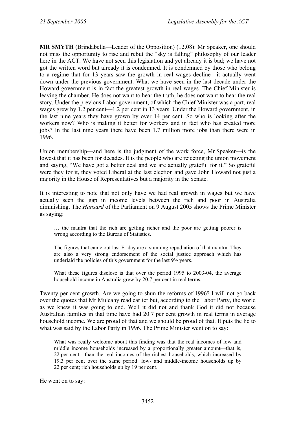**MR SMYTH** (Brindabella—Leader of the Opposition) (12.08): Mr Speaker, one should not miss the opportunity to rise and rebut the "sky is falling" philosophy of our leader here in the ACT. We have not seen this legislation and yet already it is bad; we have not got the written word but already it is condemned. It is condemned by those who belong to a regime that for 13 years saw the growth in real wages decline—it actually went down under the previous government. What we have seen in the last decade under the Howard government is in fact the greatest growth in real wages. The Chief Minister is leaving the chamber. He does not want to hear the truth, he does not want to hear the real story. Under the previous Labor government, of which the Chief Minister was a part, real wages grew by 1.2 per cent—1.2 per cent in 13 years. Under the Howard government, in the last nine years they have grown by over 14 per cent. So who is looking after the workers now? Who is making it better for workers and in fact who has created more jobs? In the last nine years there have been 1.7 million more jobs than there were in 1996.

Union membership—and here is the judgment of the work force, Mr Speaker—is the lowest that it has been for decades. It is the people who are rejecting the union movement and saying, "We have got a better deal and we are actually grateful for it." So grateful were they for it, they voted Liberal at the last election and gave John Howard not just a majority in the House of Representatives but a majority in the Senate.

It is interesting to note that not only have we had real growth in wages but we have actually seen the gap in income levels between the rich and poor in Australia diminishing. The *Hansard* of the Parliament on 9 August 2005 shows the Prime Minister as saying:

… the mantra that the rich are getting richer and the poor are getting poorer is wrong according to the Bureau of Statistics.

The figures that came out last Friday are a stunning repudiation of that mantra. They are also a very strong endorsement of the social justice approach which has underlaid the policies of this government for the last 9½ years.

What these figures disclose is that over the period 1995 to 2003-04, the average household income in Australia grew by 20.7 per cent in real terms.

Twenty per cent growth. Are we going to shun the reforms of 1996? I will not go back over the quotes that Mr Mulcahy read earlier but, according to the Labor Party, the world as we knew it was going to end. Well it did not and thank God it did not because Australian families in that time have had 20.7 per cent growth in real terms in average household income. We are proud of that and we should be proud of that. It puts the lie to what was said by the Labor Party in 1996. The Prime Minister went on to say:

What was really welcome about this finding was that the real incomes of low and middle income households increased by a proportionally greater amount—that is, 22 per cent—than the real incomes of the richest households, which increased by 19.3 per cent over the same period: low- and middle-income households up by 22 per cent; rich households up by 19 per cent.

He went on to say: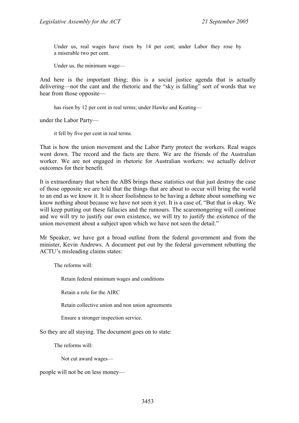Under us, real wages have risen by 14 per cent; under Labor they rose by a miserable two per cent.

Under us, the minimum wage—

And here is the important thing; this is a social justice agenda that is actually delivering—not the cant and the rhetoric and the "sky is falling" sort of words that we hear from those opposite—

has risen by 12 per cent in real terms; under Hawke and Keating—

under the Labor Party—

it fell by five per cent in real terms.

That is how the union movement and the Labor Party protect the workers. Real wages went down. The record and the facts are there. We are the friends of the Australian worker. We are not engaged in rhetoric for Australian workers: we actually deliver outcomes for their benefit.

It is extraordinary that when the ABS brings these statistics out that just destroy the case of those opposite we are told that the things that are about to occur will bring the world to an end as we know it. It is sheer foolishness to be having a debate about something we know nothing about because we have not seen it yet. It is a case of, "But that is okay. We will keep putting out these fallacies and the rumours. The scaremongering will continue and we will try to justify our own existence, we will try to justify the existence of the union movement about a subject upon which we have not seen the detail."

Mr Speaker, we have got a broad outline from the federal government and from the minister, Kevin Andrews. A document put out by the federal government rebutting the ACTU's misleading claims states:

The reforms will:

Retain federal minimum wages and conditions

Retain a role for the AIRC

Retain collective union and non union agreements

Ensure a stronger inspection service.

So they are all staying. The document goes on to state:

The reforms will:

Not cut award wages—

people will not be on less money—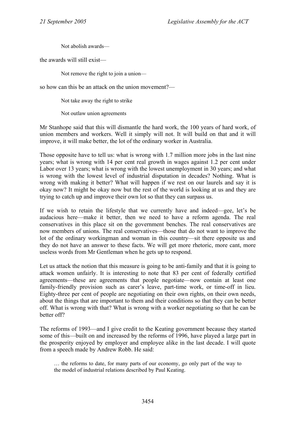Not abolish awards—

the awards will still exist—

Not remove the right to join a union—

so how can this be an attack on the union movement?—

Not take away the right to strike

Not outlaw union agreements

Mr Stanhope said that this will dismantle the hard work, the 100 years of hard work, of union members and workers. Well it simply will not. It will build on that and it will improve, it will make better, the lot of the ordinary worker in Australia.

Those opposite have to tell us: what is wrong with 1.7 million more jobs in the last nine years; what is wrong with 14 per cent real growth in wages against 1.2 per cent under Labor over 13 years; what is wrong with the lowest unemployment in 30 years; and what is wrong with the lowest level of industrial disputation in decades? Nothing. What is wrong with making it better? What will happen if we rest on our laurels and say it is okay now? It might be okay now but the rest of the world is looking at us and they are trying to catch up and improve their own lot so that they can surpass us.

If we wish to retain the lifestyle that we currently have and indeed—gee, let's be audacious here—make it better, then we need to have a reform agenda. The real conservatives in this place sit on the government benches. The real conservatives are now members of unions. The real conservatives—those that do not want to improve the lot of the ordinary workingman and woman in this country—sit there opposite us and they do not have an answer to these facts. We will get more rhetoric, more cant, more useless words from Mr Gentleman when he gets up to respond.

Let us attack the notion that this measure is going to be anti-family and that it is going to attack women unfairly. It is interesting to note that 83 per cent of federally certified agreements—these are agreements that people negotiate—now contain at least one family-friendly provision such as carer's leave, part-time work, or time-off in lieu. Eighty-three per cent of people are negotiating on their own rights, on their own needs, about the things that are important to them and their conditions so that they can be better off. What is wrong with that? What is wrong with a worker negotiating so that he can be better off?

The reforms of 1993—and I give credit to the Keating government because they started some of this—built on and increased by the reforms of 1996, have played a large part in the prosperity enjoyed by employer and employee alike in the last decade. I will quote from a speech made by Andrew Robb. He said:

<sup>…</sup> the reforms to date, for many parts of our economy, go only part of the way to the model of industrial relations described by Paul Keating.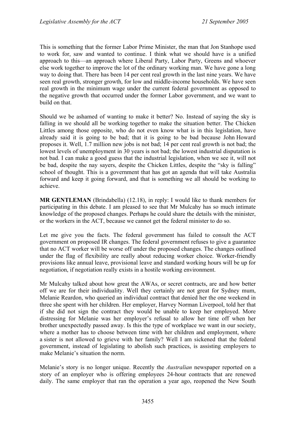This is something that the former Labor Prime Minister, the man that Jon Stanhope used to work for, saw and wanted to continue. I think what we should have is a unified approach to this—an approach where Liberal Party, Labor Party, Greens and whoever else work together to improve the lot of the ordinary working man. We have gone a long way to doing that. There has been 14 per cent real growth in the last nine years. We have seen real growth, stronger growth, for low and middle-income households. We have seen real growth in the minimum wage under the current federal government as opposed to the negative growth that occurred under the former Labor government, and we want to build on that.

Should we be ashamed of wanting to make it better? No. Instead of saying the sky is falling in we should all be working together to make the situation better. The Chicken Littles among those opposite, who do not even know what is in this legislation, have already said it is going to be bad; that it is going to be bad because John Howard proposes it. Well, 1.7 million new jobs is not bad; 14 per cent real growth is not bad; the lowest levels of unemployment in 30 years is not bad; the lowest industrial disputation is not bad. I can make a good guess that the industrial legislation, when we see it, will not be bad, despite the nay sayers, despite the Chicken Littles, despite the "sky is falling" school of thought. This is a government that has got an agenda that will take Australia forward and keep it going forward, and that is something we all should be working to achieve.

**MR GENTLEMAN** (Brindabella) (12.18), in reply: I would like to thank members for participating in this debate. I am pleased to see that Mr Mulcahy has so much intimate knowledge of the proposed changes. Perhaps he could share the details with the minister, or the workers in the ACT, because we cannot get the federal minister to do so.

Let me give you the facts. The federal government has failed to consult the ACT government on proposed IR changes. The federal government refuses to give a guarantee that no ACT worker will be worse off under the proposed changes. The changes outlined under the flag of flexibility are really about reducing worker choice. Worker-friendly provisions like annual leave, provisional leave and standard working hours will be up for negotiation, if negotiation really exists in a hostile working environment.

Mr Mulcahy talked about how great the AWAs, or secret contracts, are and how better off we are for their individuality. Well they certainly are not great for Sydney mum, Melanie Reardon, who queried an individual contract that denied her the one weekend in three she spent with her children. Her employer, Harvey Norman Liverpool, told her that if she did not sign the contract they would be unable to keep her employed. More distressing for Melanie was her employer's refusal to allow her time off when her brother unexpectedly passed away. Is this the type of workplace we want in our society, where a mother has to choose between time with her children and employment, where a sister is not allowed to grieve with her family? Well I am sickened that the federal government, instead of legislating to abolish such practices, is assisting employers to make Melanie's situation the norm.

Melanie's story is no longer unique. Recently the *Australian* newspaper reported on a story of an employer who is offering employees 24-hour contracts that are renewed daily. The same employer that ran the operation a year ago, reopened the New South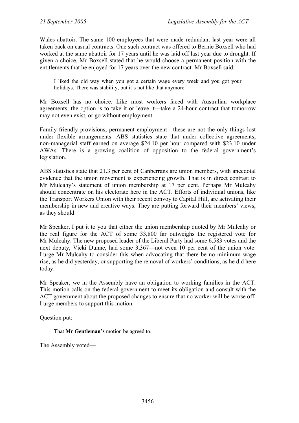Wales abattoir. The same 100 employees that were made redundant last year were all taken back on casual contracts. One such contract was offered to Bernie Boxsell who had worked at the same abattoir for 17 years until he was laid off last year due to drought. If given a choice, Mr Boxsell stated that he would choose a permanent position with the entitlements that he enjoyed for 17 years over the new contract. Mr Boxsell said:

I liked the old way when you got a certain wage every week and you got your holidays. There was stability, but it's not like that anymore.

Mr Boxsell has no choice. Like most workers faced with Australian workplace agreements, the option is to take it or leave it—take a 24-hour contract that tomorrow may not even exist, or go without employment.

Family-friendly provisions, permanent employment—these are not the only things lost under flexible arrangements. ABS statistics state that under collective agreements, non-managerial staff earned on average \$24.10 per hour compared with \$23.10 under AWAs. There is a growing coalition of opposition to the federal government's legislation.

ABS statistics state that 21.3 per cent of Canberrans are union members, with anecdotal evidence that the union movement is experiencing growth. That is in direct contrast to Mr Mulcahy's statement of union membership at 17 per cent. Perhaps Mr Mulcahy should concentrate on his electorate here in the ACT. Efforts of individual unions, like the Transport Workers Union with their recent convoy to Capital Hill, are activating their membership in new and creative ways. They are putting forward their members' views, as they should.

Mr Speaker, I put it to you that either the union membership quoted by Mr Mulcahy or the real figure for the ACT of some 33,800 far outweighs the registered vote for Mr Mulcahy. The new proposed leader of the Liberal Party had some 6,583 votes and the next deputy, Vicki Dunne, had some 3,367—not even 10 per cent of the union vote. I urge Mr Mulcahy to consider this when advocating that there be no minimum wage rise, as he did yesterday, or supporting the removal of workers' conditions, as he did here today.

Mr Speaker, we in the Assembly have an obligation to working families in the ACT. This motion calls on the federal government to meet its obligation and consult with the ACT government about the proposed changes to ensure that no worker will be worse off. I urge members to support this motion.

Question put:

That **Mr Gentleman's** motion be agreed to.

The Assembly voted—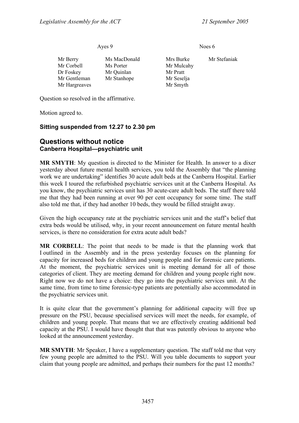Ayes 9 Noes 6

| Mr Berry      | Ms MacDonald | Mrs Burke  | Mr Stefaniak |
|---------------|--------------|------------|--------------|
| Mr Corbell    | Ms Porter    | Mr Mulcahy |              |
| Dr Foskey     | Mr Quinlan   | Mr Pratt   |              |
| Mr Gentleman  | Mr Stanhope  | Mr Seselja |              |
|               |              |            |              |
| Mr Hargreaves |              | Mr Smyth   |              |

Question so resolved in the affirmative.

Motion agreed to.

#### **Sitting suspended from 12.27 to 2.30 pm**

### <span id="page-34-0"></span>**Questions without notice Canberra Hospital—psychiatric unit**

**MR SMYTH**: My question is directed to the Minister for Health. In answer to a dixer yesterday about future mental health services, you told the Assembly that "the planning work we are undertaking" identifies 30 acute adult beds at the Canberra Hospital. Earlier this week I toured the refurbished psychiatric services unit at the Canberra Hospital. As you know, the psychiatric services unit has 30 acute-care adult beds. The staff there told me that they had been running at over 90 per cent occupancy for some time. The staff also told me that, if they had another 10 beds, they would be filled straight away.

Given the high occupancy rate at the psychiatric services unit and the staff's belief that extra beds would be utilised, why, in your recent announcement on future mental health services, is there no consideration for extra acute adult beds?

**MR CORBELL**: The point that needs to be made is that the planning work that I outlined in the Assembly and in the press yesterday focuses on the planning for capacity for increased beds for children and young people and for forensic care patients. At the moment, the psychiatric services unit is meeting demand for all of those categories of client. They are meeting demand for children and young people right now. Right now we do not have a choice: they go into the psychiatric services unit. At the same time, from time to time forensic-type patients are potentially also accommodated in the psychiatric services unit.

It is quite clear that the government's planning for additional capacity will free up pressure on the PSU, because specialised services will meet the needs, for example, of children and young people. That means that we are effectively creating additional bed capacity at the PSU. I would have thought that that was patently obvious to anyone who looked at the announcement yesterday.

**MR SMYTH**: Mr Speaker, I have a supplementary question. The staff told me that very few young people are admitted to the PSU. Will you table documents to support your claim that young people are admitted, and perhaps their numbers for the past 12 months?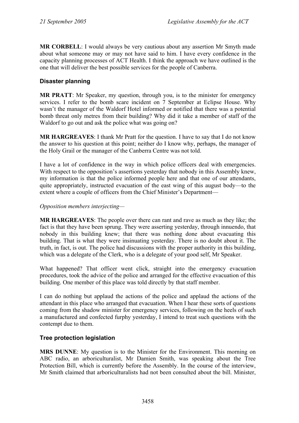**MR CORBELL**: I would always be very cautious about any assertion Mr Smyth made about what someone may or may not have said to him. I have every confidence in the capacity planning processes of ACT Health. I think the approach we have outlined is the one that will deliver the best possible services for the people of Canberra.

## <span id="page-35-0"></span>**Disaster planning**

**MR PRATT**: Mr Speaker, my question, through you, is to the minister for emergency services. I refer to the bomb scare incident on 7 September at Eclipse House. Why wasn't the manager of the Waldorf Hotel informed or notified that there was a potential bomb threat only metres from their building? Why did it take a member of staff of the Waldorf to go out and ask the police what was going on?

**MR HARGREAVES**: I thank Mr Pratt for the question. I have to say that I do not know the answer to his question at this point; neither do I know why, perhaps, the manager of the Holy Grail or the manager of the Canberra Centre was not told.

I have a lot of confidence in the way in which police officers deal with emergencies. With respect to the opposition's assertions yesterday that nobody in this Assembly knew, my information is that the police informed people here and that one of our attendants, quite appropriately, instructed evacuation of the east wing of this august body—to the extent where a couple of officers from the Chief Minister's Department—

#### *Opposition members interjecting—*

**MR HARGREAVES**: The people over there can rant and rave as much as they like; the fact is that they have been sprung. They were asserting yesterday, through innuendo, that nobody in this building knew; that there was nothing done about evacuating this building. That is what they were insinuating yesterday. There is no doubt about it. The truth, in fact, is out. The police had discussions with the proper authority in this building, which was a delegate of the Clerk, who is a delegate of your good self, Mr Speaker.

What happened? That officer went click, straight into the emergency evacuation procedures, took the advice of the police and arranged for the effective evacuation of this building. One member of this place was told directly by that staff member.

I can do nothing but applaud the actions of the police and applaud the actions of the attendant in this place who arranged that evacuation. When I hear these sorts of questions coming from the shadow minister for emergency services, following on the heels of such a manufactured and confected furphy yesterday, I intend to treat such questions with the contempt due to them.

### <span id="page-35-1"></span>**Tree protection legislation**

**MRS DUNNE**: My question is to the Minister for the Environment. This morning on ABC radio, an arboriculturalist, Mr Damien Smith, was speaking about the Tree Protection Bill, which is currently before the Assembly. In the course of the interview, Mr Smith claimed that arboriculturalists had not been consulted about the bill. Minister,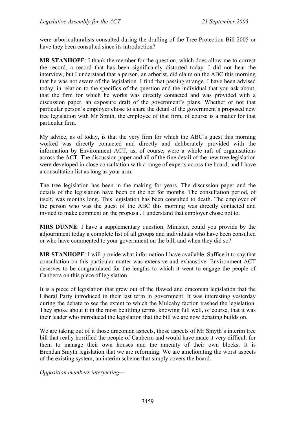were arboriculturalists consulted during the drafting of the Tree Protection Bill 2005 or have they been consulted since its introduction?

**MR STANHOPE**: I thank the member for the question, which does allow me to correct the record, a record that has been significantly distorted today. I did not hear the interview, but I understand that a person, an arborist, did claim on the ABC this morning that he was not aware of the legislation. I find that passing strange. I have been advised today, in relation to the specifics of the question and the individual that you ask about, that the firm for which he works was directly contacted and was provided with a discussion paper, an exposure draft of the government's plans. Whether or not that particular person's employer chose to share the detail of the government's proposed new tree legislation with Mr Smith, the employee of that firm, of course is a matter for that particular firm.

My advice, as of today, is that the very firm for which the ABC's guest this morning worked was directly contacted and directly and deliberately provided with the information by Environment ACT, as, of course, were a whole raft of organisations across the ACT. The discussion paper and all of the fine detail of the new tree legislation were developed in close consultation with a range of experts across the board, and I have a consultation list as long as your arm.

The tree legislation has been in the making for years. The discussion paper and the details of the legislation have been on the net for months. The consultation period, of itself, was months long. This legislation has been consulted to death. The employer of the person who was the guest of the ABC this morning was directly contacted and invited to make comment on the proposal. I understand that employer chose not to.

**MRS DUNNE**: I have a supplementary question. Minister, could you provide by the adjournment today a complete list of all groups and individuals who have been consulted or who have commented to your government on the bill, and when they did so?

**MR STANHOPE**: I will provide what information I have available. Suffice it to say that consultation on this particular matter was extensive and exhaustive. Environment ACT deserves to be congratulated for the lengths to which it went to engage the people of Canberra on this piece of legislation.

It is a piece of legislation that grew out of the flawed and draconian legislation that the Liberal Party introduced in their last term in government. It was interesting yesterday during the debate to see the extent to which the Mulcahy faction trashed the legislation. They spoke about it in the most belittling terms, knowing full well, of course, that it was their leader who introduced the legislation that the bill we are now debating builds on.

We are taking out of it those draconian aspects, those aspects of Mr Smyth's interim tree bill that really horrified the people of Canberra and would have made it very difficult for them to manage their own houses and the amenity of their own blocks. It is Brendan Smyth legislation that we are reforming. We are ameliorating the worst aspects of the existing system, an interim scheme that simply covers the board.

*Opposition members interjecting—*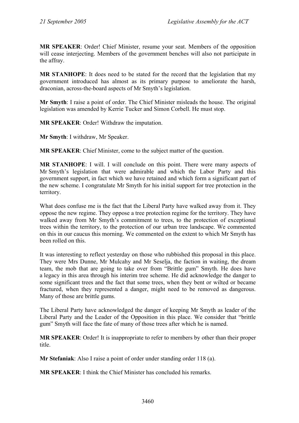**MR SPEAKER**: Order! Chief Minister, resume your seat. Members of the opposition will cease interjecting. Members of the government benches will also not participate in the affray.

**MR STANHOPE**: It does need to be stated for the record that the legislation that my government introduced has almost as its primary purpose to ameliorate the harsh, draconian, across-the-board aspects of Mr Smyth's legislation.

**Mr Smyth**: I raise a point of order. The Chief Minister misleads the house. The original legislation was amended by Kerrie Tucker and Simon Corbell. He must stop.

**MR SPEAKER**: Order! Withdraw the imputation.

**Mr Smyth**: I withdraw, Mr Speaker.

**MR SPEAKER**: Chief Minister, come to the subject matter of the question.

**MR STANHOPE**: I will. I will conclude on this point. There were many aspects of Mr Smyth's legislation that were admirable and which the Labor Party and this government support, in fact which we have retained and which form a significant part of the new scheme. I congratulate Mr Smyth for his initial support for tree protection in the territory.

What does confuse me is the fact that the Liberal Party have walked away from it. They oppose the new regime. They oppose a tree protection regime for the territory. They have walked away from Mr Smyth's commitment to trees, to the protection of exceptional trees within the territory, to the protection of our urban tree landscape. We commented on this in our caucus this morning. We commented on the extent to which Mr Smyth has been rolled on this.

It was interesting to reflect yesterday on those who rubbished this proposal in this place. They were Mrs Dunne, Mr Mulcahy and Mr Seselja, the faction in waiting, the dream team, the mob that are going to take over from "Brittle gum" Smyth. He does have a legacy in this area through his interim tree scheme. He did acknowledge the danger to some significant trees and the fact that some trees, when they bent or wilted or became fractured, when they represented a danger, might need to be removed as dangerous. Many of those are brittle gums.

The Liberal Party have acknowledged the danger of keeping Mr Smyth as leader of the Liberal Party and the Leader of the Opposition in this place. We consider that "brittle gum" Smyth will face the fate of many of those trees after which he is named.

**MR SPEAKER**: Order! It is inappropriate to refer to members by other than their proper title.

**Mr Stefaniak**: Also I raise a point of order under standing order 118 (a).

**MR SPEAKER**: I think the Chief Minister has concluded his remarks.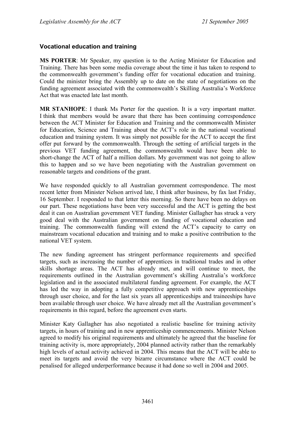#### **Vocational education and training**

**MS PORTER**: Mr Speaker, my question is to the Acting Minister for Education and Training. There has been some media coverage about the time it has taken to respond to the commonwealth government's funding offer for vocational education and training. Could the minister bring the Assembly up to date on the state of negotiations on the funding agreement associated with the commonwealth's Skilling Australia's Workforce Act that was enacted late last month.

**MR STANHOPE**: I thank Ms Porter for the question. It is a very important matter. I think that members would be aware that there has been continuing correspondence between the ACT Minister for Education and Training and the commonwealth Minister for Education, Science and Training about the ACT's role in the national vocational education and training system. It was simply not possible for the ACT to accept the first offer put forward by the commonwealth. Through the setting of artificial targets in the previous VET funding agreement, the commonwealth would have been able to short-change the ACT of half a million dollars. My government was not going to allow this to happen and so we have been negotiating with the Australian government on reasonable targets and conditions of the grant.

We have responded quickly to all Australian government correspondence. The most recent letter from Minister Nelson arrived late, I think after business, by fax last Friday, 16 September. I responded to that letter this morning. So there have been no delays on our part. These negotiations have been very successful and the ACT is getting the best deal it can on Australian government VET funding. Minister Gallagher has struck a very good deal with the Australian government on funding of vocational education and training. The commonwealth funding will extend the ACT's capacity to carry on mainstream vocational education and training and to make a positive contribution to the national VET system.

The new funding agreement has stringent performance requirements and specified targets, such as increasing the number of apprentices in traditional trades and in other skills shortage areas. The ACT has already met, and will continue to meet, the requirements outlined in the Australian government's skilling Australia's workforce legislation and in the associated multilateral funding agreement. For example, the ACT has led the way in adopting a fully competitive approach with new apprenticeships through user choice, and for the last six years all apprenticeships and traineeships have been available through user choice. We have already met all the Australian government's requirements in this regard, before the agreement even starts.

Minister Katy Gallagher has also negotiated a realistic baseline for training activity targets, in hours of training and in new apprenticeship commencements. Minister Nelson agreed to modify his original requirements and ultimately he agreed that the baseline for training activity is, more appropriately, 2004 planned activity rather than the remarkably high levels of actual activity achieved in 2004. This means that the ACT will be able to meet its targets and avoid the very bizarre circumstance where the ACT could be penalised for alleged underperformance because it had done so well in 2004 and 2005.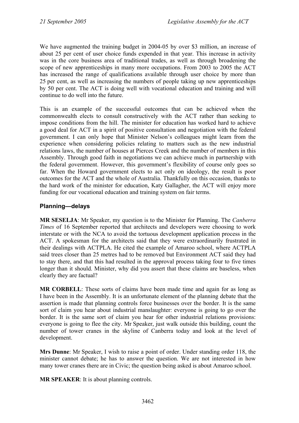We have augmented the training budget in 2004-05 by over \$3 million, an increase of about 25 per cent of user choice funds expended in that year. This increase in activity was in the core business area of traditional trades, as well as through broadening the scope of new apprenticeships in many more occupations. From 2003 to 2005 the ACT has increased the range of qualifications available through user choice by more than 25 per cent, as well as increasing the numbers of people taking up new apprenticeships by 50 per cent. The ACT is doing well with vocational education and training and will continue to do well into the future.

This is an example of the successful outcomes that can be achieved when the commonwealth elects to consult constructively with the ACT rather than seeking to impose conditions from the hill. The minister for education has worked hard to achieve a good deal for ACT in a spirit of positive consultation and negotiation with the federal government. I can only hope that Minister Nelson's colleagues might learn from the experience when considering policies relating to matters such as the new industrial relations laws, the number of houses at Pierces Creek and the number of members in this Assembly. Through good faith in negotiations we can achieve much in partnership with the federal government. However, this government's flexibility of course only goes so far. When the Howard government elects to act only on ideology, the result is poor outcomes for the ACT and the whole of Australia. Thankfully on this occasion, thanks to the hard work of the minister for education, Katy Gallagher, the ACT will enjoy more funding for our vocational education and training system on fair terms.

### **Planning—delays**

**MR SESELJA**: Mr Speaker, my question is to the Minister for Planning. The *Canberra Times* of 16 September reported that architects and developers were choosing to work interstate or with the NCA to avoid the tortuous development application process in the ACT. A spokesman for the architects said that they were extraordinarily frustrated in their dealings with ACTPLA. He cited the example of Amaroo school, where ACTPLA said trees closer than 25 metres had to be removed but Environment ACT said they had to stay there, and that this had resulted in the approval process taking four to five times longer than it should. Minister, why did you assert that these claims are baseless, when clearly they are factual?

**MR CORBELL**: These sorts of claims have been made time and again for as long as I have been in the Assembly. It is an unfortunate element of the planning debate that the assertion is made that planning controls force businesses over the border. It is the same sort of claim you hear about industrial manslaughter: everyone is going to go over the border. It is the same sort of claim you hear for other industrial relations provisions: everyone is going to flee the city. Mr Speaker, just walk outside this building, count the number of tower cranes in the skyline of Canberra today and look at the level of development.

**Mrs Dunne**: Mr Speaker, I wish to raise a point of order. Under standing order 118, the minister cannot debate; he has to answer the question. We are not interested in how many tower cranes there are in Civic; the question being asked is about Amaroo school.

**MR SPEAKER**: It is about planning controls.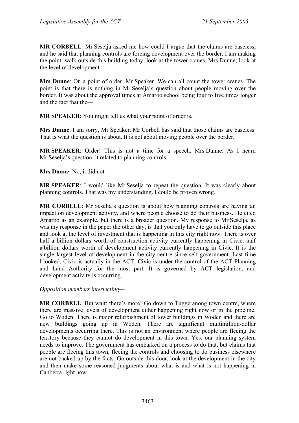**MR CORBELL**: Mr Seselja asked me how could I argue that the claims are baseless, and he said that planning controls are forcing development over the border. I am making the point: walk outside this building today, look at the tower cranes, Mrs Dunne; look at the level of development.

**Mrs Dunne**: On a point of order, Mr Speaker. We can all count the tower cranes. The point is that there is nothing in Mr Seselja's question about people moving over the border. It was about the approval times at Amaroo school being four to five times longer and the fact that the—

**MR SPEAKER**: You might tell us what your point of order is.

**Mrs Dunne**: I am sorry, Mr Speaker. Mr Corbell has said that those claims are baseless. That is what the question is about. It is not about moving people over the border.

**MR SPEAKER**: Order! This is not a time for a speech, Mrs Dunne. As I heard Mr Seselja's question, it related to planning controls.

**Mrs Dunne**: No, it did not.

**MR SPEAKER**: I would like Mr Seselja to repeat the question. It was clearly about planning controls. That was my understanding. I could be proven wrong.

**MR CORBELL**: Mr Seselja's question is about how planning controls are having an impact on development activity, and where people choose to do their business. He cited Amaroo as an example, but there is a broader question. My response to Mr Seselja, as was my response in the paper the other day, is that you only have to go outside this place and look at the level of investment that is happening in this city right now. There is over half a billion dollars worth of construction activity currently happening in Civic, half a billion dollars worth of development activity currently happening in Civic. It is the single largest level of development in the city centre since self-government. Last time I looked, Civic is actually in the ACT; Civic is under the control of the ACT Planning and Land Authority for the most part. It is governed by ACT legislation, and development activity is occurring.

*Opposition members interjecting—* 

**MR CORBELL**: But wait; there's more! Go down to Tuggeranong town centre, where there are massive levels of development either happening right now or in the pipeline. Go to Woden. There is major refurbishment of tower buildings in Woden and there are new buildings going up in Woden. There are significant multimillion-dollar developments occurring there. This is not an environment where people are fleeing the territory because they cannot do development in this town. Yes, our planning system needs to improve. The government has embarked on a process to do that, but claims that people are fleeing this town, fleeing the controls and choosing to do business elsewhere are not backed up by the facts. Go outside this door, look at the development in the city and then make some reasoned judgments about what is and what is not happening in Canberra right now.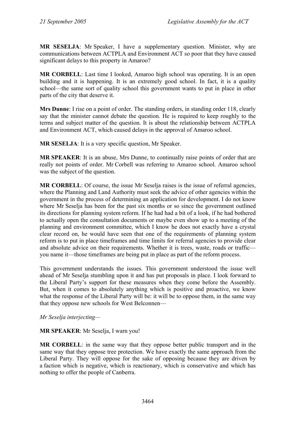**MR SESELJA**: Mr Speaker, I have a supplementary question. Minister, why are communications between ACTPLA and Environment ACT so poor that they have caused significant delays to this property in Amaroo?

**MR CORBELL**: Last time I looked, Amaroo high school was operating. It is an open building and it is happening. It is an extremely good school. In fact, it is a quality school—the same sort of quality school this government wants to put in place in other parts of the city that deserve it.

**Mrs Dunne**: I rise on a point of order. The standing orders, in standing order 118, clearly say that the minister cannot debate the question. He is required to keep roughly to the terms and subject matter of the question. It is about the relationship between ACTPLA and Environment ACT, which caused delays in the approval of Amaroo school.

**MR SESELJA**: It is a very specific question, Mr Speaker.

**MR SPEAKER**: It is an abuse, Mrs Dunne, to continually raise points of order that are really not points of order. Mr Corbell was referring to Amaroo school. Amaroo school was the subject of the question.

**MR CORBELL**: Of course, the issue Mr Seselja raises is the issue of referral agencies, where the Planning and Land Authority must seek the advice of other agencies within the government in the process of determining an application for development. I do not know where Mr Seselja has been for the past six months or so since the government outlined its directions for planning system reform. If he had had a bit of a look, if he had bothered to actually open the consultation documents or maybe even show up to a meeting of the planning and environment committee, which I know he does not exactly have a crystal clear record on, he would have seen that one of the requirements of planning system reform is to put in place timeframes and time limits for referral agencies to provide clear and absolute advice on their requirements. Whether it is trees, waste, roads or traffic you name it—those timeframes are being put in place as part of the reform process.

This government understands the issues. This government understood the issue well ahead of Mr Seselja stumbling upon it and has put proposals in place. I look forward to the Liberal Party's support for these measures when they come before the Assembly. But, when it comes to absolutely anything which is positive and proactive, we know what the response of the Liberal Party will be: it will be to oppose them, in the same way that they oppose new schools for West Belconnen—

*Mr Seselja interjecting—* 

**MR SPEAKER**: Mr Seselja, I warn you!

**MR CORBELL**: in the same way that they oppose better public transport and in the same way that they oppose tree protection. We have exactly the same approach from the Liberal Party. They will oppose for the sake of opposing because they are driven by a faction which is negative, which is reactionary, which is conservative and which has nothing to offer the people of Canberra.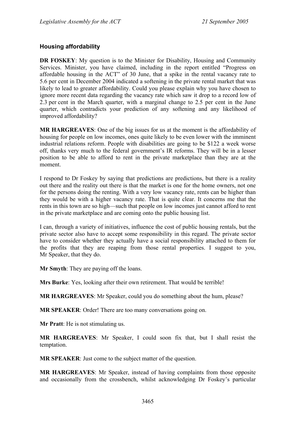#### **Housing affordability**

**DR FOSKEY:** My question is to the Minister for Disability, Housing and Community Services. Minister, you have claimed, including in the report entitled "Progress on affordable housing in the ACT" of 30 June, that a spike in the rental vacancy rate to 5.6 per cent in December 2004 indicated a softening in the private rental market that was likely to lead to greater affordability. Could you please explain why you have chosen to ignore more recent data regarding the vacancy rate which saw it drop to a record low of 2.3 per cent in the March quarter, with a marginal change to 2.5 per cent in the June quarter, which contradicts your prediction of any softening and any likelihood of improved affordability?

**MR HARGREAVES**: One of the big issues for us at the moment is the affordability of housing for people on low incomes, ones quite likely to be even lower with the imminent industrial relations reform. People with disabilities are going to be \$122 a week worse off, thanks very much to the federal government's IR reforms. They will be in a lesser position to be able to afford to rent in the private marketplace than they are at the moment.

I respond to Dr Foskey by saying that predictions are predictions, but there is a reality out there and the reality out there is that the market is one for the home owners, not one for the persons doing the renting. With a very low vacancy rate, rents can be higher than they would be with a higher vacancy rate. That is quite clear. It concerns me that the rents in this town are so high—such that people on low incomes just cannot afford to rent in the private marketplace and are coming onto the public housing list.

I can, through a variety of initiatives, influence the cost of public housing rentals, but the private sector also have to accept some responsibility in this regard. The private sector have to consider whether they actually have a social responsibility attached to them for the profits that they are reaping from those rental properties. I suggest to you, Mr Speaker, that they do.

**Mr Smyth**: They are paying off the loans.

**Mrs Burke**: Yes, looking after their own retirement. That would be terrible!

**MR HARGREAVES**: Mr Speaker, could you do something about the hum, please?

**MR SPEAKER**: Order! There are too many conversations going on.

**Mr Pratt**: He is not stimulating us.

**MR HARGREAVES**: Mr Speaker, I could soon fix that, but I shall resist the temptation.

**MR SPEAKER**: Just come to the subject matter of the question.

**MR HARGREAVES**: Mr Speaker, instead of having complaints from those opposite and occasionally from the crossbench, whilst acknowledging Dr Foskey's particular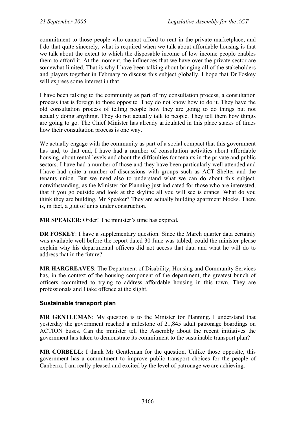commitment to those people who cannot afford to rent in the private marketplace, and I do that quite sincerely, what is required when we talk about affordable housing is that we talk about the extent to which the disposable income of low income people enables them to afford it. At the moment, the influences that we have over the private sector are somewhat limited. That is why I have been talking about bringing all of the stakeholders and players together in February to discuss this subject globally. I hope that Dr Foskey will express some interest in that.

I have been talking to the community as part of my consultation process, a consultation process that is foreign to those opposite. They do not know how to do it. They have the old consultation process of telling people how they are going to do things but not actually doing anything. They do not actually talk to people. They tell them how things are going to go. The Chief Minister has already articulated in this place stacks of times how their consultation process is one way.

We actually engage with the community as part of a social compact that this government has and, to that end, I have had a number of consultation activities about affordable housing, about rental levels and about the difficulties for tenants in the private and public sectors. I have had a number of those and they have been particularly well attended and I have had quite a number of discussions with groups such as ACT Shelter and the tenants union. But we need also to understand what we can do about this subject, notwithstanding, as the Minister for Planning just indicated for those who are interested. that if you go outside and look at the skyline all you will see is cranes. What do you think they are building, Mr Speaker? They are actually building apartment blocks. There is, in fact, a glut of units under construction.

**MR SPEAKER**: Order! The minister's time has expired.

**DR FOSKEY**: I have a supplementary question. Since the March quarter data certainly was available well before the report dated 30 June was tabled, could the minister please explain why his departmental officers did not access that data and what he will do to address that in the future?

**MR HARGREAVES**: The Department of Disability, Housing and Community Services has, in the context of the housing component of the department, the greatest bunch of officers committed to trying to address affordable housing in this town. They are professionals and I take offence at the slight.

#### **Sustainable transport plan**

**MR GENTLEMAN**: My question is to the Minister for Planning. I understand that yesterday the government reached a milestone of 21,845 adult patronage boardings on ACTION buses. Can the minister tell the Assembly about the recent initiatives the government has taken to demonstrate its commitment to the sustainable transport plan?

**MR CORBELL**: I thank Mr Gentleman for the question. Unlike those opposite, this government has a commitment to improve public transport choices for the people of Canberra. I am really pleased and excited by the level of patronage we are achieving.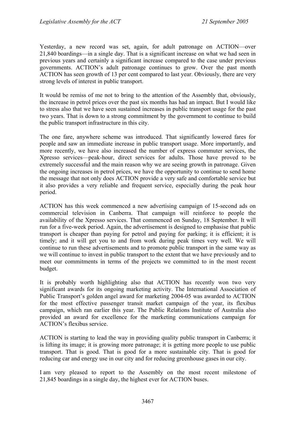Yesterday, a new record was set, again, for adult patronage on ACTION—over 21,840 boardings—in a single day. That is a significant increase on what we had seen in previous years and certainly a significant increase compared to the case under previous governments. ACTION's adult patronage continues to grow. Over the past month ACTION has seen growth of 13 per cent compared to last year. Obviously, there are very strong levels of interest in public transport.

It would be remiss of me not to bring to the attention of the Assembly that, obviously, the increase in petrol prices over the past six months has had an impact. But I would like to stress also that we have seen sustained increases in public transport usage for the past two years. That is down to a strong commitment by the government to continue to build the public transport infrastructure in this city.

The one fare, anywhere scheme was introduced. That significantly lowered fares for people and saw an immediate increase in public transport usage. More importantly, and more recently, we have also increased the number of express commuter services, the Xpresso services—peak-hour, direct services for adults. Those have proved to be extremely successful and the main reason why we are seeing growth in patronage. Given the ongoing increases in petrol prices, we have the opportunity to continue to send home the message that not only does ACTION provide a very safe and comfortable service but it also provides a very reliable and frequent service, especially during the peak hour period.

ACTION has this week commenced a new advertising campaign of 15-second ads on commercial television in Canberra. That campaign will reinforce to people the availability of the Xpresso services. That commenced on Sunday, 18 September. It will run for a five-week period. Again, the advertisement is designed to emphasise that public transport is cheaper than paying for petrol and paying for parking; it is efficient; it is timely; and it will get you to and from work during peak times very well. We will continue to run these advertisements and to promote public transport in the same way as we will continue to invest in public transport to the extent that we have previously and to meet our commitments in terms of the projects we committed to in the most recent budget.

It is probably worth highlighting also that ACTION has recently won two very significant awards for its ongoing marketing activity. The International Association of Public Transport's golden angel award for marketing 2004-05 was awarded to ACTION for the most effective passenger transit market campaign of the year, its flexibus campaign, which ran earlier this year. The Public Relations Institute of Australia also provided an award for excellence for the marketing communications campaign for ACTION's flexibus service.

ACTION is starting to lead the way in providing quality public transport in Canberra; it is lifting its image; it is growing more patronage; it is getting more people to use public transport. That is good. That is good for a more sustainable city. That is good for reducing car and energy use in our city and for reducing greenhouse gases in our city.

I am very pleased to report to the Assembly on the most recent milestone of 21,845 boardings in a single day, the highest ever for ACTION buses.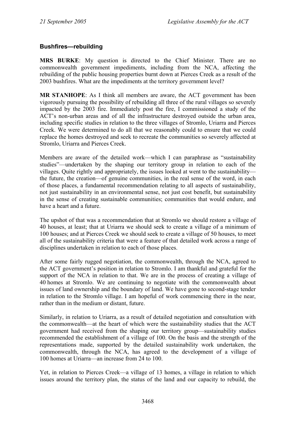#### **Bushfires—rebuilding**

**MRS BURKE**: My question is directed to the Chief Minister. There are no commonwealth government impediments, including from the NCA, affecting the rebuilding of the public housing properties burnt down at Pierces Creek as a result of the 2003 bushfires. What are the impediments at the territory government level?

**MR STANHOPE**: As I think all members are aware, the ACT government has been vigorously pursuing the possibility of rebuilding all three of the rural villages so severely impacted by the 2003 fire. Immediately post the fire, I commissioned a study of the ACT's non-urban areas and of all the infrastructure destroyed outside the urban area, including specific studies in relation to the three villages of Stromlo, Uriarra and Pierces Creek. We were determined to do all that we reasonably could to ensure that we could replace the homes destroyed and seek to recreate the communities so severely affected at Stromlo, Uriarra and Pierces Creek.

Members are aware of the detailed work—which I can paraphrase as "sustainability studies"—undertaken by the shaping our territory group in relation to each of the villages. Quite rightly and appropriately, the issues looked at went to the sustainability the future, the creation—of genuine communities, in the real sense of the word, in each of those places, a fundamental recommendation relating to all aspects of sustainability, not just sustainability in an environmental sense, not just cost benefit, but sustainability in the sense of creating sustainable communities; communities that would endure, and have a heart and a future.

The upshot of that was a recommendation that at Stromlo we should restore a village of 40 houses, at least; that at Uriarra we should seek to create a village of a minimum of 100 houses; and at Pierces Creek we should seek to create a village of 50 houses, to meet all of the sustainability criteria that were a feature of that detailed work across a range of disciplines undertaken in relation to each of those places.

After some fairly rugged negotiation, the commonwealth, through the NCA, agreed to the ACT government's position in relation to Stromlo. I am thankful and grateful for the support of the NCA in relation to that. We are in the process of creating a village of 40 homes at Stromlo. We are continuing to negotiate with the commonwealth about issues of land ownership and the boundary of land. We have gone to second-stage tender in relation to the Stromlo village. I am hopeful of work commencing there in the near, rather than in the medium or distant, future.

Similarly, in relation to Uriarra, as a result of detailed negotiation and consultation with the commonwealth—at the heart of which were the sustainability studies that the ACT government had received from the shaping our territory group—sustainability studies recommended the establishment of a village of 100. On the basis and the strength of the representations made, supported by the detailed sustainability work undertaken, the commonwealth, through the NCA, has agreed to the development of a village of 100 homes at Uriarra—an increase from 24 to 100.

Yet, in relation to Pierces Creek—a village of 13 homes, a village in relation to which issues around the territory plan, the status of the land and our capacity to rebuild, the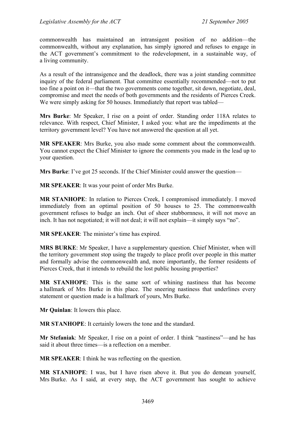commonwealth has maintained an intransigent position of no addition—the commonwealth, without any explanation, has simply ignored and refuses to engage in the ACT government's commitment to the redevelopment, in a sustainable way, of a living community.

As a result of the intransigence and the deadlock, there was a joint standing committee inquiry of the federal parliament. That committee essentially recommended—not to put too fine a point on it—that the two governments come together, sit down, negotiate, deal, compromise and meet the needs of both governments and the residents of Pierces Creek. We were simply asking for 50 houses. Immediately that report was tabled—

**Mrs Burke**: Mr Speaker, I rise on a point of order. Standing order 118A relates to relevance. With respect, Chief Minister, I asked you: what are the impediments at the territory government level? You have not answered the question at all yet.

**MR SPEAKER**: Mrs Burke, you also made some comment about the commonwealth. You cannot expect the Chief Minister to ignore the comments you made in the lead up to your question.

**Mrs Burke**: I've got 25 seconds. If the Chief Minister could answer the question—

**MR SPEAKER**: It was your point of order Mrs Burke.

**MR STANHOPE**: In relation to Pierces Creek, I compromised immediately. I moved immediately from an optimal position of 50 houses to 25. The commonwealth government refuses to budge an inch. Out of sheer stubbornness, it will not move an inch. It has not negotiated; it will not deal; it will not explain—it simply says "no".

**MR SPEAKER**: The minister's time has expired.

**MRS BURKE**: Mr Speaker, I have a supplementary question. Chief Minister, when will the territory government stop using the tragedy to place profit over people in this matter and formally advise the commonwealth and, more importantly, the former residents of Pierces Creek, that it intends to rebuild the lost public housing properties?

**MR STANHOPE**: This is the same sort of whining nastiness that has become a hallmark of Mrs Burke in this place. The sneering nastiness that underlines every statement or question made is a hallmark of yours, Mrs Burke.

**Mr Quinlan**: It lowers this place.

**MR STANHOPE**: It certainly lowers the tone and the standard.

**Mr Stefaniak**: Mr Speaker, I rise on a point of order. I think "nastiness"—and he has said it about three times—is a reflection on a member.

**MR SPEAKER**: I think he was reflecting on the question.

**MR STANHOPE**: I was, but I have risen above it. But you do demean yourself, Mrs Burke. As I said, at every step, the ACT government has sought to achieve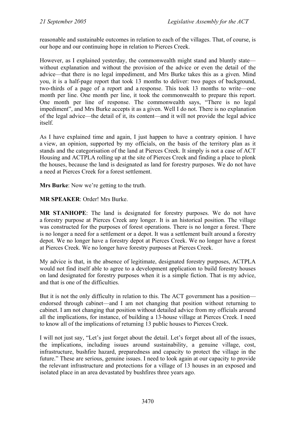reasonable and sustainable outcomes in relation to each of the villages. That, of course, is our hope and our continuing hope in relation to Pierces Creek.

However, as I explained yesterday, the commonwealth might stand and bluntly state without explanation and without the provision of the advice or even the detail of the advice—that there is no legal impediment, and Mrs Burke takes this as a given. Mind you, it is a half-page report that took 13 months to deliver: two pages of background, two-thirds of a page of a report and a response. This took 13 months to write—one month per line. One month per line, it took the commonwealth to prepare this report. One month per line of response. The commonwealth says, "There is no legal impediment", and Mrs Burke accepts it as a given. Well I do not. There is no explanation of the legal advice—the detail of it, its content—and it will not provide the legal advice itself.

As I have explained time and again, I just happen to have a contrary opinion. I have a view, an opinion, supported by my officials, on the basis of the territory plan as it stands and the categorisation of the land at Pierces Creek. It simply is not a case of ACT Housing and ACTPLA rolling up at the site of Pierces Creek and finding a place to plonk the houses, because the land is designated as land for forestry purposes. We do not have a need at Pierces Creek for a forest settlement.

**Mrs Burke**: Now we're getting to the truth.

**MR SPEAKER**: Order! Mrs Burke.

**MR STANHOPE**: The land is designated for forestry purposes. We do not have a forestry purpose at Pierces Creek any longer. It is an historical position. The village was constructed for the purposes of forest operations. There is no longer a forest. There is no longer a need for a settlement or a depot. It was a settlement built around a forestry depot. We no longer have a forestry depot at Pierces Creek. We no longer have a forest at Pierces Creek. We no longer have forestry purposes at Pierces Creek.

My advice is that, in the absence of legitimate, designated forestry purposes, ACTPLA would not find itself able to agree to a development application to build forestry houses on land designated for forestry purposes when it is a simple fiction. That is my advice, and that is one of the difficulties.

But it is not the only difficulty in relation to this. The ACT government has a position endorsed through cabinet—and I am not changing that position without returning to cabinet. I am not changing that position without detailed advice from my officials around all the implications, for instance, of building a 13-house village at Pierces Creek. I need to know all of the implications of returning 13 public houses to Pierces Creek.

I will not just say, "Let's just forget about the detail. Let's forget about all of the issues, the implications, including issues around sustainability, a genuine village, cost, infrastructure, bushfire hazard, preparedness and capacity to protect the village in the future." These are serious, genuine issues. I need to look again at our capacity to provide the relevant infrastructure and protections for a village of 13 houses in an exposed and isolated place in an area devastated by bushfires three years ago.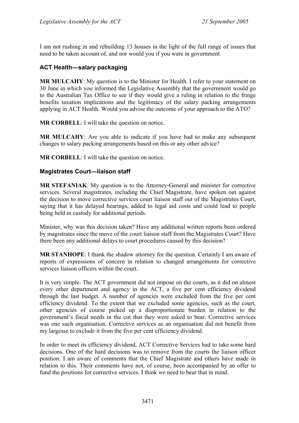I am not rushing in and rebuilding 13 houses in the light of the full range of issues that need to be taken account of, and nor would you if you were in government.

#### **ACT Health—salary packaging**

**MR MULCAHY**: My question is to the Minister for Health. I refer to your statement on 30 June in which you informed the Legislative Assembly that the government would go to the Australian Tax Office to see if they would give a ruling in relation to the fringe benefits taxation implications and the legitimacy of the salary packing arrangements applying in ACT Health. Would you advise the outcome of your approach to the ATO?

**MR CORBELL**: I will take the question on notice.

**MR MULCAHY**: Are you able to indicate if you have had to make any subsequent changes to salary packing arrangements based on this or any other advice?

**MR CORBELL**: I will take the question on notice.

#### **Magistrates Court—liaison staff**

**MR STEFANIAK**: My question is to the Attorney-General and minister for corrective services. Several magistrates, including the Chief Magistrate, have spoken out against the decision to move corrective services court liaison staff out of the Magistrates Court, saying that it has delayed hearings, added to legal aid costs and could lead to people being held in custody for additional periods.

Minister, why was this decision taken? Have any additional written reports been ordered by magistrates since the move of the court liaison staff from the Magistrates Court? Have there been any additional delays to court procedures caused by this decision?

**MR STANHOPE**: I thank the shadow attorney for the question. Certainly I am aware of reports of expressions of concern in relation to changed arrangements for corrective services liaison officers within the court.

It is very simple. The ACT government did not impose on the courts, as it did on almost every other department and agency in the ACT, a five per cent efficiency dividend through the last budget. A number of agencies were excluded from the five per cent efficiency dividend. To the extent that we excluded some agencies, such as the court, other agencies of course picked up a disproportionate burden in relation to the government's fiscal needs in the cut that they were asked to bear. Corrective services was one such organisation. Corrective services as an organisation did not benefit from my largesse to exclude it from the five per cent efficiency dividend.

In order to meet its efficiency dividend, ACT Corrective Services had to take some hard decisions. One of the hard decisions was to remove from the courts the liaison officer position. I am aware of comments that the Chief Magistrate and others have made in relation to this. Their comments have not, of course, been accompanied by an offer to fund the positions for corrective services. I think we need to bear that in mind.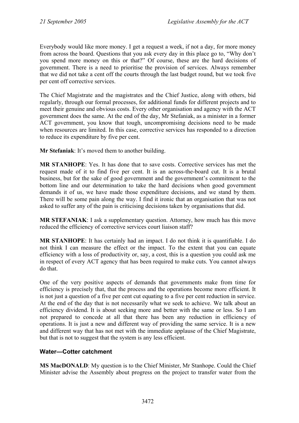Everybody would like more money. I get a request a week, if not a day, for more money from across the board. Questions that you ask every day in this place go to, "Why don't you spend more money on this or that?" Of course, these are the hard decisions of government. There is a need to prioritise the provision of services. Always remember that we did not take a cent off the courts through the last budget round, but we took five per cent off corrective services.

The Chief Magistrate and the magistrates and the Chief Justice, along with others, bid regularly, through our formal processes, for additional funds for different projects and to meet their genuine and obvious costs. Every other organisation and agency with the ACT government does the same. At the end of the day, Mr Stefaniak, as a minister in a former ACT government, you know that tough, uncompromising decisions need to be made when resources are limited. In this case, corrective services has responded to a direction to reduce its expenditure by five per cent.

**Mr Stefaniak**: It's moved them to another building.

**MR STANHOPE**: Yes. It has done that to save costs. Corrective services has met the request made of it to find five per cent. It is an across-the-board cut. It is a brutal business, but for the sake of good government and the government's commitment to the bottom line and our determination to take the hard decisions when good government demands it of us, we have made those expenditure decisions, and we stand by them. There will be some pain along the way. I find it ironic that an organisation that was not asked to suffer any of the pain is criticising decisions taken by organisations that did.

**MR STEFANIAK:** I ask a supplementary question. Attorney, how much has this move reduced the efficiency of corrective services court liaison staff?

**MR STANHOPE**: It has certainly had an impact. I do not think it is quantifiable. I do not think I can measure the effect or the impact. To the extent that you can equate efficiency with a loss of productivity or, say, a cost, this is a question you could ask me in respect of every ACT agency that has been required to make cuts. You cannot always do that.

One of the very positive aspects of demands that governments make from time for efficiency is precisely that, that the process and the operations become more efficient. It is not just a question of a five per cent cut equating to a five per cent reduction in service. At the end of the day that is not necessarily what we seek to achieve. We talk about an efficiency dividend. It is about seeking more and better with the same or less. So I am not prepared to concede at all that there has been any reduction in efficiency of operations. It is just a new and different way of providing the same service. It is a new and different way that has not met with the immediate applause of the Chief Magistrate, but that is not to suggest that the system is any less efficient.

#### **Water—Cotter catchment**

**MS MacDONALD**: My question is to the Chief Minister, Mr Stanhope. Could the Chief Minister advise the Assembly about progress on the project to transfer water from the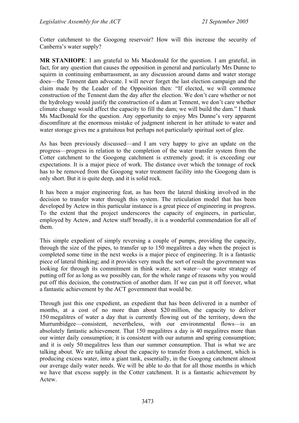Cotter catchment to the Googong reservoir? How will this increase the security of Canberra's water supply?

**MR STANHOPE**: I am grateful to Ms Macdonald for the question. I am grateful, in fact, for any question that causes the opposition in general and particularly Mrs Dunne to squirm in continuing embarrassment, as any discussion around dams and water storage does—the Tennent dam advocate. I will never forget the last election campaign and the claim made by the Leader of the Opposition then: "If elected, we will commence construction of the Tennent dam the day after the election. We don't care whether or not the hydrology would justify the construction of a dam at Tennent, we don't care whether climate change would affect the capacity to fill the dam; we will build the dam." I thank Ms MacDonald for the question. Any opportunity to enjoy Mrs Dunne's very apparent discomfiture at the enormous mistake of judgment inherent in her attitude to water and water storage gives me a gratuitous but perhaps not particularly spiritual sort of glee.

As has been previously discussed—and I am very happy to give an update on the progress—progress in relation to the completion of the water transfer system from the Cotter catchment to the Googong catchment is extremely good; it is exceeding our expectations. It is a major piece of work. The distance over which the tonnage of rock has to be removed from the Googong water treatment facility into the Googong dam is only short. But it is quite deep, and it is solid rock.

It has been a major engineering feat, as has been the lateral thinking involved in the decision to transfer water through this system. The reticulation model that has been developed by Actew in this particular instance is a great piece of engineering in progress. To the extent that the project underscores the capacity of engineers, in particular, employed by Actew, and Actew staff broadly, it is a wonderful commendation for all of them.

This simple expedient of simply reversing a couple of pumps, providing the capacity, through the size of the pipes, to transfer up to 150 megalitres a day when the project is completed some time in the next weeks is a major piece of engineering. It is a fantastic piece of lateral thinking; and it provides very much the sort of result the government was looking for through its commitment in think water, act water—our water strategy of putting off for as long as we possibly can, for the whole range of reasons why you would put off this decision, the construction of another dam. If we can put it off forever, what a fantastic achievement by the ACT government that would be.

Through just this one expedient, an expedient that has been delivered in a number of months, at a cost of no more than about \$20 million, the capacity to deliver 150 megalitres of water a day that is currently flowing out of the territory, down the Murrumbidgee—consistent, nevertheless, with our environmental flows—is an absolutely fantastic achievement. That 150 megalitres a day is 40 megalitres more than our winter daily consumption; it is consistent with our autumn and spring consumption; and it is only 50 megalitres less than our summer consumption. That is what we are talking about. We are talking about the capacity to transfer from a catchment, which is producing excess water, into a giant tank, essentially, in the Googong catchment almost our average daily water needs. We will be able to do that for all those months in which we have that excess supply in the Cotter catchment. It is a fantastic achievement by Actew.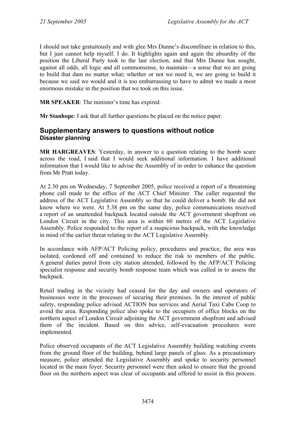I should not take gratuitously and with glee Mrs Dunne's discomfiture in relation to this, but I just cannot help myself. I do. It highlights again and again the absurdity of the position the Liberal Party took to the last election, and that Mrs Dunne has sought, against all odds, all logic and all commonsense, to maintain—a sense that we are going to build that dam no matter what; whether or not we need it, we are going to build it because we said we would and it is too embarrassing to have to admit we made a most enormous mistake in the position that we took on this issue.

**MR SPEAKER**: The minister's time has expired.

**Mr Stanhope**: I ask that all further questions be placed on the notice paper.

### **Supplementary answers to questions without notice Disaster planning**

**MR HARGREAVES**: Yesterday, in answer to a question relating to the bomb scare across the road, I said that I would seek additional information. I have additional information that I would like to advise the Assembly of in order to enhance the question from Mr Pratt today.

At 2.30 pm on Wednesday, 7 September 2005, police received a report of a threatening phone call made to the office of the ACT Chief Minister. The caller requested the address of the ACT Legislative Assembly so that he could deliver a bomb. He did not know where we were. At 5.38 pm on the same day, police communications received a report of an unattended backpack located outside the ACT government shopfront on London Circuit in the city. This area is within 60 metres of the ACT Legislative Assembly. Police responded to the report of a suspicious backpack, with the knowledge in mind of the earlier threat relating to the ACT Legislative Assembly.

In accordance with AFP/ACT Policing policy, procedures and practice, the area was isolated, cordoned off and contained to reduce the risk to members of the public. A general duties patrol from city station attended, followed by the AFP/ACT Policing specialist response and security bomb response team which was called in to assess the backpack.

Retail trading in the vicinity had ceased for the day and owners and operators of businesses were in the processes of securing their premises. In the interest of public safety, responding police advised ACTION bus services and Aerial Taxi Cabs Coop to avoid the area. Responding police also spoke to the occupiers of office blocks on the northern aspect of London Circuit adjoining the ACT government shopfront and advised them of the incident. Based on this advice, self-evacuation procedures were implemented.

Police observed occupants of the ACT Legislative Assembly building watching events from the ground floor of the building, behind large panels of glass. As a precautionary measure, police attended the Legislative Assembly and spoke to security personnel located in the main foyer. Security personnel were then asked to ensure that the ground floor on the northern aspect was clear of occupants and offered to assist in this process.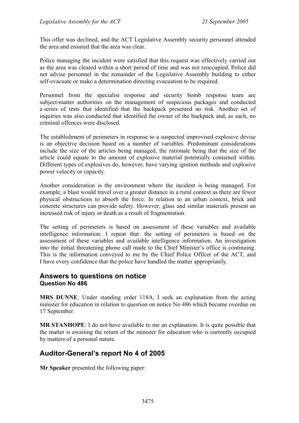This offer was declined, and the ACT Legislative Assembly security personnel attended the area and ensured that the area was clear.

Police managing the incident were satisfied that this request was effectively carried out as the area was cleared within a short period of time and was not reoccupied. Police did not advise personnel in the remainder of the Legislative Assembly building to either self-evacuate or make a determination directing evacuation to be required.

Personnel from the specialist response and security bomb response team are subject-matter authorities on the management of suspicious packages and conducted a series of tests that identified that the backpack presented no risk. Another set of inquiries was also conducted that identified the owner of the backpack and, as such, no criminal offences were disclosed.

The establishment of perimeters in response to a suspected improvised explosive devise is an objective decision based on a number of variables. Predominant considerations include the size of the articles being managed, the rationale being that the size of the article could equate to the amount of explosive material potentially contained within. Different types of explosives do, however, have varying ignition methods and explosive power velocity or capacity.

Another consideration is the environment where the incident is being managed. For example, a blast would travel over a greater distance in a rural context as there are fewer physical obstructions to absorb the force. In relation to an urban context, brick and concrete structures can provide safety. However, glass and similar materials present an increased risk of injury or death as a result of fragmentation.

The setting of perimeters is based on assessment of these variables and available intelligence information. I repeat that: the setting of perimeters is based on the assessment of these variables and available intelligence information. An investigation into the initial threatening phone call made to the Chief Minister's office is continuing. This is the information conveyed to me by the Chief Police Officer of the ACT, and I have every confidence that the police have handled the matter appropriately.

### **Answers to questions on notice Question No 486**

**MRS DUNNE**: Under standing order 118A, I seek an explanation from the acting minister for education in relation to question on notice No 486 which became overdue on 17 September.

**MR STANHOPE**: I do not have available to me an explanation. It is quite possible that the matter is awaiting the return of the minister for education who is currently occupied by matters of a personal nature.

# **Auditor-General's report No 4 of 2005**

**Mr Speaker** presented the following paper: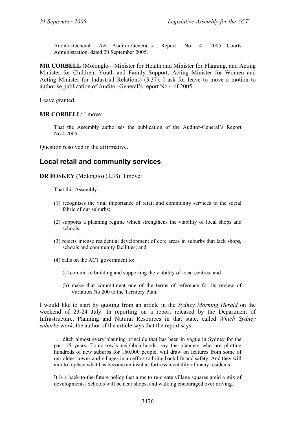Auditor-General Act—Auditor-General's Report No 4 2005—Courts Administration, dated 20 September 2005.

**MR CORBELL** (Molonglo—Minister for Health and Minister for Planning, and Acting Minister for Children, Youth and Family Support, Acting Minister for Women and Acting Minister for Industrial Relations) (3.37): I ask for leave to move a motion to authorise publication of Auditor-General's report No 4 of 2005.

Leave granted.

#### **MR CORBELL**: I move:

That the Assembly authorises the publication of the Auditor-General's Report No 4 2005.

Question resolved in the affirmative.

# **Local retail and community services**

**DR FOSKEY** (Molonglo) (3.38): I move:

That this Assembly:

- (1) recognises the vital importance of retail and community services to the social fabric of our suburbs;
- (2) supports a planning regime which strengthens the viability of local shops and schools;
- (3) rejects intense residential development of core areas in suburbs that lack shops, schools and community facilities; and
- (4) calls on the ACT government to:
	- (a) commit to building and supporting the viability of local centres; and
	- (b) make that commitment one of the terms of reference for its review of Variation No 200 to the Territory Plan.

I would like to start by quoting from an article in the *Sydney Morning Herald* on the weekend of 23-24 July. In reporting on a report released by the Department of Infrastructure, Planning and Natural Resources in that state, called *Which Sydney suburbs* w*ork*, the author of the article says that the report says:

 … ditch almost every planning principle that has been in vogue in Sydney for the past 15 years. Tomorrow's neighbourhoods, say the planners who are plotting hundreds of new suburbs for 160,000 people, will draw on features from some of our oldest towns and villages in an effort to bring back life and safety. And they will aim to replace what has become an insular, fortress mentality of many residents.

It is a back-to-the-future policy that aims to re-create village squares amid a mix of developments. Schools will be near shops, and walking encouraged over driving.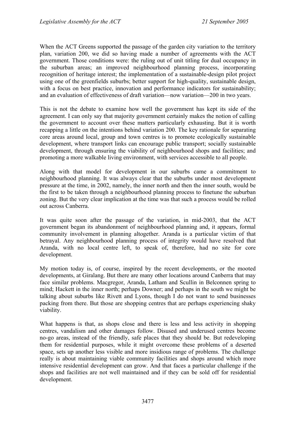When the ACT Greens supported the passage of the garden city variation to the territory plan, variation 200, we did so having made a number of agreements with the ACT government. Those conditions were: the ruling out of unit titling for dual occupancy in the suburban areas; an improved neighbourhood planning process, incorporating recognition of heritage interest; the implementation of a sustainable-design pilot project using one of the greenfields suburbs; better support for high-quality, sustainable design, with a focus on best practice, innovation and performance indicators for sustainability; and an evaluation of effectiveness of draft variation—now variation—200 in two years.

This is not the debate to examine how well the government has kept its side of the agreement. I can only say that majority government certainly makes the notion of calling the government to account over these matters particularly exhausting. But it is worth recapping a little on the intentions behind variation 200. The key rationale for separating core areas around local, group and town centres is to promote ecologically sustainable development, where transport links can encourage public transport; socially sustainable development, through ensuring the viability of neighbourhood shops and facilities; and promoting a more walkable living environment, with services accessible to all people.

Along with that model for development in our suburbs came a commitment to neighbourhood planning. It was always clear that the suburbs under most development pressure at the time, in 2002, namely, the inner north and then the inner south, would be the first to be taken through a neighbourhood planning process to finetune the suburban zoning. But the very clear implication at the time was that such a process would be rolled out across Canberra.

It was quite soon after the passage of the variation, in mid-2003, that the ACT government began its abandonment of neighbourhood planning and, it appears, formal community involvement in planning altogether. Aranda is a particular victim of that betrayal. Any neighbourhood planning process of integrity would have resolved that Aranda, with no local centre left, to speak of, therefore, had no site for core development.

My motion today is, of course, inspired by the recent developments, or the mooted developments, at Giralang. But there are many other locations around Canberra that may face similar problems. Macgregor, Aranda, Latham and Scullin in Belconnen spring to mind; Hackett in the inner north; perhaps Downer; and perhaps in the south we might be talking about suburbs like Rivett and Lyons, though I do not want to send businesses packing from there. But those are shopping centres that are perhaps experiencing shaky viability.

What happens is that, as shops close and there is less and less activity in shopping centres, vandalism and other damages follow. Disused and underused centres become no-go areas, instead of the friendly, safe places that they should be. But redeveloping them for residential purposes, while it might overcome these problems of a deserted space, sets up another less visible and more insidious range of problems. The challenge really is about maintaining viable community facilities and shops around which more intensive residential development can grow. And that faces a particular challenge if the shops and facilities are not well maintained and if they can be sold off for residential development.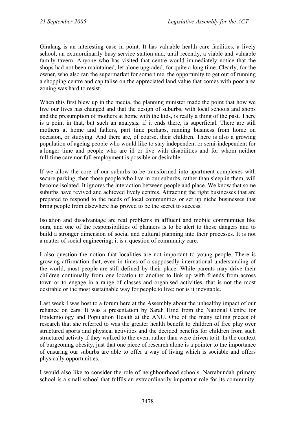Giralang is an interesting case in point. It has valuable health care facilities, a lively school, an extraordinarily busy service station and, until recently, a viable and valuable family tavern. Anyone who has visited that centre would immediately notice that the shops had not been maintained, let alone upgraded, for quite a long time. Clearly, for the owner, who also ran the supermarket for some time, the opportunity to get out of running a shopping centre and capitalise on the appreciated land value that comes with poor area zoning was hard to resist.

When this first blew up in the media, the planning minister made the point that how we live our lives has changed and that the design of suburbs, with local schools and shops and the presumption of mothers at home with the kids, is really a thing of the past. There is a point in that, but such an analysis, if it ends there, is superficial. There are still mothers at home and fathers, part time perhaps, running business from home on occasion, or studying. And there are, of course, their children. There is also a growing population of ageing people who would like to stay independent or semi-independent for a longer time and people who are ill or live with disabilities and for whom neither full-time care nor full employment is possible or desirable.

If we allow the core of our suburbs to be transformed into apartment complexes with secure parking, then those people who live in our suburbs, rather than sleep in them, will become isolated. It ignores the interaction between people and place. We know that some suburbs have revived and achieved lively centres. Attracting the right businesses that are prepared to respond to the needs of local communities or set up niche businesses that bring people from elsewhere has proved to be the secret to success.

Isolation and disadvantage are real problems in affluent and mobile communities like ours, and one of the responsibilities of planners is to be alert to those dangers and to build a stronger dimension of social and cultural planning into their processes. It is not a matter of social engineering; it is a question of community care.

I also question the notion that localities are not important to young people. There is growing affirmation that, even in times of a supposedly international understanding of the world, most people are still defined by their place. While parents may drive their children continually from one location to another to link up with friends from across town or to engage in a range of classes and organised activities, that is not the most desirable or the most sustainable way for people to live; nor is it inevitable.

Last week I was host to a forum here at the Assembly about the unhealthy impact of our reliance on cars. It was a presentation by Sarah Hind from the National Centre for Epidemiology and Population Health at the ANU. One of the many telling pieces of research that she referred to was the greater health benefit to children of free play over structured sports and physical activities and the decided benefits for children from such structured activity if they walked to the event rather than were driven to it. In the context of burgeoning obesity, just that one piece of research alone is a pointer to the importance of ensuring our suburbs are able to offer a way of living which is sociable and offers physically opportunities.

I would also like to consider the role of neighbourhood schools. Narrabundah primary school is a small school that fulfils an extraordinarily important role for its community.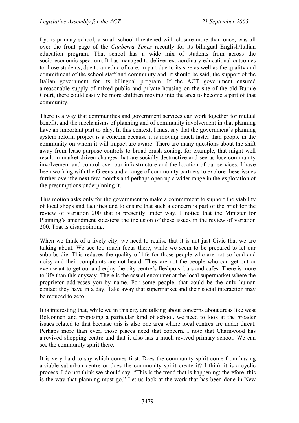Lyons primary school, a small school threatened with closure more than once, was all over the front page of the *Canberra Times* recently for its bilingual English/Italian education program. That school has a wide mix of students from across the socio-economic spectrum. It has managed to deliver extraordinary educational outcomes to those students, due to an ethic of care, in part due to its size as well as the quality and commitment of the school staff and community and, it should be said, the support of the Italian government for its bilingual program. If the ACT government ensured a reasonable supply of mixed public and private housing on the site of the old Burnie Court, there could easily be more children moving into the area to become a part of that community.

There is a way that communities and government services can work together for mutual benefit, and the mechanisms of planning and of community involvement in that planning have an important part to play. In this context, I must say that the government's planning system reform project is a concern because it is moving much faster than people in the community on whom it will impact are aware. There are many questions about the shift away from lease-purpose controls to broad-brush zoning, for example, that might well result in market-driven changes that are socially destructive and see us lose community involvement and control over our infrastructure and the location of our services. I have been working with the Greens and a range of community partners to explore these issues further over the next few months and perhaps open up a wider range in the exploration of the presumptions underpinning it.

This motion asks only for the government to make a commitment to support the viability of local shops and facilities and to ensure that such a concern is part of the brief for the review of variation 200 that is presently under way. I notice that the Minister for Planning's amendment sidesteps the inclusion of these issues in the review of variation 200. That is disappointing.

When we think of a lively city, we need to realise that it is not just Civic that we are talking about. We see too much focus there, while we seem to be prepared to let our suburbs die. This reduces the quality of life for those people who are not so loud and noisy and their complaints are not heard. They are not the people who can get out or even want to get out and enjoy the city centre's fleshpots, bars and cafes. There is more to life than this anyway. There is the casual encounter at the local supermarket where the proprietor addresses you by name. For some people, that could be the only human contact they have in a day. Take away that supermarket and their social interaction may be reduced to zero.

It is interesting that, while we in this city are talking about concerns about areas like west Belconnen and proposing a particular kind of school, we need to look at the broader issues related to that because this is also one area where local centres are under threat. Perhaps more than ever, those places need that concern. I note that Charnwood has a revived shopping centre and that it also has a much-revived primary school. We can see the community spirit there.

It is very hard to say which comes first. Does the community spirit come from having a viable suburban centre or does the community spirit create it? I think it is a cyclic process. I do not think we should say, "This is the trend that is happening; therefore, this is the way that planning must go." Let us look at the work that has been done in New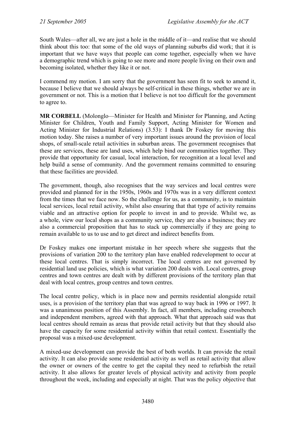South Wales—after all, we are just a hole in the middle of it—and realise that we should think about this too: that some of the old ways of planning suburbs did work; that it is important that we have ways that people can come together, especially when we have a demographic trend which is going to see more and more people living on their own and becoming isolated, whether they like it or not.

I commend my motion. I am sorry that the government has seen fit to seek to amend it, because I believe that we should always be self-critical in these things, whether we are in government or not. This is a motion that I believe is not too difficult for the government to agree to.

**MR CORBELL** (Molonglo—Minister for Health and Minister for Planning, and Acting Minister for Children, Youth and Family Support, Acting Minister for Women and Acting Minister for Industrial Relations) (3.53): I thank Dr Foskey for moving this motion today. She raises a number of very important issues around the provision of local shops, of small-scale retail activities in suburban areas. The government recognises that these are services, these are land uses, which help bind our communities together. They provide that opportunity for casual, local interaction, for recognition at a local level and help build a sense of community. And the government remains committed to ensuring that these facilities are provided.

The government, though, also recognises that the way services and local centres were provided and planned for in the 1950s, 1960s and 1970s was in a very different context from the times that we face now. So the challenge for us, as a community, is to maintain local services, local retail activity, whilst also ensuring that that type of activity remains viable and an attractive option for people to invest in and to provide. Whilst we, as a whole, view our local shops as a community service, they are also a business; they are also a commercial proposition that has to stack up commercially if they are going to remain available to us to use and to get direct and indirect benefits from.

Dr Foskey makes one important mistake in her speech where she suggests that the provisions of variation 200 to the territory plan have enabled redevelopment to occur at these local centres. That is simply incorrect. The local centres are not governed by residential land use policies, which is what variation 200 deals with. Local centres, group centres and town centres are dealt with by different provisions of the territory plan that deal with local centres, group centres and town centres.

The local centre policy, which is in place now and permits residential alongside retail uses, is a provision of the territory plan that was agreed to way back in 1996 or 1997. It was a unanimous position of this Assembly. In fact, all members, including crossbench and independent members, agreed with that approach. What that approach said was that local centres should remain as areas that provide retail activity but that they should also have the capacity for some residential activity within that retail context. Essentially the proposal was a mixed-use development.

A mixed-use development can provide the best of both worlds. It can provide the retail activity. It can also provide some residential activity as well as retail activity that allow the owner or owners of the centre to get the capital they need to refurbish the retail activity. It also allows for greater levels of physical activity and activity from people throughout the week, including and especially at night. That was the policy objective that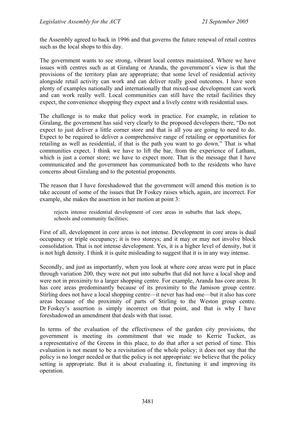the Assembly agreed to back in 1996 and that governs the future renewal of retail centres such as the local shops to this day.

The government wants to see strong, vibrant local centres maintained. Where we have issues with centres such as at Giralang or Aranda, the government's view is that the provisions of the territory plan are appropriate; that some level of residential activity alongside retail activity can work and can deliver really good outcomes. I have seen plenty of examples nationally and internationally that mixed-use development can work and can work really well. Local communities can still have the retail facilities they expect, the convenience shopping they expect and a lively centre with residential uses.

The challenge is to make that policy work in practice. For example, in relation to Giralang, the government has said very clearly to the proposed developers there, "Do not expect to just deliver a little corner store and that is all you are going to need to do. Expect to be required to deliver a comprehensive range of retailing or opportunities for retailing as well as residential, if that is the path you want to go down." That is what communities expect. I think we have to lift the bar, from the experience of Latham, which is just a corner store; we have to expect more. That is the message that I have communicated and the government has communicated both to the residents who have concerns about Giralang and to the potential proponents.

The reason that I have foreshadowed that the government will amend this motion is to take account of some of the issues that Dr Foskey raises which, again, are incorrect. For example, she makes the assertion in her motion at point 3:

rejects intense residential development of core areas in suburbs that lack shops, schools and community facilities;

First of all, development in core areas is not intense. Development in core areas is dual occupancy or triple occupancy; it is two storeys; and it may or may not involve block consolidation. That is not intense development. Yes, it is a higher level of density, but it is not high density. I think it is quite misleading to suggest that it is in any way intense.

Secondly, and just as importantly, when you look at where core areas were put in place through variation 200, they were not put into suburbs that did not have a local shop and were not in proximity to a larger shopping centre. For example, Aranda has core areas. It has core areas predominantly because of its proximity to the Jamison group centre. Stirling does not have a local shopping centre—it never has had one—but it also has core areas because of the proximity of parts of Stirling to the Weston group centre. Dr Foskey's assertion is simply incorrect on that point, and that is why I have foreshadowed an amendment that deals with that issue.

In terms of the evaluation of the effectiveness of the garden city provisions, the government is meeting its commitment that we made to Kerrie Tucker, as a representative of the Greens in this place, to do that after a set period of time. This evaluation is not meant to be a revisitation of the whole policy; it does not say that the policy is no longer needed or that the policy is not appropriate: we believe that the policy setting is appropriate. But it is about evaluating it, finetuning it and improving its operation.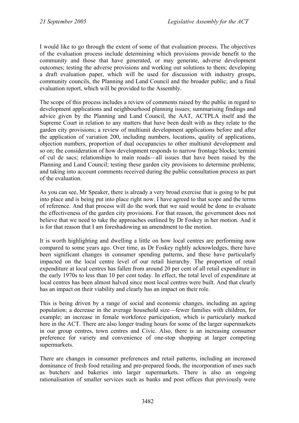I would like to go through the extent of some of that evaluation process. The objectives of the evaluation process include determining which provisions provide benefit to the community and those that have generated, or may generate, adverse development outcomes; testing the adverse provisions and working out solutions to them; developing a draft evaluation paper, which will be used for discussion with industry groups, community councils, the Planning and Land Council and the broader public; and a final evaluation report, which will be provided to the Assembly.

The scope of this process includes a review of comments raised by the public in regard to development applications and neighbourhood planning issues; summarising findings and advice given by the Planning and Land Council, the AAT, ACTPLA itself and the Supreme Court in relation to any matters that have been dealt with as they relate to the garden city provisions; a review of multiunit development applications before and after the application of variation 200, including numbers, locations, quality of applications, objection numbers, proportion of dual occupancies to other multiunit development and so on; the consideration of how development responds to narrow frontage blocks; termini of cul de sacs; relationships to main roads—all issues that have been raised by the Planning and Land Council; testing these garden city provisions to determine problems; and taking into account comments received during the public consultation process as part of the evaluation.

As you can see, Mr Speaker, there is already a very broad exercise that is going to be put into place and is being put into place right now. I have agreed to that scope and the terms of reference. And that process will do the work that we said would be done to evaluate the effectiveness of the garden city provisions. For that reason, the government does not believe that we need to take the approaches outlined by Dr Foskey in her motion. And it is for that reason that I am foreshadowing an amendment to the motion.

It is worth highlighting and dwelling a little on how local centres are performing now compared to some years ago. Over time, as Dr Foskey rightly acknowledges, there have been significant changes in consumer spending patterns, and these have particularly impacted on the local centre level of our retail hierarchy. The proportion of retail expenditure at local centres has fallen from around 20 per cent of all retail expenditure in the early 1970s to less than 10 per cent today. In effect, the total level of expenditure at local centres has been almost halved since most local centres were built. And that clearly has an impact on their viability and clearly has an impact on their role.

This is being driven by a range of social and economic changes, including an ageing population; a decrease in the average household size—fewer families with children, for example; an increase in female workforce participation, which is particularly marked here in the ACT. There are also longer trading hours for some of the larger supermarkets in our group centres, town centres and Civic. Also, there is an increasing consumer preference for variety and convenience of one-stop shopping at larger competing supermarkets.

There are changes in consumer preferences and retail patterns, including an increased dominance of fresh food retailing and pre-prepared foods, the incorporation of uses such as butchers and bakeries into larger supermarkets. There is also an ongoing rationalisation of smaller services such as banks and post offices that previously were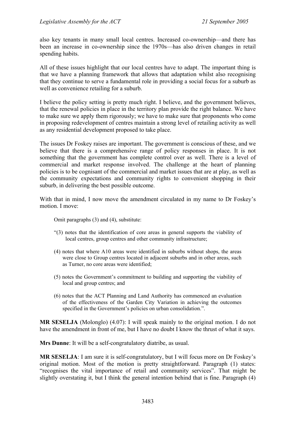also key tenants in many small local centres. Increased co-ownership—and there has been an increase in co-ownership since the 1970s—has also driven changes in retail spending habits.

All of these issues highlight that our local centres have to adapt. The important thing is that we have a planning framework that allows that adaptation whilst also recognising that they continue to serve a fundamental role in providing a social focus for a suburb as well as convenience retailing for a suburb.

I believe the policy setting is pretty much right. I believe, and the government believes, that the renewal policies in place in the territory plan provide the right balance. We have to make sure we apply them rigorously; we have to make sure that proponents who come in proposing redevelopment of centres maintain a strong level of retailing activity as well as any residential development proposed to take place.

The issues Dr Foskey raises are important. The government is conscious of these, and we believe that there is a comprehensive range of policy responses in place. It is not something that the government has complete control over as well. There is a level of commercial and market response involved. The challenge at the heart of planning policies is to be cognisant of the commercial and market issues that are at play, as well as the community expectations and community rights to convenient shopping in their suburb, in delivering the best possible outcome.

With that in mind, I now move the amendment circulated in my name to Dr Foskey's motion. I move:

Omit paragraphs (3) and (4), substitute:

- "(3) notes that the identification of core areas in general supports the viability of local centres, group centres and other community infrastructure;
- (4) notes that where A10 areas were identified in suburbs without shops, the areas were close to Group centres located in adjacent suburbs and in other areas, such as Turner, no core areas were identified;
- (5) notes the Government's commitment to building and supporting the viability of local and group centres; and
- (6) notes that the ACT Planning and Land Authority has commenced an evaluation of the effectiveness of the Garden City Variation in achieving the outcomes specified in the Government's policies on urban consolidation.".

**MR SESELJA** (Molonglo) (4.07): I will speak mainly to the original motion. I do not have the amendment in front of me, but I have no doubt I know the thrust of what it says.

**Mrs Dunne**: It will be a self-congratulatory diatribe, as usual.

**MR SESELJA**: I am sure it is self-congratulatory, but I will focus more on Dr Foskey's original motion. Most of the motion is pretty straightforward. Paragraph (1) states: "recognises the vital importance of retail and community services". That might be slightly overstating it, but I think the general intention behind that is fine. Paragraph (4)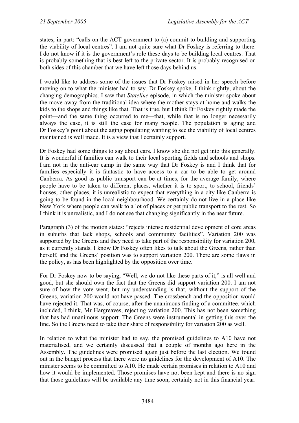states, in part: "calls on the ACT government to (a) commit to building and supporting the viability of local centres". I am not quite sure what Dr Foskey is referring to there. I do not know if it is the government's role these days to be building local centres. That is probably something that is best left to the private sector. It is probably recognised on both sides of this chamber that we have left those days behind us.

I would like to address some of the issues that Dr Foskey raised in her speech before moving on to what the minister had to say. Dr Foskey spoke, I think rightly, about the changing demographics. I saw that *Stateline* episode, in which the minister spoke about the move away from the traditional idea where the mother stays at home and walks the kids to the shops and things like that. That is true, but I think Dr Foskey rightly made the point—and the same thing occurred to me—that, while that is no longer necessarily always the case, it is still the case for many people. The population is aging and Dr Foskey's point about the aging populating wanting to see the viability of local centres maintained is well made. It is a view that I certainly support.

Dr Foskey had some things to say about cars. I know she did not get into this generally. It is wonderful if families can walk to their local sporting fields and schools and shops. I am not in the anti-car camp in the same way that Dr Foskey is and I think that for families especially it is fantastic to have access to a car to be able to get around Canberra. As good as public transport can be at times, for the average family, where people have to be taken to different places, whether it is to sport, to school, friends' houses, other places, it is unrealistic to expect that everything in a city like Canberra is going to be found in the local neighbourhood. We certainly do not live in a place like New York where people can walk to a lot of places or get public transport to the rest. So I think it is unrealistic, and I do not see that changing significantly in the near future.

Paragraph (3) of the motion states: "rejects intense residential development of core areas in suburbs that lack shops, schools and community facilities". Variation 200 was supported by the Greens and they need to take part of the responsibility for variation 200, as it currently stands. I know Dr Foskey often likes to talk about the Greens, rather than herself, and the Greens' position was to support variation 200. There are some flaws in the policy, as has been highlighted by the opposition over time.

For Dr Foskey now to be saying, "Well, we do not like these parts of it," is all well and good, but she should own the fact that the Greens did support variation 200. I am not sure of how the vote went, but my understanding is that, without the support of the Greens, variation 200 would not have passed. The crossbench and the opposition would have rejected it. That was, of course, after the unanimous finding of a committee, which included, I think, Mr Hargreaves, rejecting variation 200. This has not been something that has had unanimous support. The Greens were instrumental in getting this over the line. So the Greens need to take their share of responsibility for variation 200 as well.

In relation to what the minister had to say, the promised guidelines to A10 have not materialised, and we certainly discussed that a couple of months ago here in the Assembly. The guidelines were promised again just before the last election. We found out in the budget process that there were no guidelines for the development of A10. The minister seems to be committed to A10. He made certain promises in relation to A10 and how it would be implemented. Those promises have not been kept and there is no sign that those guidelines will be available any time soon, certainly not in this financial year.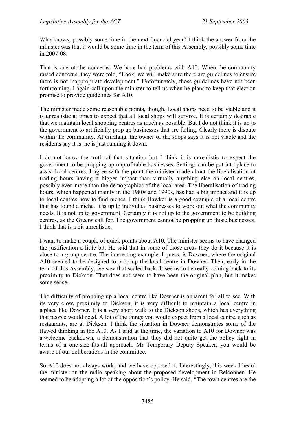Who knows, possibly some time in the next financial year? I think the answer from the minister was that it would be some time in the term of this Assembly, possibly some time in 2007-08.

That is one of the concerns. We have had problems with A10. When the community raised concerns, they were told, "Look, we will make sure there are guidelines to ensure there is not inappropriate development." Unfortunately, those guidelines have not been forthcoming. I again call upon the minister to tell us when he plans to keep that election promise to provide guidelines for A10.

The minister made some reasonable points, though. Local shops need to be viable and it is unrealistic at times to expect that all local shops will survive. It is certainly desirable that we maintain local shopping centres as much as possible. But I do not think it is up to the government to artificially prop up businesses that are failing. Clearly there is dispute within the community. At Giralang, the owner of the shops says it is not viable and the residents say it is; he is just running it down.

I do not know the truth of that situation but I think it is unrealistic to expect the government to be propping up unprofitable businesses. Settings can be put into place to assist local centres. I agree with the point the minister made about the liberalisation of trading hours having a bigger impact than virtually anything else on local centres, possibly even more than the demographics of the local area. The liberalisation of trading hours, which happened mainly in the 1980s and 1990s, has had a big impact and it is up to local centres now to find niches. I think Hawker is a good example of a local centre that has found a niche. It is up to individual businesses to work out what the community needs. It is not up to government. Certainly it is not up to the government to be building centres, as the Greens call for. The government cannot be propping up those businesses. I think that is a bit unrealistic.

I want to make a couple of quick points about A10. The minister seems to have changed the justification a little bit. He said that in some of those areas they do it because it is close to a group centre. The interesting example, I guess, is Downer, where the original A10 seemed to be designed to prop up the local centre in Downer. Then, early in the term of this Assembly, we saw that scaled back. It seems to be really coming back to its proximity to Dickson. That does not seem to have been the original plan, but it makes some sense.

The difficulty of propping up a local centre like Downer is apparent for all to see. With its very close proximity to Dickson, it is very difficult to maintain a local centre in a place like Downer. It is a very short walk to the Dickson shops, which has everything that people would need. A lot of the things you would expect from a local centre, such as restaurants, are at Dickson. I think the situation in Downer demonstrates some of the flawed thinking in the A10. As I said at the time, the variation to A10 for Downer was a welcome backdown, a demonstration that they did not quite get the policy right in terms of a one-size-fits-all approach. Mr Temporary Deputy Speaker, you would be aware of our deliberations in the committee.

So A10 does not always work, and we have opposed it. Interestingly, this week I heard the minister on the radio speaking about the proposed development in Belconnen. He seemed to be adopting a lot of the opposition's policy. He said, "The town centres are the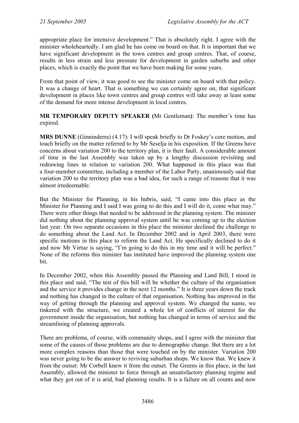appropriate place for intensive development." That is absolutely right. I agree with the minister wholeheartedly. I am glad he has come on board on that. It is important that we have significant development in the town centres and group centres. That, of course, results in less strain and less pressure for development in garden suburbs and other places, which is exactly the point that we have been making for some years.

From that point of view, it was good to see the minister come on board with that policy. It was a change of heart. That is something we can certainly agree on, that significant development in places like town centres and group centres will take away at least some of the demand for more intense development in local centres.

**MR TEMPORARY DEPUTY SPEAKER (**Mr Gentleman**)**: The member's time has expired.

**MRS DUNNE** (Ginninderra) (4.17): I will speak briefly to Dr Foskey's core motion, and touch briefly on the matter referred to by Mr Seselja in his exposition. If the Greens have concerns about variation 200 to the territory plan, it is their fault. A considerable amount of time in the last Assembly was taken up by a lengthy discussion revisiting and redrawing lines in relation to variation 200. What happened in this place was that a four-member committee, including a member of the Labor Party, unanimously said that variation 200 to the territory plan was a bad idea, for such a range of reasons that it was almost irredeemable.

But the Minister for Planning, in his hubris, said, "I came into this place as the Minister for Planning and I said I was going to do this and I will do it, come what may." There were other things that needed to be addressed in the planning system. The minister did nothing about the planning approval system until he was coming up to the election last year. On two separate occasions in this place the minister declined the challenge to do something about the Land Act. In December 2002 and in April 2003, there were specific motions in this place to reform the Land Act. He specifically declined to do it and now Mr Virtue is saying, "I'm going to do this in my time and it will be perfect." None of the reforms this minister has instituted have improved the planning system one bit.

In December 2002, when this Assembly passed the Planning and Land Bill, I stood in this place and said, "The test of this bill will be whether the culture of the organisation and the service it provides change in the next 12 months." It is three years down the track and nothing has changed in the culture of that organisation. Nothing has improved in the way of getting through the planning and approval system. We changed the name, we tinkered with the structure, we created a whole lot of conflicts of interest for the government inside the organisation, but nothing has changed in terms of service and the streamlining of planning approvals.

There are problems, of course, with community shops, and I agree with the minister that some of the causes of those problems are due to demographic change. But there are a lot more complex reasons than those that were touched on by the minister. Variation 200 was never going to be the answer to reviving suburban shops. We know that. We knew it from the outset. Mr Corbell knew it from the outset. The Greens in this place, in the last Assembly, allowed the minister to force through an unsatisfactory planning regime and what they got out of it is arid, bad planning results. It is a failure on all counts and now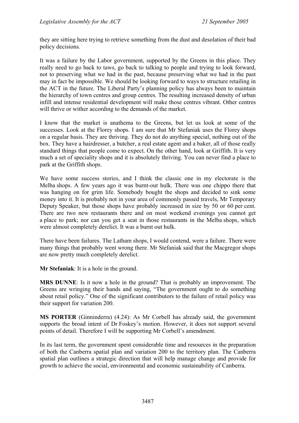they are sitting here trying to retrieve something from the dust and desolation of their bad policy decisions.

It was a failure by the Labor government, supported by the Greens in this place. They really need to go back to taws, go back to talking to people and trying to look forward, not to preserving what we had in the past, because preserving what we had in the past may in fact be impossible. We should be looking forward to ways to structure retailing in the ACT in the future. The Liberal Party's planning policy has always been to maintain the hierarchy of town centres and group centres. The resulting increased density of urban infill and intense residential development will make those centres vibrant. Other centres will thrive or wither according to the demands of the market.

I know that the market is anathema to the Greens, but let us look at some of the successes. Look at the Florey shops. I am sure that Mr Stefaniak uses the Florey shops on a regular basis. They are thriving. They do not do anything special, nothing out of the box. They have a hairdresser, a butcher, a real estate agent and a baker, all of those really standard things that people come to expect. On the other hand, look at Griffith. It is very much a set of speciality shops and it is absolutely thriving. You can never find a place to park at the Griffith shops.

We have some success stories, and I think the classic one in my electorate is the Melba shops. A few years ago it was burnt-out hulk. There was one chippo there that was hanging on for grim life. Somebody bought the shops and decided to sink some money into it. It is probably not in your area of commonly passed travels, Mr Temporary Deputy Speaker, but those shops have probably increased in size by 50 or 60 per cent. There are two new restaurants there and on most weekend evenings you cannot get a place to park; nor can you get a seat in those restaurants in the Melba shops, which were almost completely derelict. It was a burnt out hulk.

There have been failures. The Latham shops, I would contend, were a failure. There were many things that probably went wrong there. Mr Stefaniak said that the Macgregor shops are now pretty much completely derelict.

**Mr Stefaniak**: It is a hole in the ground.

**MRS DUNNE**: Is it now a hole in the ground? That is probably an improvement. The Greens are wringing their hands and saying, "The government ought to do something about retail policy." One of the significant contributors to the failure of retail policy was their support for variation 200.

**MS PORTER** (Ginninderra) (4.24): As Mr Corbell has already said, the government supports the broad intent of Dr Foskey's motion. However, it does not support several points of detail. Therefore I will be supporting Mr Corbell's amendment.

In its last term, the government spent considerable time and resources in the preparation of both the Canberra spatial plan and variation 200 to the territory plan. The Canberra spatial plan outlines a strategic direction that will help manage change and provide for growth to achieve the social, environmental and economic sustainability of Canberra.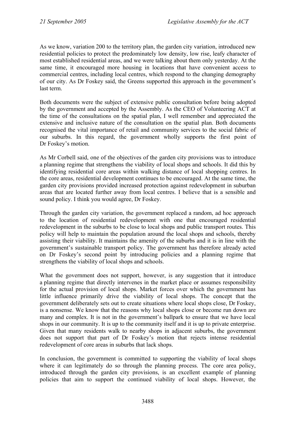As we know, variation 200 to the territory plan, the garden city variation, introduced new residential policies to protect the predominately low density, low rise, leafy character of most established residential areas, and we were talking about them only yesterday. At the same time, it encouraged more housing in locations that have convenient access to commercial centres, including local centres, which respond to the changing demography of our city. As Dr Foskey said, the Greens supported this approach in the government's last term.

Both documents were the subject of extensive public consultation before being adopted by the government and accepted by the Assembly. As the CEO of Volunteering ACT at the time of the consultations on the spatial plan, I well remember and appreciated the extensive and inclusive nature of the consultation on the spatial plan. Both documents recognised the vital importance of retail and community services to the social fabric of our suburbs. In this regard, the government wholly supports the first point of Dr Foskey's motion.

As Mr Corbell said, one of the objectives of the garden city provisions was to introduce a planning regime that strengthens the viability of local shops and schools. It did this by identifying residential core areas within walking distance of local shopping centres. In the core areas, residential development continues to be encouraged. At the same time, the garden city provisions provided increased protection against redevelopment in suburban areas that are located further away from local centres. I believe that is a sensible and sound policy. I think you would agree, Dr Foskey.

Through the garden city variation, the government replaced a random, ad hoc approach to the location of residential redevelopment with one that encouraged residential redevelopment in the suburbs to be close to local shops and public transport routes. This policy will help to maintain the population around the local shops and schools, thereby assisting their viability. It maintains the amenity of the suburbs and it is in line with the government's sustainable transport policy. The government has therefore already acted on Dr Foskey's second point by introducing policies and a planning regime that strengthens the viability of local shops and schools.

What the government does not support, however, is any suggestion that it introduce a planning regime that directly intervenes in the market place or assumes responsibility for the actual provision of local shops. Market forces over which the government has little influence primarily drive the viability of local shops. The concept that the government deliberately sets out to create situations where local shops close, Dr Foskey, is a nonsense. We know that the reasons why local shops close or become run down are many and complex. It is not in the government's ballpark to ensure that we have local shops in our community. It is up to the community itself and it is up to private enterprise. Given that many residents walk to nearby shops in adjacent suburbs, the government does not support that part of Dr Foskey's motion that rejects intense residential redevelopment of core areas in suburbs that lack shops.

In conclusion, the government is committed to supporting the viability of local shops where it can legitimately do so through the planning process. The core area policy, introduced through the garden city provisions, is an excellent example of planning policies that aim to support the continued viability of local shops. However, the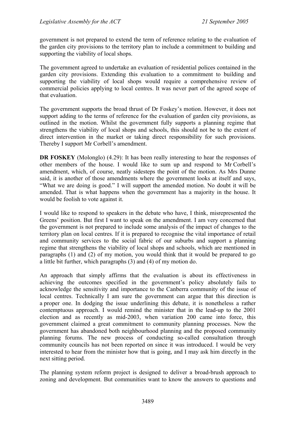government is not prepared to extend the term of reference relating to the evaluation of the garden city provisions to the territory plan to include a commitment to building and supporting the viability of local shops.

The government agreed to undertake an evaluation of residential polices contained in the garden city provisions. Extending this evaluation to a commitment to building and supporting the viability of local shops would require a comprehensive review of commercial policies applying to local centres. It was never part of the agreed scope of that evaluation.

The government supports the broad thrust of Dr Foskey's motion. However, it does not support adding to the terms of reference for the evaluation of garden city provisions, as outlined in the motion. Whilst the government fully supports a planning regime that strengthens the viability of local shops and schools, this should not be to the extent of direct intervention in the market or taking direct responsibility for such provisions. Thereby I support Mr Corbell's amendment.

**DR FOSKEY** (Molonglo) (4.29): It has been really interesting to hear the responses of other members of the house. I would like to sum up and respond to Mr Corbell's amendment, which, of course, neatly sidesteps the point of the motion. As Mrs Dunne said, it is another of those amendments where the government looks at itself and says, "What we are doing is good." I will support the amended motion. No doubt it will be amended. That is what happens when the government has a majority in the house. It would be foolish to vote against it.

I would like to respond to speakers in the debate who have, I think, misrepresented the Greens' position. But first I want to speak on the amendment. I am very concerned that the government is not prepared to include some analysis of the impact of changes to the territory plan on local centres. If it is prepared to recognise the vital importance of retail and community services to the social fabric of our suburbs and support a planning regime that strengthens the viability of local shops and schools, which are mentioned in paragraphs (1) and (2) of my motion, you would think that it would be prepared to go a little bit further, which paragraphs (3) and (4) of my motion do.

An approach that simply affirms that the evaluation is about its effectiveness in achieving the outcomes specified in the government's policy absolutely fails to acknowledge the sensitivity and importance to the Canberra community of the issue of local centres. Technically I am sure the government can argue that this direction is a proper one. In dodging the issue underlining this debate, it is nonetheless a rather contemptuous approach. I would remind the minister that in the lead-up to the 2001 election and as recently as mid-2003, when variation 200 came into force, this government claimed a great commitment to community planning processes. Now the government has abandoned both neighbourhood planning and the proposed community planning forums. The new process of conducting so-called consultation through community councils has not been reported on since it was introduced. I would be very interested to hear from the minister how that is going, and I may ask him directly in the next sitting period.

The planning system reform project is designed to deliver a broad-brush approach to zoning and development. But communities want to know the answers to questions and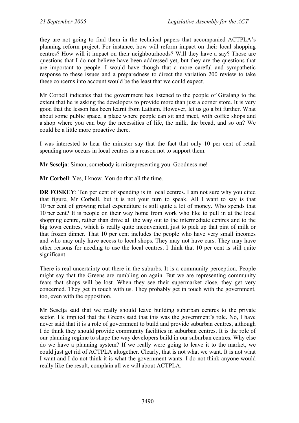they are not going to find them in the technical papers that accompanied ACTPLA's planning reform project. For instance, how will reform impact on their local shopping centres? How will it impact on their neighbourhoods? Will they have a say? Those are questions that I do not believe have been addressed yet, but they are the questions that are important to people. I would have though that a more careful and sympathetic response to these issues and a preparedness to direct the variation 200 review to take these concerns into account would be the least that we could expect.

Mr Corbell indicates that the government has listened to the people of Giralang to the extent that he is asking the developers to provide more than just a corner store. It is very good that the lesson has been learnt from Latham. However, let us go a bit further. What about some public space, a place where people can sit and meet, with coffee shops and a shop where you can buy the necessities of life, the milk, the bread, and so on? We could be a little more proactive there.

I was interested to hear the minister say that the fact that only 10 per cent of retail spending now occurs in local centres is a reason not to support them.

**Mr Seselja**: Simon, somebody is misrepresenting you. Goodness me!

**Mr Corbell**: Yes, I know. You do that all the time.

**DR FOSKEY**: Ten per cent of spending is in local centres. I am not sure why you cited that figure, Mr Corbell, but it is not your turn to speak. All I want to say is that 10 per cent of growing retail expenditure is still quite a lot of money. Who spends that 10 per cent? It is people on their way home from work who like to pull in at the local shopping centre, rather than drive all the way out to the intermediate centres and to the big town centres, which is really quite inconvenient, just to pick up that pint of milk or that frozen dinner. That 10 per cent includes the people who have very small incomes and who may only have access to local shops. They may not have cars. They may have other reasons for needing to use the local centres. I think that 10 per cent is still quite significant.

There is real uncertainty out there in the suburbs. It is a community perception. People might say that the Greens are rumbling on again. But we are representing community fears that shops will be lost. When they see their supermarket close, they get very concerned. They get in touch with us. They probably get in touch with the government, too, even with the opposition.

Mr Seselja said that we really should leave building suburban centres to the private sector. He implied that the Greens said that this was the government's role. No, I have never said that it is a role of government to build and provide suburban centres, although I do think they should provide community facilities in suburban centres. It is the role of our planning regime to shape the way developers build in our suburban centres. Why else do we have a planning system? If we really were going to leave it to the market, we could just get rid of ACTPLA altogether. Clearly, that is not what we want. It is not what I want and I do not think it is what the government wants. I do not think anyone would really like the result, complain all we will about ACTPLA.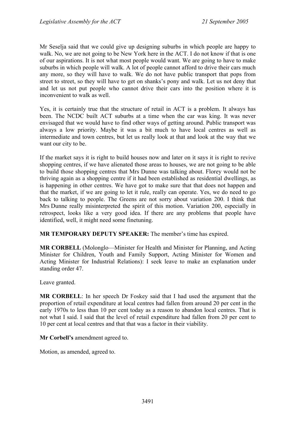Mr Seselja said that we could give up designing suburbs in which people are happy to walk. No, we are not going to be New York here in the ACT. I do not know if that is one of our aspirations. It is not what most people would want. We are going to have to make suburbs in which people will walk. A lot of people cannot afford to drive their cars much any more, so they will have to walk. We do not have public transport that pops from street to street, so they will have to get on shanks's pony and walk. Let us not deny that and let us not put people who cannot drive their cars into the position where it is inconvenient to walk as well.

Yes, it is certainly true that the structure of retail in ACT is a problem. It always has been. The NCDC built ACT suburbs at a time when the car was king. It was never envisaged that we would have to find other ways of getting around. Public transport was always a low priority. Maybe it was a bit much to have local centres as well as intermediate and town centres, but let us really look at that and look at the way that we want our city to be.

If the market says it is right to build houses now and later on it says it is right to revive shopping centres, if we have alienated those areas to houses, we are not going to be able to build those shopping centres that Mrs Dunne was talking about. Florey would not be thriving again as a shopping centre if it had been established as residential dwellings, as is happening in other centres. We have got to make sure that that does not happen and that the market, if we are going to let it rule, really can operate. Yes, we do need to go back to talking to people. The Greens are not sorry about variation 200. I think that Mrs Dunne really misinterpreted the spirit of this motion. Variation 200, especially in retrospect, looks like a very good idea. If there are any problems that people have identified, well, it might need some finetuning.

**MR TEMPORARY DEPUTY SPEAKER:** The member's time has expired.

**MR CORBELL** (Molonglo—Minister for Health and Minister for Planning, and Acting Minister for Children, Youth and Family Support, Acting Minister for Women and Acting Minister for Industrial Relations): I seek leave to make an explanation under standing order 47.

Leave granted.

**MR CORBELL**: In her speech Dr Foskey said that I had used the argument that the proportion of retail expenditure at local centres had fallen from around 20 per cent in the early 1970s to less than 10 per cent today as a reason to abandon local centres. That is not what I said. I said that the level of retail expenditure had fallen from 20 per cent to 10 per cent at local centres and that that was a factor in their viability.

**Mr Corbell's** amendment agreed to.

Motion, as amended, agreed to.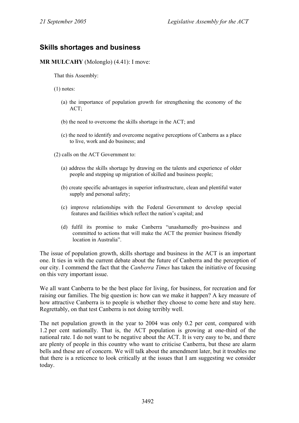# **Skills shortages and business**

**MR MULCAHY** (Molonglo) (4.41): I move:

That this Assembly:

(1) notes:

- (a) the importance of population growth for strengthening the economy of the ACT;
- (b) the need to overcome the skills shortage in the ACT; and
- (c) the need to identify and overcome negative perceptions of Canberra as a place to live, work and do business; and
- (2) calls on the ACT Government to:
	- (a) address the skills shortage by drawing on the talents and experience of older people and stepping up migration of skilled and business people;
	- (b) create specific advantages in superior infrastructure, clean and plentiful water supply and personal safety;
	- (c) improve relationships with the Federal Government to develop special features and facilities which reflect the nation's capital; and
	- (d) fulfil its promise to make Canberra "unashamedly pro-business and committed to actions that will make the ACT the premier business friendly location in Australia".

The issue of population growth, skills shortage and business in the ACT is an important one. It ties in with the current debate about the future of Canberra and the perception of our city. I commend the fact that the *Canberra Times* has taken the initiative of focusing on this very important issue.

We all want Canberra to be the best place for living, for business, for recreation and for raising our families. The big question is: how can we make it happen? A key measure of how attractive Canberra is to people is whether they choose to come here and stay here. Regrettably, on that test Canberra is not doing terribly well.

The net population growth in the year to 2004 was only 0.2 per cent, compared with 1.2 per cent nationally. That is, the ACT population is growing at one-third of the national rate. I do not want to be negative about the ACT. It is very easy to be, and there are plenty of people in this country who want to criticise Canberra, but these are alarm bells and these are of concern. We will talk about the amendment later, but it troubles me that there is a reticence to look critically at the issues that I am suggesting we consider today.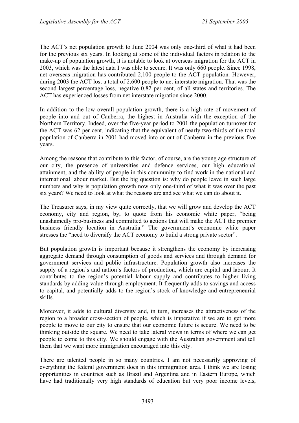The ACT's net population growth to June 2004 was only one-third of what it had been for the previous six years. In looking at some of the individual factors in relation to the make-up of population growth, it is notable to look at overseas migration for the ACT in 2003, which was the latest data I was able to secure. It was only 660 people. Since 1998, net overseas migration has contributed 2,100 people to the ACT population. However, during 2003 the ACT lost a total of 2,600 people to net interstate migration. That was the second largest percentage loss, negative 0.82 per cent, of all states and territories. The ACT has experienced losses from net interstate migration since 2000.

In addition to the low overall population growth, there is a high rate of movement of people into and out of Canberra, the highest in Australia with the exception of the Northern Territory. Indeed, over the five-year period to 2001 the population turnover for the ACT was 62 per cent, indicating that the equivalent of nearly two-thirds of the total population of Canberra in 2001 had moved into or out of Canberra in the previous five years.

Among the reasons that contribute to this factor, of course, are the young age structure of our city, the presence of universities and defence services, our high educational attainment, and the ability of people in this community to find work in the national and international labour market. But the big question is: why do people leave in such large numbers and why is population growth now only one-third of what it was over the past six years? We need to look at what the reasons are and see what we can do about it.

The Treasurer says, in my view quite correctly, that we will grow and develop the ACT economy, city and region, by, to quote from his economic white paper, "being unashamedly pro-business and committed to actions that will make the ACT the premier business friendly location in Australia." The government's economic white paper stresses the "need to diversify the ACT economy to build a strong private sector".

But population growth is important because it strengthens the economy by increasing aggregate demand through consumption of goods and services and through demand for government services and public infrastructure. Population growth also increases the supply of a region's and nation's factors of production, which are capital and labour. It contributes to the region's potential labour supply and contributes to higher living standards by adding value through employment. It frequently adds to savings and access to capital, and potentially adds to the region's stock of knowledge and entrepreneurial skills.

Moreover, it adds to cultural diversity and, in turn, increases the attractiveness of the region to a broader cross-section of people, which is imperative if we are to get more people to move to our city to ensure that our economic future is secure. We need to be thinking outside the square. We need to take lateral views in terms of where we can get people to come to this city. We should engage with the Australian government and tell them that we want more immigration encouraged into this city.

There are talented people in so many countries. I am not necessarily approving of everything the federal government does in this immigration area. I think we are losing opportunities in countries such as Brazil and Argentina and in Eastern Europe, which have had traditionally very high standards of education but very poor income levels,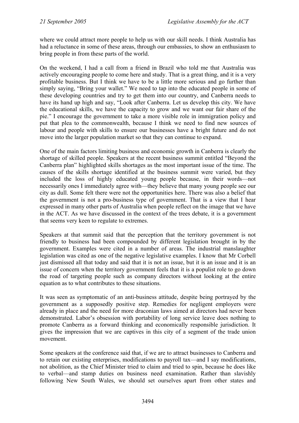where we could attract more people to help us with our skill needs. I think Australia has had a reluctance in some of these areas, through our embassies, to show an enthusiasm to bring people in from these parts of the world.

On the weekend, I had a call from a friend in Brazil who told me that Australia was actively encouraging people to come here and study. That is a great thing, and it is a very profitable business. But I think we have to be a little more serious and go further than simply saying, "Bring your wallet." We need to tap into the educated people in some of these developing countries and try to get them into our country, and Canberra needs to have its hand up high and say, "Look after Canberra. Let us develop this city. We have the educational skills, we have the capacity to grow and we want our fair share of the pie." I encourage the government to take a more visible role in immigration policy and put that plea to the commonwealth, because I think we need to find new sources of labour and people with skills to ensure our businesses have a bright future and do not move into the larger population market so that they can continue to expand.

One of the main factors limiting business and economic growth in Canberra is clearly the shortage of skilled people. Speakers at the recent business summit entitled "Beyond the Canberra plan" highlighted skills shortages as the most important issue of the time. The causes of the skills shortage identified at the business summit were varied, but they included the loss of highly educated young people because, in their words—not necessarily ones I immediately agree with—they believe that many young people see our city as dull. Some felt there were not the opportunities here. There was also a belief that the government is not a pro-business type of government. That is a view that I hear expressed in many other parts of Australia when people reflect on the image that we have in the ACT. As we have discussed in the context of the trees debate, it is a government that seems very keen to regulate to extremes.

Speakers at that summit said that the perception that the territory government is not friendly to business had been compounded by different legislation brought in by the government. Examples were cited in a number of areas. The industrial manslaughter legislation was cited as one of the negative legislative examples. I know that Mr Corbell just dismissed all that today and said that it is not an issue, but it is an issue and it is an issue of concern when the territory government feels that it is a populist role to go down the road of targeting people such as company directors without looking at the entire equation as to what contributes to these situations.

It was seen as symptomatic of an anti-business attitude, despite being portrayed by the government as a supposedly positive step. Remedies for negligent employers were already in place and the need for more draconian laws aimed at directors had never been demonstrated. Labor's obsession with portability of long service leave does nothing to promote Canberra as a forward thinking and economically responsible jurisdiction. It gives the impression that we are captives in this city of a segment of the trade union movement.

Some speakers at the conference said that, if we are to attract businesses to Canberra and to retain our existing enterprises, modifications to payroll tax—and I say modifications, not abolition, as the Chief Minister tried to claim and tried to spin, because he does like to verbal—and stamp duties on business need examination. Rather than slavishly following New South Wales, we should set ourselves apart from other states and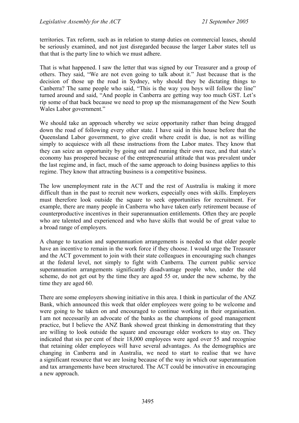territories. Tax reform, such as in relation to stamp duties on commercial leases, should be seriously examined, and not just disregarded because the larger Labor states tell us that that is the party line to which we must adhere.

That is what happened. I saw the letter that was signed by our Treasurer and a group of others. They said, "We are not even going to talk about it." Just because that is the decision of those up the road in Sydney, why should they be dictating things to Canberra? The same people who said, "This is the way you boys will follow the line" turned around and said, "And people in Canberra are getting way too much GST. Let's rip some of that back because we need to prop up the mismanagement of the New South Wales Labor government."

We should take an approach whereby we seize opportunity rather than being dragged down the road of following every other state. I have said in this house before that the Queensland Labor government, to give credit where credit is due, is not as willing simply to acquiesce with all these instructions from the Labor mates. They know that they can seize an opportunity by going out and running their own race, and that state's economy has prospered because of the entrepreneurial attitude that was prevalent under the last regime and, in fact, much of the same approach to doing business applies to this regime. They know that attracting business is a competitive business.

The low unemployment rate in the ACT and the rest of Australia is making it more difficult than in the past to recruit new workers, especially ones with skills. Employers must therefore look outside the square to seek opportunities for recruitment. For example, there are many people in Canberra who have taken early retirement because of counterproductive incentives in their superannuation entitlements. Often they are people who are talented and experienced and who have skills that would be of great value to a broad range of employers.

A change to taxation and superannuation arrangements is needed so that older people have an incentive to remain in the work force if they choose. I would urge the Treasurer and the ACT government to join with their state colleagues in encouraging such changes at the federal level, not simply to fight with Canberra. The current public service superannuation arrangements significantly disadvantage people who, under the old scheme, do not get out by the time they are aged 55 or, under the new scheme, by the time they are aged 60.

There are some employers showing initiative in this area. I think in particular of the ANZ Bank, which announced this week that older employees were going to be welcome and were going to be taken on and encouraged to continue working in their organisation. I am not necessarily an advocate of the banks as the champions of good management practice, but I believe the ANZ Bank showed great thinking in demonstrating that they are willing to look outside the square and encourage older workers to stay on. They indicated that six per cent of their 18,000 employees were aged over 55 and recognise that retaining older employees will have several advantages. As the demographics are changing in Canberra and in Australia, we need to start to realise that we have a significant resource that we are losing because of the way in which our superannuation and tax arrangements have been structured. The ACT could be innovative in encouraging a new approach.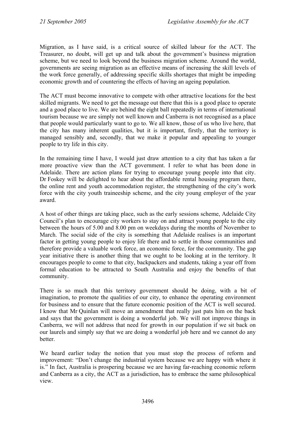Migration, as I have said, is a critical source of skilled labour for the ACT. The Treasurer, no doubt, will get up and talk about the government's business migration scheme, but we need to look beyond the business migration scheme. Around the world, governments are seeing migration as an effective means of increasing the skill levels of the work force generally, of addressing specific skills shortages that might be impeding economic growth and of countering the effects of having an ageing population.

The ACT must become innovative to compete with other attractive locations for the best skilled migrants. We need to get the message out there that this is a good place to operate and a good place to live. We are behind the eight ball repeatedly in terms of international tourism because we are simply not well known and Canberra is not recognised as a place that people would particularly want to go to. We all know, those of us who live here, that the city has many inherent qualities, but it is important, firstly, that the territory is managed sensibly and, secondly, that we make it popular and appealing to younger people to try life in this city.

In the remaining time I have, I would just draw attention to a city that has taken a far more proactive view than the ACT government. I refer to what has been done in Adelaide. There are action plans for trying to encourage young people into that city. Dr Foskey will be delighted to hear about the affordable rental housing program there, the online rent and youth accommodation register, the strengthening of the city's work force with the city youth traineeship scheme, and the city young employer of the year award.

A host of other things are taking place, such as the early sessions scheme, Adelaide City Council's plan to encourage city workers to stay on and attract young people to the city between the hours of 5.00 and 8.00 pm on weekdays during the months of November to March. The social side of the city is something that Adelaide realises is an important factor in getting young people to enjoy life there and to settle in those communities and therefore provide a valuable work force, an economic force, for the community. The gap year initiative there is another thing that we ought to be looking at in the territory. It encourages people to come to that city, backpackers and students, taking a year off from formal education to be attracted to South Australia and enjoy the benefits of that community.

There is so much that this territory government should be doing, with a bit of imagination, to promote the qualities of our city, to enhance the operating environment for business and to ensure that the future economic position of the ACT is well secured. I know that Mr Quinlan will move an amendment that really just pats him on the back and says that the government is doing a wonderful job. We will not improve things in Canberra, we will not address that need for growth in our population if we sit back on our laurels and simply say that we are doing a wonderful job here and we cannot do any **better** 

We heard earlier today the notion that you must stop the process of reform and improvement: "Don't change the industrial system because we are happy with where it is." In fact, Australia is prospering because we are having far-reaching economic reform and Canberra as a city, the ACT as a jurisdiction, has to embrace the same philosophical view.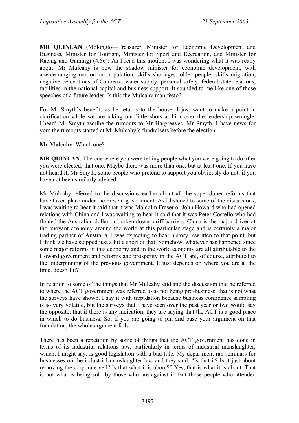**MR QUINLAN** (Molonglo—Treasurer, Minister for Economic Development and Business, Minister for Tourism, Minister for Sport and Recreation, and Minister for Racing and Gaming) (4.56): As I read this motion, I was wondering what it was really about. Mr Mulcahy is now the shadow minister for economic development, with a wide-ranging motion on population, skills shortages, older people, skills migration, negative perceptions of Canberra, water supply, personal safety, federal-state relations, facilities in the national capital and business support. It sounded to me like one of those speeches of a future leader. Is this the Mulcahy manifesto?

For Mr Smyth's benefit, as he returns to the house, I just want to make a point in clarification while we are taking our little shots at him over the leadership wrangle. I heard Mr Smyth ascribe the rumours to Mr Hargreaves. Mr Smyth, I have news for you: the rumours started at Mr Mulcahy's fundraisers before the election.

#### **Mr Mulcahy**: Which one?

**MR QUINLAN**: The one where you were telling people what you were going to do after you were elected; that one. Maybe there was more than one, but at least one. If you have not heard it, Mr Smyth, some people who pretend to support you obviously do not, if you have not been similarly advised.

Mr Mulcahy referred to the discussions earlier about all the super-duper reforms that have taken place under the present government. As I listened to some of the discussions, I was waiting to hear it said that it was Malcolm Fraser or John Howard who had opened relations with China and I was waiting to hear it said that it was Peter Costello who had floated the Australian dollar or broken down tariff barriers. China is the major driver of the buoyant economy around the world at this particular stage and is certainly a major trading partner of Australia. I was expecting to hear history rewritten to that point, but I think we have stopped just a little short of that. Somehow, whatever has happened since some major reforms in this economy and in the world economy are all attributable to the Howard government and reforms and prosperity in the ACT are, of course, attributed to the underpinning of the previous government. It just depends on where you are at the time, doesn't it?

In relation to some of the things that Mr Mulcahy said and the discussion that he referred to where the ACT government was referred to as not being pro-business, that is not what the surveys have shown. I say it with trepidation because business confidence sampling is so very volatile, but the surveys that I have seen over the past year or two would say the opposite; that if there is any indication, they are saying that the ACT is a good place in which to do business. So, if you are going to pin and base your argument on that foundation, the whole argument fails.

There has been a repetition by some of things that the ACT government has done in terms of its industrial relations law, particularly in terms of industrial manslaughter, which, I might say, is good legislation with a bad title. My department ran seminars for businesses on the industrial manslaughter law and they said, "Is that it? Is it just about removing the corporate veil? Is that what it is about?" Yes, that is what it is about. That is not what is being sold by those who are against it. But those people who attended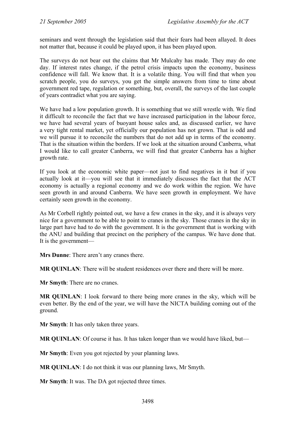seminars and went through the legislation said that their fears had been allayed. It does not matter that, because it could be played upon, it has been played upon.

The surveys do not bear out the claims that Mr Mulcahy has made. They may do one day. If interest rates change, if the petrol crisis impacts upon the economy, business confidence will fall. We know that. It is a volatile thing. You will find that when you scratch people, you do surveys, you get the simple answers from time to time about government red tape, regulation or something, but, overall, the surveys of the last couple of years contradict what you are saying.

We have had a low population growth. It is something that we still wrestle with. We find it difficult to reconcile the fact that we have increased participation in the labour force, we have had several years of buoyant house sales and, as discussed earlier, we have a very tight rental market, yet officially our population has not grown. That is odd and we will pursue it to reconcile the numbers that do not add up in terms of the economy. That is the situation within the borders. If we look at the situation around Canberra, what I would like to call greater Canberra, we will find that greater Canberra has a higher growth rate.

If you look at the economic white paper—not just to find negatives in it but if you actually look at it—you will see that it immediately discusses the fact that the ACT economy is actually a regional economy and we do work within the region. We have seen growth in and around Canberra. We have seen growth in employment. We have certainly seen growth in the economy.

As Mr Corbell rightly pointed out, we have a few cranes in the sky, and it is always very nice for a government to be able to point to cranes in the sky. Those cranes in the sky in large part have had to do with the government. It is the government that is working with the ANU and building that precinct on the periphery of the campus. We have done that. It is the government—

**Mrs Dunne**: There aren't any cranes there.

**MR QUINLAN:** There will be student residences over there and there will be more.

**Mr Smyth**: There are no cranes.

**MR QUINLAN**: I look forward to there being more cranes in the sky, which will be even better. By the end of the year, we will have the NICTA building coming out of the ground.

**Mr Smyth**: It has only taken three years.

**MR QUINLAN**: Of course it has. It has taken longer than we would have liked, but—

**Mr Smyth**: Even you got rejected by your planning laws.

**MR QUINLAN**: I do not think it was our planning laws, Mr Smyth.

**Mr Smyth**: It was. The DA got rejected three times.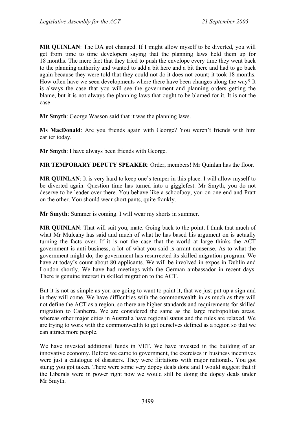**MR QUINLAN**: The DA got changed. If I might allow myself to be diverted, you will get from time to time developers saying that the planning laws held them up for 18 months. The mere fact that they tried to push the envelope every time they went back to the planning authority and wanted to add a bit here and a bit there and had to go back again because they were told that they could not do it does not count; it took 18 months. How often have we seen developments where there have been changes along the way? It is always the case that you will see the government and planning orders getting the blame, but it is not always the planning laws that ought to be blamed for it. It is not the case—

**Mr Smyth**: George Wasson said that it was the planning laws.

**Ms MacDonald**: Are you friends again with George? You weren't friends with him earlier today.

**Mr Smyth**: I have always been friends with George.

**MR TEMPORARY DEPUTY SPEAKER**: Order, members! Mr Quinlan has the floor.

**MR QUINLAN**: It is very hard to keep one's temper in this place. I will allow myself to be diverted again. Question time has turned into a gigglefest. Mr Smyth, you do not deserve to be leader over there. You behave like a schoolboy, you on one end and Pratt on the other. You should wear short pants, quite frankly.

**Mr Smyth**: Summer is coming. I will wear my shorts in summer.

**MR QUINLAN**: That will suit you, mate. Going back to the point, I think that much of what Mr Mulcahy has said and much of what he has based his argument on is actually turning the facts over. If it is not the case that the world at large thinks the ACT government is anti-business, a lot of what you said is arrant nonsense. As to what the government might do, the government has resurrected its skilled migration program. We have at today's count about 80 applicants. We will be involved in expos in Dublin and London shortly. We have had meetings with the German ambassador in recent days. There is genuine interest in skilled migration to the ACT.

But it is not as simple as you are going to want to paint it, that we just put up a sign and in they will come. We have difficulties with the commonwealth in as much as they will not define the ACT as a region, so there are higher standards and requirements for skilled migration to Canberra. We are considered the same as the large metropolitan areas, whereas other major cities in Australia have regional status and the rules are relaxed. We are trying to work with the commonwealth to get ourselves defined as a region so that we can attract more people.

We have invested additional funds in VET. We have invested in the building of an innovative economy. Before we came to government, the exercises in business incentives were just a catalogue of disasters. They were flirtations with major nationals. You got stung; you got taken. There were some very dopey deals done and I would suggest that if the Liberals were in power right now we would still be doing the dopey deals under Mr Smyth.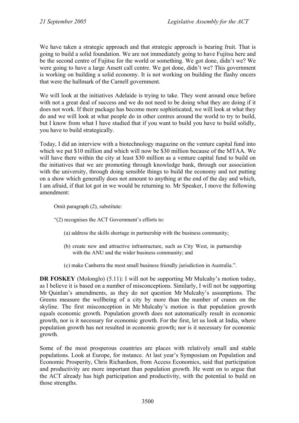We have taken a strategic approach and that strategic approach is bearing fruit. That is going to build a solid foundation. We are not immediately going to have Fujitsu here and be the second centre of Fujitsu for the world or something. We got done, didn't we? We were going to have a large Ansett call centre. We got done, didn't we? This government is working on building a solid economy. It is not working on building the flashy oncers that were the hallmark of the Carnell government.

We will look at the initiatives Adelaide is trying to take. They went around once before with not a great deal of success and we do not need to be doing what they are doing if it does not work. If their package has become more sophisticated, we will look at what they do and we will look at what people do in other centres around the world to try to build, but I know from what I have studied that if you want to build you have to build solidly, you have to build strategically.

Today, I did an interview with a biotechnology magazine on the venture capital fund into which we put \$10 million and which will now be \$30 million because of the MTAA. We will have there within the city at least \$30 million as a venture capital fund to build on the initiatives that we are promoting through knowledge bank, through our association with the university, through doing sensible things to build the economy and not putting on a show which generally does not amount to anything at the end of the day and which, I am afraid, if that lot got in we would be returning to. Mr Speaker, I move the following amendment:

Omit paragraph (2), substitute:

- "(2) recognises the ACT Government's efforts to:
	- (a) address the skills shortage in partnership with the business community;
	- (b) create new and attractive infrastructure, such as City West, in partnership with the ANU and the wider business community; and
	- (c) make Canberra the most small business friendly jurisdiction in Australia.".

**DR FOSKEY** (Molonglo) (5.11): I will not be supporting Mr Mulcahy's motion today, as I believe it is based on a number of misconceptions. Similarly, I will not be supporting Mr Quinlan's amendments, as they do not question Mr Mulcahy's assumptions. The Greens measure the wellbeing of a city by more than the number of cranes on the skyline. The first misconception in Mr Mulcahy's motion is that population growth equals economic growth. Population growth does not automatically result in economic growth, nor is it necessary for economic growth. For the first, let us look at India, where population growth has not resulted in economic growth; nor is it necessary for economic growth.

Some of the most prosperous countries are places with relatively small and stable populations. Look at Europe, for instance. At last year's Symposium on Population and Economic Prosperity, Chris Richardson, from Access Economics, said that participation and productivity are more important than population growth. He went on to argue that the ACT already has high participation and productivity, with the potential to build on those strengths.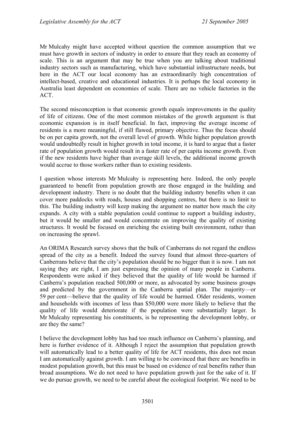Mr Mulcahy might have accepted without question the common assumption that we must have growth in sectors of industry in order to ensure that they reach an economy of scale. This is an argument that may be true when you are talking about traditional industry sectors such as manufacturing, which have substantial infrastructure needs, but here in the ACT our local economy has an extraordinarily high concentration of intellect-based, creative and educational industries. It is perhaps the local economy in Australia least dependent on economies of scale. There are no vehicle factories in the ACT.

The second misconception is that economic growth equals improvements in the quality of life of citizens. One of the most common mistakes of the growth argument is that economic expansion is in itself beneficial. In fact, improving the average income of residents is a more meaningful, if still flawed, primary objective. Thus the focus should be on per capita growth, not the overall level of growth. While higher population growth would undoubtedly result in higher growth in total income, it is hard to argue that a faster rate of population growth would result in a faster rate of per capita income growth. Even if the new residents have higher than average skill levels, the additional income growth would accrue to those workers rather than to existing residents.

I question whose interests Mr Mulcahy is representing here. Indeed, the only people guaranteed to benefit from population growth are those engaged in the building and development industry. There is no doubt that the building industry benefits when it can cover more paddocks with roads, houses and shopping centres, but there is no limit to this. The building industry will keep making the argument no matter how much the city expands. A city with a stable population could continue to support a building industry, but it would be smaller and would concentrate on improving the quality of existing structures. It would be focused on enriching the existing built environment, rather than on increasing the sprawl.

An ORIMA Research survey shows that the bulk of Canberrans do not regard the endless spread of the city as a benefit. Indeed the survey found that almost three-quarters of Canberrans believe that the city's population should be no bigger than it is now. I am not saying they are right, I am just expressing the opinion of many people in Canberra. Respondents were asked if they believed that the quality of life would be harmed if Canberra's population reached 500,000 or more, as advocated by some business groups and predicted by the government in the Canberra spatial plan. The majority—or 59 per cent—believe that the quality of life would be harmed. Older residents, women and households with incomes of less than \$50,000 were more likely to believe that the quality of life would deteriorate if the population were substantially larger. Is Mr Mulcahy representing his constituents, is he representing the development lobby, or are they the same?

I believe the development lobby has had too much influence on Canberra's planning, and here is further evidence of it. Although I reject the assumption that population growth will automatically lead to a better quality of life for ACT residents, this does not mean I am automatically against growth. I am willing to be convinced that there are benefits in modest population growth, but this must be based on evidence of real benefits rather than broad assumptions. We do not need to have population growth just for the sake of it. If we do pursue growth, we need to be careful about the ecological footprint. We need to be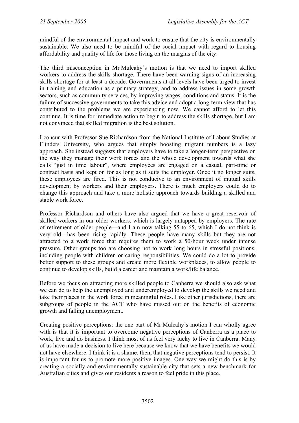mindful of the environmental impact and work to ensure that the city is environmentally sustainable. We also need to be mindful of the social impact with regard to housing affordability and quality of life for those living on the margins of the city.

The third misconception in Mr Mulcahy's motion is that we need to import skilled workers to address the skills shortage. There have been warning signs of an increasing skills shortage for at least a decade. Governments at all levels have been urged to invest in training and education as a primary strategy, and to address issues in some growth sectors, such as community services, by improving wages, conditions and status. It is the failure of successive governments to take this advice and adopt a long-term view that has contributed to the problems we are experiencing now. We cannot afford to let this continue. It is time for immediate action to begin to address the skills shortage, but I am not convinced that skilled migration is the best solution.

I concur with Professor Sue Richardson from the National Institute of Labour Studies at Flinders University, who argues that simply boosting migrant numbers is a lazy approach. She instead suggests that employers have to take a longer-term perspective on the way they manage their work forces and the whole development towards what she calls "just in time labour", where employees are engaged on a casual, part-time or contract basis and kept on for as long as it suits the employer. Once it no longer suits, these employees are fired. This is not conducive to an environment of mutual skills development by workers and their employers. There is much employers could do to change this approach and take a more holistic approach towards building a skilled and stable work force.

Professor Richardson and others have also argued that we have a great reservoir of skilled workers in our older workers, which is largely untapped by employers. The rate of retirement of older people—and I am now talking 55 to 65, which I do not think is very old—has been rising rapidly. These people have many skills but they are not attracted to a work force that requires them to work a 50-hour week under intense pressure. Other groups too are choosing not to work long hours in stressful positions, including people with children or caring responsibilities. We could do a lot to provide better support to these groups and create more flexible workplaces, to allow people to continue to develop skills, build a career and maintain a work/life balance.

Before we focus on attracting more skilled people to Canberra we should also ask what we can do to help the unemployed and underemployed to develop the skills we need and take their places in the work force in meaningful roles. Like other jurisdictions, there are subgroups of people in the ACT who have missed out on the benefits of economic growth and falling unemployment.

Creating positive perceptions: the one part of Mr Mulcahy's motion I can wholly agree with is that it is important to overcome negative perceptions of Canberra as a place to work, live and do business. I think most of us feel very lucky to live in Canberra. Many of us have made a decision to live here because we know that we have benefits we would not have elsewhere. I think it is a shame, then, that negative perceptions tend to persist. It is important for us to promote more positive images. One way we might do this is by creating a socially and environmentally sustainable city that sets a new benchmark for Australian cities and gives our residents a reason to feel pride in this place.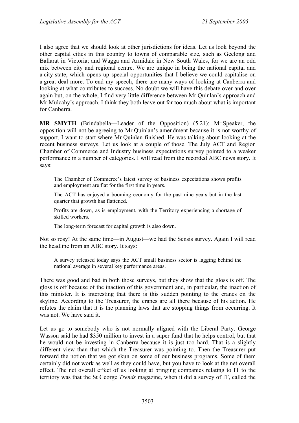I also agree that we should look at other jurisdictions for ideas. Let us look beyond the other capital cities in this country to towns of comparable size, such as Geelong and Ballarat in Victoria; and Wagga and Armidale in New South Wales, for we are an odd mix between city and regional centre. We are unique in being the national capital and a city-state, which opens up special opportunities that I believe we could capitalise on a great deal more. To end my speech, there are many ways of looking at Canberra and looking at what contributes to success. No doubt we will have this debate over and over again but, on the whole, I find very little difference between Mr Quinlan's approach and Mr Mulcahy's approach. I think they both leave out far too much about what is important for Canberra.

**MR SMYTH** (Brindabella—Leader of the Opposition) (5.21): Mr Speaker, the opposition will not be agreeing to Mr Quinlan's amendment because it is not worthy of support. I want to start where Mr Quinlan finished. He was talking about looking at the recent business surveys. Let us look at a couple of those. The July ACT and Region Chamber of Commerce and Industry business expectations survey pointed to a weaker performance in a number of categories. I will read from the recorded ABC news story. It says:

The Chamber of Commerce's latest survey of business expectations shows profits and employment are flat for the first time in years.

The ACT has enjoyed a booming economy for the past nine years but in the last quarter that growth has flattened.

Profits are down, as is employment, with the Territory experiencing a shortage of skilled workers.

The long-term forecast for capital growth is also down.

Not so rosy! At the same time—in August—we had the Sensis survey. Again I will read the headline from an ABC story. It says:

A survey released today says the ACT small business sector is lagging behind the national average in several key performance areas.

There was good and bad in both those surveys, but they show that the gloss is off. The gloss is off because of the inaction of this government and, in particular, the inaction of this minister. It is interesting that there is this sudden pointing to the cranes on the skyline. According to the Treasurer, the cranes are all there because of his action. He refutes the claim that it is the planning laws that are stopping things from occurring. It was not. We have said it.

Let us go to somebody who is not normally aligned with the Liberal Party. George Wasson said he had \$350 million to invest in a super fund that he helps control, but that he would not be investing in Canberra because it is just too hard. That is a slightly different view than that which the Treasurer was pointing to. Then the Treasurer put forward the notion that we got skun on some of our business programs. Some of them certainly did not work as well as they could have, but you have to look at the net overall effect. The net overall effect of us looking at bringing companies relating to IT to the territory was that the St George *Trends* magazine, when it did a survey of IT, called the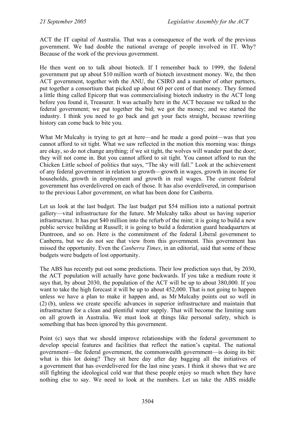ACT the IT capital of Australia. That was a consequence of the work of the previous government. We had double the national average of people involved in IT. Why? Because of the work of the previous government.

He then went on to talk about biotech. If I remember back to 1999, the federal government put up about \$10 million worth of biotech investment money. We, the then ACT government, together with the ANU, the CSIRO and a number of other partners, put together a consortium that picked up about 60 per cent of that money. They formed a little thing called Epicorp that was commercialising biotech industry in the ACT long before you found it, Treasurer. It was actually here in the ACT because we talked to the federal government; we put together the bid; we got the money; and we started the industry. I think you need to go back and get your facts straight, because rewriting history can come back to bite you.

What Mr Mulcahy is trying to get at here—and he made a good point—was that you cannot afford to sit tight. What we saw reflected in the motion this morning was: things are okay, so do not change anything; if we sit tight, the wolves will wander past the door; they will not come in. But you cannot afford to sit tight. You cannot afford to run the Chicken Little school of politics that says, "The sky will fall." Look at the achievement of any federal government in relation to growth—growth in wages, growth in income for households, growth in employment and growth in real wages. The current federal government has overdelivered on each of those. It has also overdelivered, in comparison to the previous Labor government, on what has been done for Canberra.

Let us look at the last budget. The last budget put \$54 million into a national portrait gallery—vital infrastructure for the future. Mr Mulcahy talks about us having superior infrastructure. It has put \$40 million into the refurb of the mint; it is going to build a new public service building at Russell; it is going to build a federation guard headquarters at Duntroon, and so on. Here is the commitment of the federal Liberal government to Canberra, but we do not see that view from this government. This government has missed the opportunity. Even the *Canberra Times*, in an editorial, said that some of these budgets were budgets of lost opportunity.

The ABS has recently put out some predictions. Their low prediction says that, by 2030, the ACT population will actually have gone backwards. If you take a medium route it says that, by about 2030, the population of the ACT will be up to about 380,000. If you want to take the high forecast it will be up to about 452,000. That is not going to happen unless we have a plan to make it happen and, as Mr Mulcahy points out so well in (2) (b), unless we create specific advances in superior infrastructure and maintain that infrastructure for a clean and plentiful water supply. That will become the limiting sum on all growth in Australia. We must look at things like personal safety, which is something that has been ignored by this government.

Point (c) says that we should improve relationships with the federal government to develop special features and facilities that reflect the nation's capital. The national government—the federal government, the commonwealth government—is doing its bit: what is this lot doing? They sit here day after day bagging all the initiatives of a government that has overdelivered for the last nine years. I think it shows that we are still fighting the ideological cold war that these people enjoy so much when they have nothing else to say. We need to look at the numbers. Let us take the ABS middle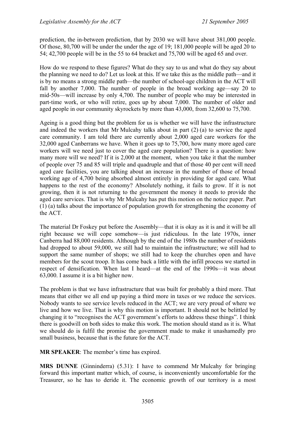prediction, the in-between prediction, that by 2030 we will have about 381,000 people. Of those, 80,700 will be under the under the age of 19; 181,000 people will be aged 20 to 54; 42,700 people will be in the 55 to 64 bracket and 75,700 will be aged 65 and over.

How do we respond to these figures? What do they say to us and what do they say about the planning we need to do? Let us look at this. If we take this as the middle path—and it is by no means a strong middle path—the number of school-age children in the ACT will fall by another 7,000. The number of people in the broad working age—say 20 to mid-50s—will increase by only 4,700. The number of people who may be interested in part-time work, or who will retire, goes up by about 7,000. The number of older and aged people in our community skyrockets by more than 43,000, from 32,600 to 75,700.

Ageing is a good thing but the problem for us is whether we will have the infrastructure and indeed the workers that Mr Mulcahy talks about in part (2) (a) to service the aged care community. I am told there are currently about 2,000 aged care workers for the 32,000 aged Canberrans we have. When it goes up to 75,700, how many more aged care workers will we need just to cover the aged care population? There is a question: how many more will we need? If it is 2,000 at the moment, when you take it that the number of people over 75 and 85 will triple and quadruple and that of those 40 per cent will need aged care facilities, you are talking about an increase in the number of those of broad working age of 4,700 being absorbed almost entirely in providing for aged care. What happens to the rest of the economy? Absolutely nothing, it fails to grow. If it is not growing, then it is not returning to the government the money it needs to provide the aged care services. That is why Mr Mulcahy has put this motion on the notice paper. Part (1) (a) talks about the importance of population growth for strengthening the economy of the ACT.

The material Dr Foskey put before the Assembly—that it is okay as it is and it will be all right because we will cope somehow—is just ridiculous. In the late 1970s, inner Canberra had 88,000 residents. Although by the end of the 1980s the number of residents had dropped to about 59,000, we still had to maintain the infrastructure; we still had to support the same number of shops; we still had to keep the churches open and have members for the scout troop. It has come back a little with the infill process we started in respect of densification. When last I heard—at the end of the 1990s—it was about 63,000. I assume it is a bit higher now.

The problem is that we have infrastructure that was built for probably a third more. That means that either we all end up paying a third more in taxes or we reduce the services. Nobody wants to see service levels reduced in the ACT; we are very proud of where we live and how we live. That is why this motion is important. It should not be belittled by changing it to "recognises the ACT government's efforts to address these things". I think there is goodwill on both sides to make this work. The motion should stand as it is. What we should do is fulfil the promise the government made to make it unashamedly pro small business, because that is the future for the ACT.

**MR SPEAKER**: The member's time has expired.

**MRS DUNNE** (Ginninderra) (5.31): I have to commend Mr Mulcahy for bringing forward this important matter which, of course, is inconveniently uncomfortable for the Treasurer, so he has to deride it. The economic growth of our territory is a most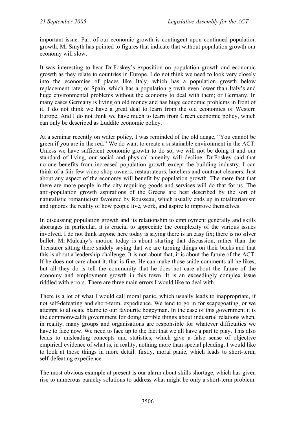important issue. Part of our economic growth is contingent upon continued population growth. Mr Smyth has pointed to figures that indicate that without population growth our economy will slow.

It was interesting to hear Dr Foskey's exposition on population growth and economic growth as they relate to countries in Europe. I do not think we need to look very closely into the economies of places like Italy, which has a population growth below replacement rate; or Spain, which has a population growth even lower than Italy's and huge environmental problems without the economy to deal with them; or Germany. In many cases Germany is living on old money and has huge economic problems in front of it. I do not think we have a great deal to learn from the old economies of Western Europe. And I do not think we have much to learn from Green economic policy, which can only be described as Luddite economic policy.

At a seminar recently on water policy, I was reminded of the old adage, "You cannot be green if you are in the red." We do want to create a sustainable environment in the ACT. Unless we have sufficient economic growth to do so, we will not be doing it and our standard of living, our social and physical amenity will decline. Dr Foskey said that no-one benefits from increased population growth except the building industry. I can think of a fair few video shop owners, restaurateurs, hoteliers and contract cleaners. Just about any aspect of the economy will benefit by population growth. The mere fact that there are more people in the city requiring goods and services will do that for us. The anti-population growth aspirations of the Greens are best described by the sort of naturalistic romanticism favoured by Rousseau, which usually ends up in totalitarianism and ignores the reality of how people live, work, and aspire to improve themselves.

In discussing population growth and its relationship to employment generally and skills shortages in particular, it is crucial to appreciate the complexity of the various issues involved. I do not think anyone here today is saying there is an easy fix; there is no silver bullet. Mr Mulcahy's motion today is about starting that discussion, rather than the Treasurer sitting there snidely saying that we are turning things on their backs and that this is about a leadership challenge. It is not about that, it is about the future of the ACT. If he does not care about it, that is fine. He can make those snide comments all he likes, but all they do is tell the community that he does not care about the future of the economy and employment growth in this town. It is an exceedingly complex issue riddled with errors. There are three main errors I would like to deal with.

There is a lot of what I would call moral panic, which usually leads to inappropriate, if not self-defeating and short-term, expedience. We tend to go in for scapegoating, or we attempt to allocate blame to our favourite bogeyman. In the case of this government it is the commonwealth government for doing terrible things about industrial relations when, in reality, many groups and organisations are responsible for whatever difficulties we have to face now. We need to face up to the fact that we all have a part to play. This also leads to misleading concepts and statistics, which give a false sense of objective empirical evidence of what is, in reality, nothing more than special pleading. I would like to look at those things in more detail: firstly, moral panic, which leads to short-term, self-defeating expedience.

The most obvious example at present is our alarm about skills shortage, which has given rise to numerous panicky solutions to address what might be only a short-term problem.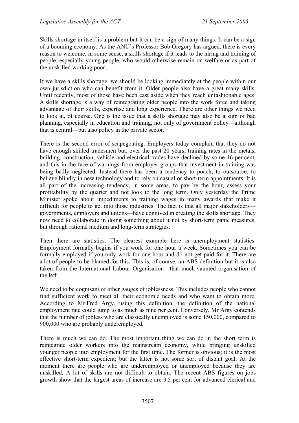Skills shortage in itself is a problem but it can be a sign of many things. It can be a sign of a booming economy. As the ANU's Professor Bob Gregory has argued, there is every reason to welcome, in some sense, a skills shortage if it leads to the hiring and training of people, especially young people, who would otherwise remain on welfare or as part of the unskilled working poor.

If we have a skills shortage, we should be looking immediately at the people within our own jurisdiction who can benefit from it. Older people also have a great many skills. Until recently, most of those have been cast aside when they reach unfashionable ages. A skills shortage is a way of reintegrating older people into the work force and taking advantage of their skills, expertise and long experience. There are other things we need to look at, of course. One is the issue that a skills shortage may also be a sign of bad planning, especially in education and training, not only of government policy—although that is central—but also policy in the private sector.

There is the second error of scapegoating. Employers today complain that they do not have enough skilled tradesmen but, over the past 20 years, training rates in the metals, building, construction, vehicle and electrical trades have declined by some 16 per cent, and this in the face of warnings from employer groups that investment in training was being badly neglected. Instead there has been a tendency to poach, to outsource, to believe blindly in new technology and to rely on casual or short-term appointments. It is all part of the increasing tendency, in some areas, to pay by the hour, assess your profitability by the quarter and not look to the long term. Only yesterday the Prime Minister spoke about impediments to training wages in many awards that make it difficult for people to get into those industries. The fact is that all major stakeholders governments, employers and unions—have connived in creating the skills shortage. They now need to collaborate in doing something about it not by short-term panic measures, but through rational medium and long-term strategies.

Then there are statistics. The clearest example here is unemployment statistics. Employment formally begins if you work for one hour a week. Sometimes you can be formally employed if you only work for one hour and do not get paid for it. There are a lot of people to be blamed for this. This is, of course, an ABS definition but it is also taken from the International Labour Organisation—that much-vaunted organisation of the left.

We need to be cognisant of other gauges of joblessness. This includes people who cannot find sufficient work to meet all their economic needs and who want to obtain more. According to Mr Fred Argy, using this definition, the definition of the national employment rate could jump to as much as nine per cent. Conversely, Mr Argy contends that the number of jobless who are classically unemployed is some 150,000, compared to 900,000 who are probably underemployed.

There is much we can do. The most important thing we can do in the short term is reintegrate older workers into the mainstream economy, while bringing unskilled younger people into employment for the first time. The former is obvious; it is the most effective short-term expedient; but the latter is not some sort of distant goal. At the moment there are people who are underemployed or unemployed because they are unskilled. A lot of skills are not difficult to obtain. The recent ABS figures on jobs growth show that the largest areas of increase are 9.5 per cent for advanced clerical and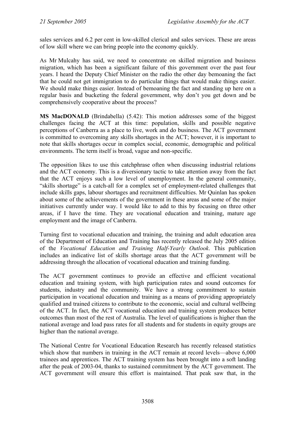sales services and 6.2 per cent in low-skilled clerical and sales services. These are areas of low skill where we can bring people into the economy quickly.

As Mr Mulcahy has said, we need to concentrate on skilled migration and business migration, which has been a significant failure of this government over the past four years. I heard the Deputy Chief Minister on the radio the other day bemoaning the fact that he could not get immigration to do particular things that would make things easier. We should make things easier. Instead of bemoaning the fact and standing up here on a regular basis and bucketing the federal government, why don't you get down and be comprehensively cooperative about the process?

**MS MacDONALD** (Brindabella) (5.42): This motion addresses some of the biggest challenges facing the ACT at this time: population, skills and possible negative perceptions of Canberra as a place to live, work and do business. The ACT government is committed to overcoming any skills shortages in the ACT; however, it is important to note that skills shortages occur in complex social, economic, demographic and political environments. The term itself is broad, vague and non-specific.

The opposition likes to use this catchphrase often when discussing industrial relations and the ACT economy. This is a diversionary tactic to take attention away from the fact that the ACT enjoys such a low level of unemployment. In the general community, "skills shortage" is a catch-all for a complex set of employment-related challenges that include skills gaps, labour shortages and recruitment difficulties. Mr Quinlan has spoken about some of the achievements of the government in these areas and some of the major initiatives currently under way. I would like to add to this by focusing on three other areas, if I have the time. They are vocational education and training, mature age employment and the image of Canberra.

Turning first to vocational education and training, the training and adult education area of the Department of Education and Training has recently released the July 2005 edition of the *Vocational Education and Training Half-Yearly Outlook*. This publication includes an indicative list of skills shortage areas that the ACT government will be addressing through the allocation of vocational education and training funding.

The ACT government continues to provide an effective and efficient vocational education and training system, with high participation rates and sound outcomes for students, industry and the community. We have a strong commitment to sustain participation in vocational education and training as a means of providing appropriately qualified and trained citizens to contribute to the economic, social and cultural wellbeing of the ACT. In fact, the ACT vocational education and training system produces better outcomes than most of the rest of Australia. The level of qualifications is higher than the national average and load pass rates for all students and for students in equity groups are higher than the national average.

The National Centre for Vocational Education Research has recently released statistics which show that numbers in training in the ACT remain at record levels—above 6,000 trainees and apprentices. The ACT training system has been brought into a soft landing after the peak of 2003-04, thanks to sustained commitment by the ACT government. The ACT government will ensure this effort is maintained. That peak saw that, in the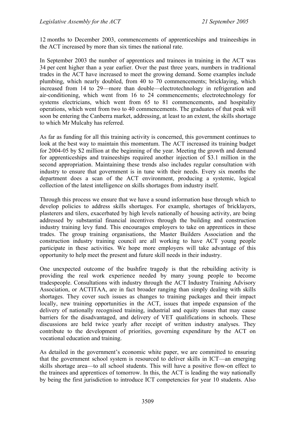12 months to December 2003, commencements of apprenticeships and traineeships in the ACT increased by more than six times the national rate.

In September 2003 the number of apprentices and trainees in training in the ACT was 34 per cent higher than a year earlier. Over the past three years, numbers in traditional trades in the ACT have increased to meet the growing demand. Some examples include plumbing, which nearly doubled, from 40 to 70 commencements; bricklaying, which increased from 14 to 29—more than double—electrotechnology in refrigeration and air-conditioning, which went from 16 to 24 commencements; electrotechnology for systems electricians, which went from 65 to 81 commencements, and hospitality operations, which went from two to 40 commencements. The graduates of that peak will soon be entering the Canberra market, addressing, at least to an extent, the skills shortage to which Mr Mulcahy has referred.

As far as funding for all this training activity is concerned, this government continues to look at the best way to maintain this momentum. The ACT increased its training budget for 2004-05 by \$2 million at the beginning of the year. Meeting the growth and demand for apprenticeships and traineeships required another injection of \$3.1 million in the second appropriation. Maintaining these trends also includes regular consultation with industry to ensure that government is in tune with their needs. Every six months the department does a scan of the ACT environment, producing a systemic, logical collection of the latest intelligence on skills shortages from industry itself.

Through this process we ensure that we have a sound information base through which to develop policies to address skills shortages. For example, shortages of bricklayers, plasterers and tilers, exacerbated by high levels nationally of housing activity, are being addressed by substantial financial incentives through the building and construction industry training levy fund. This encourages employers to take on apprentices in these trades. The group training organisations, the Master Builders Association and the construction industry training council are all working to have ACT young people participate in these activities. We hope more employers will take advantage of this opportunity to help meet the present and future skill needs in their industry.

One unexpected outcome of the bushfire tragedy is that the rebuilding activity is providing the real work experience needed by many young people to become tradespeople. Consultations with industry through the ACT Industry Training Advisory Association, or ACTITAA, are in fact broader ranging than simply dealing with skills shortages. They cover such issues as changes to training packages and their impact locally, new training opportunities in the ACT, issues that impede expansion of the delivery of nationally recognised training, industrial and equity issues that may cause barriers for the disadvantaged, and delivery of VET qualifications in schools. These discussions are held twice yearly after receipt of written industry analyses. They contribute to the development of priorities, governing expenditure by the ACT on vocational education and training.

As detailed in the government's economic white paper, we are committed to ensuring that the government school system is resourced to deliver skills in ICT—an emerging skills shortage area—to all school students. This will have a positive flow-on effect to the trainees and apprentices of tomorrow. In this, the ACT is leading the way nationally by being the first jurisdiction to introduce ICT competencies for year 10 students. Also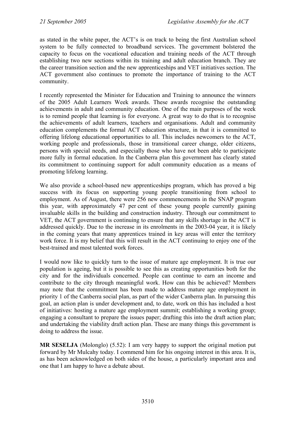as stated in the white paper, the ACT's is on track to being the first Australian school system to be fully connected to broadband services. The government bolstered the capacity to focus on the vocational education and training needs of the ACT through establishing two new sections within its training and adult education branch. They are the career transition section and the new apprenticeships and VET initiatives section. The ACT government also continues to promote the importance of training to the ACT community.

I recently represented the Minister for Education and Training to announce the winners of the 2005 Adult Learners Week awards. These awards recognise the outstanding achievements in adult and community education. One of the main purposes of the week is to remind people that learning is for everyone. A great way to do that is to recognise the achievements of adult learners, teachers and organisations. Adult and community education complements the formal ACT education structure, in that it is committed to offering lifelong educational opportunities to all. This includes newcomers to the ACT, working people and professionals, those in transitional career change, older citizens, persons with special needs, and especially those who have not been able to participate more fully in formal education. In the Canberra plan this government has clearly stated its commitment to continuing support for adult community education as a means of promoting lifelong learning.

We also provide a school-based new apprenticeships program, which has proved a big success with its focus on supporting young people transitioning from school to employment. As of August, there were 256 new commencements in the SNAP program this year, with approximately 47 per cent of these young people currently gaining invaluable skills in the building and construction industry. Through our commitment to VET, the ACT government is continuing to ensure that any skills shortage in the ACT is addressed quickly. Due to the increase in its enrolments in the 2003-04 year, it is likely in the coming years that many apprentices trained in key areas will enter the territory work force. It is my belief that this will result in the ACT continuing to enjoy one of the best-trained and most talented work forces.

I would now like to quickly turn to the issue of mature age employment. It is true our population is ageing, but it is possible to see this as creating opportunities both for the city and for the individuals concerned. People can continue to earn an income and contribute to the city through meaningful work. How can this be achieved? Members may note that the commitment has been made to address mature age employment in priority 1 of the Canberra social plan, as part of the wider Canberra plan. In pursuing this goal, an action plan is under development and, to date, work on this has included a host of initiatives: hosting a mature age employment summit; establishing a working group; engaging a consultant to prepare the issues paper; drafting this into the draft action plan; and undertaking the viability draft action plan. These are many things this government is doing to address the issue.

**MR SESELJA** (Molonglo) (5.52): I am very happy to support the original motion put forward by Mr Mulcahy today. I commend him for his ongoing interest in this area. It is, as has been acknowledged on both sides of the house, a particularly important area and one that I am happy to have a debate about.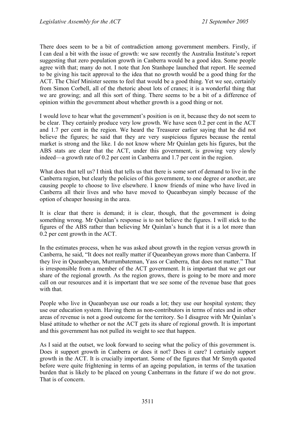There does seem to be a bit of contradiction among government members. Firstly, if I can deal a bit with the issue of growth: we saw recently the Australia Institute's report suggesting that zero population growth in Canberra would be a good idea. Some people agree with that; many do not. I note that Jon Stanhope launched that report. He seemed to be giving his tacit approval to the idea that no growth would be a good thing for the ACT. The Chief Minister seems to feel that would be a good thing. Yet we see, certainly from Simon Corbell, all of the rhetoric about lots of cranes; it is a wonderful thing that we are growing; and all this sort of thing. There seems to be a bit of a difference of opinion within the government about whether growth is a good thing or not.

I would love to hear what the government's position is on it, because they do not seem to be clear. They certainly produce very low growth. We have seen 0.2 per cent in the ACT and 1.7 per cent in the region. We heard the Treasurer earlier saying that he did not believe the figures; he said that they are very suspicious figures because the rental market is strong and the like. I do not know where Mr Quinlan gets his figures, but the ABS stats are clear that the ACT, under this government, is growing very slowly indeed—a growth rate of 0.2 per cent in Canberra and 1.7 per cent in the region.

What does that tell us? I think that tells us that there is some sort of demand to live in the Canberra region, but clearly the policies of this government, to one degree or another, are causing people to choose to live elsewhere. I know friends of mine who have lived in Canberra all their lives and who have moved to Queanbeyan simply because of the option of cheaper housing in the area.

It is clear that there is demand; it is clear, though, that the government is doing something wrong. Mr Quinlan's response is to not believe the figures. I will stick to the figures of the ABS rather than believing Mr Quinlan's hunch that it is a lot more than 0.2 per cent growth in the ACT.

In the estimates process, when he was asked about growth in the region versus growth in Canberra, he said, "It does not really matter if Queanbeyan grows more than Canberra. If they live in Queanbeyan, Murrumbateman, Yass or Canberra, that does not matter." That is irresponsible from a member of the ACT government. It is important that we get our share of the regional growth. As the region grows, there is going to be more and more call on our resources and it is important that we see some of the revenue base that goes with that

People who live in Queanbeyan use our roads a lot; they use our hospital system; they use our education system. Having them as non-contributors in terms of rates and in other areas of revenue is not a good outcome for the territory. So I disagree with Mr Quinlan's blasé attitude to whether or not the ACT gets its share of regional growth. It is important and this government has not pulled its weight to see that happen.

As I said at the outset, we look forward to seeing what the policy of this government is. Does it support growth in Canberra or does it not? Does it care? I certainly support growth in the ACT. It is crucially important. Some of the figures that Mr Smyth quoted before were quite frightening in terms of an ageing population, in terms of the taxation burden that is likely to be placed on young Canberrans in the future if we do not grow. That is of concern.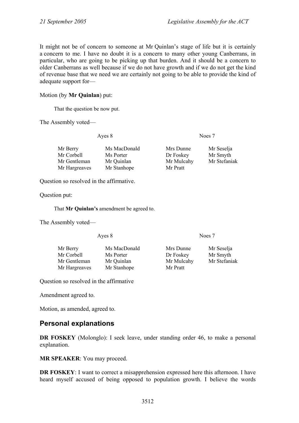It might not be of concern to someone at Mr Quinlan's stage of life but it is certainly a concern to me. I have no doubt it is a concern to many other young Canberrans, in particular, who are going to be picking up that burden. And it should be a concern to older Canberrans as well because if we do not have growth and if we do not get the kind of revenue base that we need we are certainly not going to be able to provide the kind of adequate support for—

### Motion (by **Mr Quinlan**) put:

That the question be now put.

The Assembly voted—

Ayes 8 Noes 7

| Mr Berry      | Ms MacDonald | Mrs Dunne  | Mr Seselja   |
|---------------|--------------|------------|--------------|
| Mr Corbell    | Ms Porter    | Dr Foskey  | Mr Smyth     |
| Mr Gentleman  | Mr Quinlan   | Mr Mulcahy | Mr Stefaniak |
| Mr Hargreaves | Mr Stanhope  | Mr Pratt   |              |

Question so resolved in the affirmative.

Question put:

That **Mr Quinlan's** amendment be agreed to.

The Assembly voted—

Ayes 8 Noes 7

| Mr Berry      | Ms MacDonald | Mrs Dunne  | Mr Seselja   |
|---------------|--------------|------------|--------------|
| Mr Corbell    | Ms Porter    | Dr Foskey  | Mr Smyth     |
| Mr Gentleman  | Mr Quinlan   | Mr Mulcahy | Mr Stefaniak |
| Mr Hargreaves | Mr Stanhope  | Mr Pratt   |              |

Question so resolved in the affirmative

Amendment agreed to.

Motion, as amended, agreed to.

# **Personal explanations**

**DR FOSKEY** (Molonglo): I seek leave, under standing order 46, to make a personal explanation.

**MR SPEAKER**: You may proceed.

**DR FOSKEY**: I want to correct a misapprehension expressed here this afternoon. I have heard myself accused of being opposed to population growth. I believe the words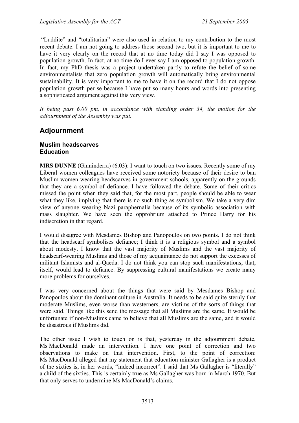"Luddite" and "totalitarian" were also used in relation to my contribution to the most recent debate. I am not going to address those second two, but it is important to me to have it very clearly on the record that at no time today did I say I was opposed to population growth. In fact, at no time do I ever say I am opposed to population growth. In fact, my PhD thesis was a project undertaken partly to refute the belief of some environmentalists that zero population growth will automatically bring environmental sustainability. It is very important to me to have it on the record that I do not oppose population growth per se because I have put so many hours and words into presenting a sophisticated argument against this very view.

*It being past 6.00 pm, in accordance with standing order 34, the motion for the adjournment of the Assembly was put.* 

# **Adjournment**

#### **Muslim headscarves Education**

**MRS DUNNE** (Ginninderra) (6.03): I want to touch on two issues. Recently some of my Liberal women colleagues have received some notoriety because of their desire to ban Muslim women wearing headscarves in government schools, apparently on the grounds that they are a symbol of defiance. I have followed the debate. Some of their critics missed the point when they said that, for the most part, people should be able to wear what they like, implying that there is no such thing as symbolism. We take a very dim view of anyone wearing Nazi paraphernalia because of its symbolic association with mass slaughter. We have seen the opprobrium attached to Prince Harry for his indiscretion in that regard.

I would disagree with Mesdames Bishop and Panopoulos on two points. I do not think that the headscarf symbolises defiance; I think it is a religious symbol and a symbol about modesty. I know that the vast majority of Muslims and the vast majority of headscarf-wearing Muslims and those of my acquaintance do not support the excesses of militant Islamists and al-Qaeda. I do not think you can stop such manifestations; that, itself, would lead to defiance. By suppressing cultural manifestations we create many more problems for ourselves.

I was very concerned about the things that were said by Mesdames Bishop and Panopoulos about the dominant culture in Australia. It needs to be said quite sternly that moderate Muslims, even worse than westerners, are victims of the sorts of things that were said. Things like this send the message that all Muslims are the same. It would be unfortunate if non-Muslims came to believe that all Muslims are the same, and it would be disastrous if Muslims did.

The other issue I wish to touch on is that, yesterday in the adjournment debate, Ms MacDonald made an intervention. I have one point of correction and two observations to make on that intervention. First, to the point of correction: Ms MacDonald alleged that my statement that education minister Gallagher is a product of the sixties is, in her words, "indeed incorrect". I said that Ms Gallagher is "literally" a child of the sixties. This is certainly true as Ms Gallagher was born in March 1970. But that only serves to undermine Ms MacDonald's claims.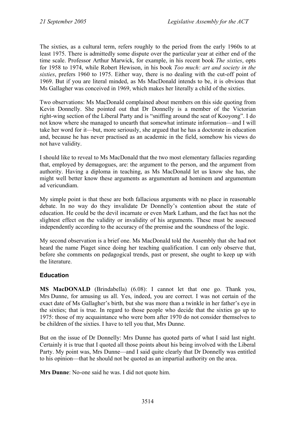The sixties, as a cultural term, refers roughly to the period from the early 1960s to at least 1975. There is admittedly some dispute over the particular year at either end of the time scale. Professor Arthur Marwick, for example, in his recent book *The sixties*, opts for 1958 to 1974, while Robert Hewison, in his book *Too much: art and society in the sixties*, prefers 1960 to 1975. Either way, there is no dealing with the cut-off point of 1969. But if you are literal minded, as Ms MacDonald intends to be, it is obvious that Ms Gallagher was conceived in 1969, which makes her literally a child of the sixties.

Two observations: Ms MacDonald complained about members on this side quoting from Kevin Donnelly. She pointed out that Dr Donnelly is a member of the Victorian right-wing section of the Liberal Party and is "sniffing around the seat of Kooyong". I do not know where she managed to unearth that somewhat intimate information—and I will take her word for it—but, more seriously, she argued that he has a doctorate in education and, because he has never practised as an academic in the field, somehow his views do not have validity.

I should like to reveal to Ms MacDonald that the two most elementary fallacies regarding that, employed by demagogues, are: the argument to the person, and the argument from authority. Having a diploma in teaching, as Ms MacDonald let us know she has, she might well better know these arguments as argumentum ad hominem and argumentum ad vericundiam.

My simple point is that these are both fallacious arguments with no place in reasonable debate. In no way do they invalidate Dr Donnelly's contention about the state of education. He could be the devil incarnate or even Mark Latham, and the fact has not the slightest effect on the validity or invalidity of his arguments. These must be assessed independently according to the accuracy of the premise and the soundness of the logic.

My second observation is a brief one. Ms MacDonald told the Assembly that she had not heard the name Piaget since doing her teaching qualification. I can only observe that, before she comments on pedagogical trends, past or present, she ought to keep up with the literature.

## **Education**

**MS MacDONALD** (Brindabella) (6.08): I cannot let that one go. Thank you, Mrs Dunne, for amusing us all. Yes, indeed, you are correct. I was not certain of the exact date of Ms Gallagher's birth, but she was more than a twinkle in her father's eye in the sixties; that is true. In regard to those people who decide that the sixties go up to 1975: those of my acquaintance who were born after 1970 do not consider themselves to be children of the sixties. I have to tell you that, Mrs Dunne.

But on the issue of Dr Donnelly: Mrs Dunne has quoted parts of what I said last night. Certainly it is true that I quoted all those points about his being involved with the Liberal Party. My point was, Mrs Dunne—and I said quite clearly that Dr Donnelly was entitled to his opinion—that he should not be quoted as an impartial authority on the area.

**Mrs Dunne**: No-one said he was. I did not quote him.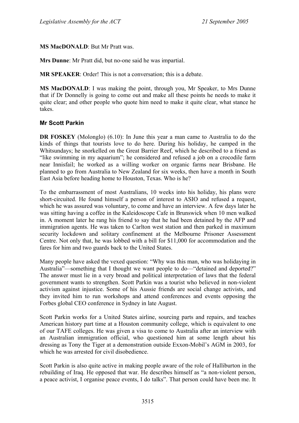**MS MacDONALD**: But Mr Pratt was.

**Mrs Dunne**: Mr Pratt did, but no-one said he was impartial.

**MR SPEAKER**: Order! This is not a conversation; this is a debate.

**MS MacDONALD**: I was making the point, through you, Mr Speaker, to Mrs Dunne that if Dr Donnelly is going to come out and make all these points he needs to make it quite clear; and other people who quote him need to make it quite clear, what stance he takes.

#### **Mr Scott Parkin**

**DR FOSKEY** (Molonglo) (6.10): In June this year a man came to Australia to do the kinds of things that tourists love to do here. During his holiday, he camped in the Whitsundays; he snorkelled on the Great Barrier Reef, which he described to a friend as "like swimming in my aquarium"; he considered and refused a job on a crocodile farm near Innisfail; he worked as a willing worker on organic farms near Brisbane. He planned to go from Australia to New Zealand for six weeks, then have a month in South East Asia before heading home to Houston, Texas. Who is he?

To the embarrassment of most Australians, 10 weeks into his holiday, his plans were short-circuited. He found himself a person of interest to ASIO and refused a request, which he was assured was voluntary, to come and have an interview. A few days later he was sitting having a coffee in the Kaleidoscope Cafe in Brunswick when 10 men walked in. A moment later he rang his friend to say that he had been detained by the AFP and immigration agents. He was taken to Carlton west station and then parked in maximum security lockdown and solitary confinement at the Melbourne Prisoner Assessment Centre. Not only that, he was lobbed with a bill for \$11,000 for accommodation and the fares for him and two guards back to the United States.

Many people have asked the vexed question: "Why was this man, who was holidaying in Australia"—something that I thought we want people to do—"detained and deported?" The answer must lie in a very broad and political interpretation of laws that the federal government wants to strengthen. Scott Parkin was a tourist who believed in non-violent activism against injustice. Some of his Aussie friends are social change activists, and they invited him to run workshops and attend conferences and events opposing the Forbes global CEO conference in Sydney in late August.

Scott Parkin works for a United States airline, sourcing parts and repairs, and teaches American history part time at a Houston community college, which is equivalent to one of our TAFE colleges. He was given a visa to come to Australia after an interview with an Australian immigration official, who questioned him at some length about his dressing as Tony the Tiger at a demonstration outside Exxon-Mobil's AGM in 2003, for which he was arrested for civil disobedience.

Scott Parkin is also quite active in making people aware of the role of Halliburton in the rebuilding of Iraq. He opposed that war. He describes himself as "a non-violent person, a peace activist, I organise peace events, I do talks". That person could have been me. It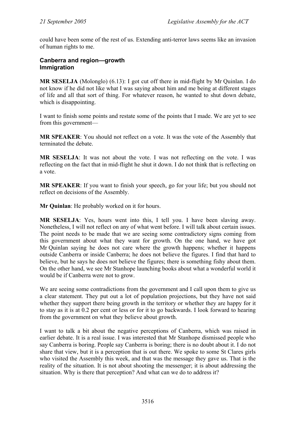could have been some of the rest of us. Extending anti-terror laws seems like an invasion of human rights to me.

### **Canberra and region—growth Immigration**

**MR SESELJA** (Molonglo) (6.13): I got cut off there in mid-flight by Mr Quinlan. I do not know if he did not like what I was saying about him and me being at different stages of life and all that sort of thing. For whatever reason, he wanted to shut down debate, which is disappointing.

I want to finish some points and restate some of the points that I made. We are yet to see from this government—

**MR SPEAKER**: You should not reflect on a vote. It was the vote of the Assembly that terminated the debate.

**MR SESELJA**: It was not about the vote. I was not reflecting on the vote. I was reflecting on the fact that in mid-flight he shut it down. I do not think that is reflecting on a vote.

**MR SPEAKER**: If you want to finish your speech, go for your life; but you should not reflect on decisions of the Assembly.

**Mr Quinlan**: He probably worked on it for hours.

**MR SESELJA**: Yes, hours went into this, I tell you. I have been slaving away. Nonetheless, I will not reflect on any of what went before. I will talk about certain issues. The point needs to be made that we are seeing some contradictory signs coming from this government about what they want for growth. On the one hand, we have got Mr Quinlan saying he does not care where the growth happens; whether it happens outside Canberra or inside Canberra; he does not believe the figures. I find that hard to believe, but he says he does not believe the figures; there is something fishy about them. On the other hand, we see Mr Stanhope launching books about what a wonderful world it would be if Canberra were not to grow.

We are seeing some contradictions from the government and I call upon them to give us a clear statement. They put out a lot of population projections, but they have not said whether they support there being growth in the territory or whether they are happy for it to stay as it is at 0.2 per cent or less or for it to go backwards. I look forward to hearing from the government on what they believe about growth.

I want to talk a bit about the negative perceptions of Canberra, which was raised in earlier debate. It is a real issue. I was interested that Mr Stanhope dismissed people who say Canberra is boring. People say Canberra is boring; there is no doubt about it. I do not share that view, but it is a perception that is out there. We spoke to some St Clares girls who visited the Assembly this week, and that was the message they gave us. That is the reality of the situation. It is not about shooting the messenger; it is about addressing the situation. Why is there that perception? And what can we do to address it?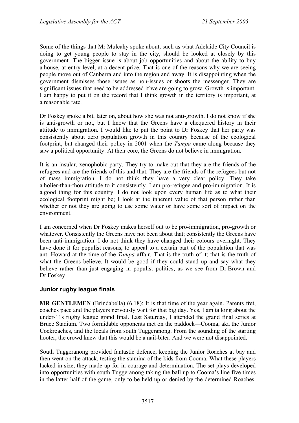Some of the things that Mr Mulcahy spoke about, such as what Adelaide City Council is doing to get young people to stay in the city, should be looked at closely by this government. The bigger issue is about job opportunities and about the ability to buy a house, at entry level, at a decent price. That is one of the reasons why we are seeing people move out of Canberra and into the region and away. It is disappointing when the government dismisses those issues as non-issues or shoots the messenger. They are significant issues that need to be addressed if we are going to grow. Growth is important. I am happy to put it on the record that I think growth in the territory is important, at a reasonable rate.

Dr Foskey spoke a bit, later on, about how she was not anti-growth. I do not know if she is anti-growth or not, but I know that the Greens have a chequered history in their attitude to immigration. I would like to put the point to Dr Foskey that her party was consistently about zero population growth in this country because of the ecological footprint, but changed their policy in 2001 when the *Tampa* came along because they saw a political opportunity. At their core, the Greens do not believe in immigration.

It is an insular, xenophobic party. They try to make out that they are the friends of the refugees and are the friends of this and that. They are the friends of the refugees but not of mass immigration. I do not think they have a very clear policy. They take a holier-than-thou attitude to it consistently. I am pro-refugee and pro-immigration. It is a good thing for this country. I do not look upon every human life as to what their ecological footprint might be; I look at the inherent value of that person rather than whether or not they are going to use some water or have some sort of impact on the environment.

I am concerned when Dr Foskey makes herself out to be pro-immigration, pro-growth or whatever. Consistently the Greens have not been about that; consistently the Greens have been anti-immigration. I do not think they have changed their colours overnight. They have done it for populist reasons, to appeal to a certain part of the population that was anti-Howard at the time of the *Tampa* affair. That is the truth of it; that is the truth of what the Greens believe. It would be good if they could stand up and say what they believe rather than just engaging in populist politics, as we see from Dr Brown and Dr Foskey.

## **Junior rugby league finals**

**MR GENTLEMEN** (Brindabella) (6.18): It is that time of the year again. Parents fret, coaches pace and the players nervously wait for that big day. Yes, I am talking about the under-11s rugby league grand final. Last Saturday, I attended the grand final series at Bruce Stadium. Two formidable opponents met on the paddock—Cooma, aka the Junior Cockroaches, and the locals from south Tuggeranong. From the sounding of the starting hooter, the crowd knew that this would be a nail-biter. And we were not disappointed.

South Tuggeranong provided fantastic defence, keeping the Junior Roaches at bay and then went on the attack, testing the stamina of the kids from Cooma. What these players lacked in size, they made up for in courage and determination. The set plays developed into opportunities with south Tuggeranong taking the ball up to Cooma's line five times in the latter half of the game, only to be held up or denied by the determined Roaches.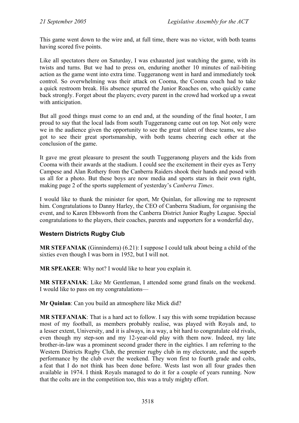This game went down to the wire and, at full time, there was no victor, with both teams having scored five points.

Like all spectators there on Saturday, I was exhausted just watching the game, with its twists and turns. But we had to press on, enduring another 10 minutes of nail-biting action as the game went into extra time. Tuggeranong went in hard and immediately took control. So overwhelming was their attack on Cooma, the Cooma coach had to take a quick restroom break. His absence spurred the Junior Roaches on, who quickly came back strongly. Forget about the players; every parent in the crowd had worked up a sweat with anticipation.

But all good things must come to an end and, at the sounding of the final hooter, I am proud to say that the local lads from south Tuggeranong came out on top. Not only were we in the audience given the opportunity to see the great talent of these teams, we also got to see their great sportsmanship, with both teams cheering each other at the conclusion of the game.

It gave me great pleasure to present the south Tuggeranong players and the kids from Cooma with their awards at the stadium. I could see the excitement in their eyes as Terry Campese and Alan Rothery from the Canberra Raiders shook their hands and posed with us all for a photo. But these boys are now media and sports stars in their own right, making page 2 of the sports supplement of yesterday's *Canberra Times*.

I would like to thank the minister for sport, Mr Quinlan, for allowing me to represent him. Congratulations to Danny Harley, the CEO of Canberra Stadium, for organising the event, and to Karen Ebbsworth from the Canberra District Junior Rugby League. Special congratulations to the players, their coaches, parents and supporters for a wonderful day,

## **Western Districts Rugby Club**

**MR STEFANIAK** (Ginninderra) (6.21): I suppose I could talk about being a child of the sixties even though I was born in 1952, but I will not.

**MR SPEAKER**: Why not? I would like to hear you explain it.

**MR STEFANIAK**: Like Mr Gentleman, I attended some grand finals on the weekend. I would like to pass on my congratulations—

**Mr Quinlan**: Can you build an atmosphere like Mick did?

**MR STEFANIAK**: That is a hard act to follow. I say this with some trepidation because most of my football, as members probably realise, was played with Royals and, to a lesser extent, University, and it is always, in a way, a bit hard to congratulate old rivals, even though my step-son and my 12-year-old play with them now. Indeed, my late brother-in-law was a prominent second grader there in the eighties. I am referring to the Western Districts Rugby Club, the premier rugby club in my electorate, and the superb performance by the club over the weekend. They won first to fourth grade and colts, a feat that I do not think has been done before. Wests last won all four grades then available in 1974. I think Royals managed to do it for a couple of years running. Now that the colts are in the competition too, this was a truly mighty effort.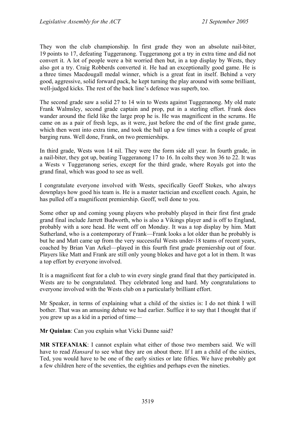They won the club championship. In first grade they won an absolute nail-biter, 19 points to 17, defeating Tuggeranong. Tuggeranong got a try in extra time and did not convert it. A lot of people were a bit worried then but, in a top display by Wests, they also got a try. Craig Robberds converted it. He had an exceptionally good game. He is a three times Macdougall medal winner, which is a great feat in itself. Behind a very good, aggressive, solid forward pack, he kept turning the play around with some brilliant, well-judged kicks. The rest of the back line's defence was superb, too.

The second grade saw a solid 27 to 14 win to Wests against Tuggeranong. My old mate Frank Walmsley, second grade captain and prop, put in a sterling effort. Frank does wander around the field like the large prop he is. He was magnificent in the scrums. He came on as a pair of fresh legs, as it were, just before the end of the first grade game, which then went into extra time, and took the ball up a few times with a couple of great barging runs. Well done, Frank, on two premierships.

In third grade, Wests won 14 nil. They were the form side all year. In fourth grade, in a nail-biter, they got up, beating Tuggeranong 17 to 16. In colts they won 36 to 22. It was a Wests v Tuggeranong series, except for the third grade, where Royals got into the grand final, which was good to see as well.

I congratulate everyone involved with Wests, specifically Geoff Stokes, who always downplays how good his team is. He is a master tactician and excellent coach. Again, he has pulled off a magnificent premiership. Geoff, well done to you.

Some other up and coming young players who probably played in their first first grade grand final include Jarrett Budworth, who is also a Vikings player and is off to England, probably with a sore head. He went off on Monday. It was a top display by him. Matt Sutherland, who is a contemporary of Frank—Frank looks a lot older than he probably is but he and Matt came up from the very successful Wests under-18 teams of recent years, coached by Brian Van Arkel—played in this fourth first grade premiership out of four. Players like Matt and Frank are still only young blokes and have got a lot in them. It was a top effort by everyone involved.

It is a magnificent feat for a club to win every single grand final that they participated in. Wests are to be congratulated. They celebrated long and hard. My congratulations to everyone involved with the Wests club on a particularly brilliant effort.

Mr Speaker, in terms of explaining what a child of the sixties is: I do not think I will bother. That was an amusing debate we had earlier. Suffice it to say that I thought that if you grew up as a kid in a period of time—

**Mr Quinlan**: Can you explain what Vicki Dunne said?

**MR STEFANIAK**: I cannot explain what either of those two members said. We will have to read *Hansard* to see what they are on about there. If I am a child of the sixties, Ted, you would have to be one of the early sixties or late fifties. We have probably got a few children here of the seventies, the eighties and perhaps even the nineties.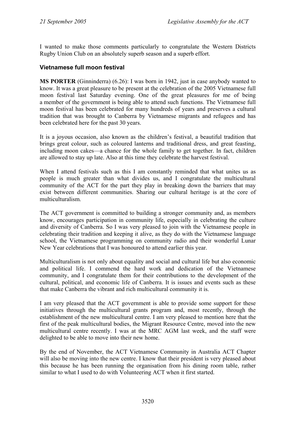I wanted to make those comments particularly to congratulate the Western Districts Rugby Union Club on an absolutely superb season and a superb effort.

## **Vietnamese full moon festival**

**MS PORTER** (Ginninderra) (6.26): I was born in 1942, just in case anybody wanted to know. It was a great pleasure to be present at the celebration of the 2005 Vietnamese full moon festival last Saturday evening. One of the great pleasures for me of being a member of the government is being able to attend such functions. The Vietnamese full moon festival has been celebrated for many hundreds of years and preserves a cultural tradition that was brought to Canberra by Vietnamese migrants and refugees and has been celebrated here for the past 30 years.

It is a joyous occasion, also known as the children's festival, a beautiful tradition that brings great colour, such as coloured lanterns and traditional dress, and great feasting, including moon cakes—a chance for the whole family to get together. In fact, children are allowed to stay up late. Also at this time they celebrate the harvest festival.

When I attend festivals such as this I am constantly reminded that what unites us as people is much greater than what divides us, and I congratulate the multicultural community of the ACT for the part they play in breaking down the barriers that may exist between different communities. Sharing our cultural heritage is at the core of multiculturalism.

The ACT government is committed to building a stronger community and, as members know, encourages participation in community life, especially in celebrating the culture and diversity of Canberra. So I was very pleased to join with the Vietnamese people in celebrating their tradition and keeping it alive, as they do with the Vietnamese language school, the Vietnamese programming on community radio and their wonderful Lunar New Year celebrations that I was honoured to attend earlier this year.

Multiculturalism is not only about equality and social and cultural life but also economic and political life. I commend the hard work and dedication of the Vietnamese community, and I congratulate them for their contributions to the development of the cultural, political, and economic life of Canberra. It is issues and events such as these that make Canberra the vibrant and rich multicultural community it is.

I am very pleased that the ACT government is able to provide some support for these initiatives through the multicultural grants program and, most recently, through the establishment of the new multicultural centre. I am very pleased to mention here that the first of the peak multicultural bodies, the Migrant Resource Centre, moved into the new multicultural centre recently. I was at the MRC AGM last week, and the staff were delighted to be able to move into their new home.

By the end of November, the ACT Vietnamese Community in Australia ACT Chapter will also be moving into the new centre. I know that their president is very pleased about this because he has been running the organisation from his dining room table, rather similar to what I used to do with Volunteering ACT when it first started.